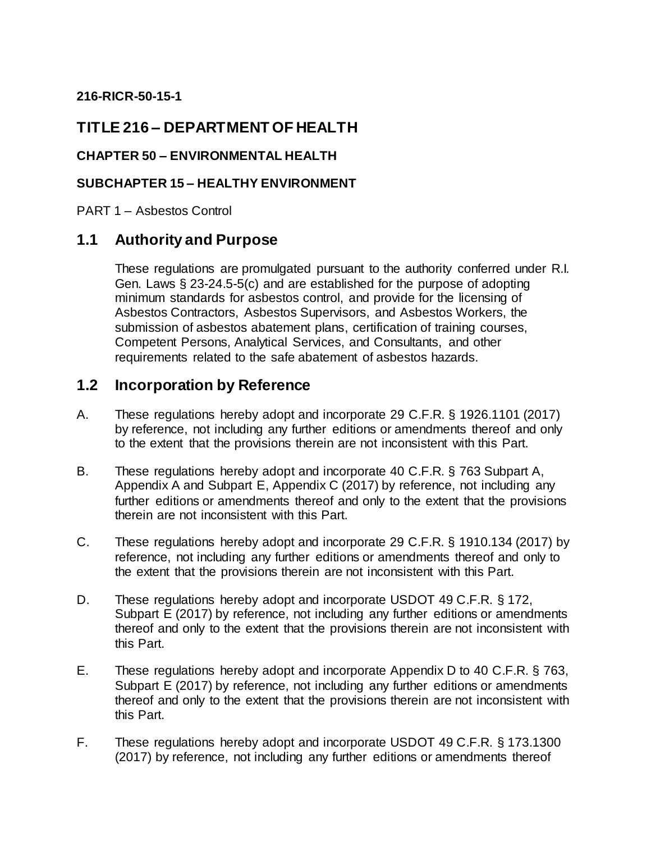### **216-RICR-50-15-1**

## **TITLE 216 – DEPARTMENT OF HEALTH**

### **CHAPTER 50 – ENVIRONMENTAL HEALTH**

### **SUBCHAPTER 15 – HEALTHY ENVIRONMENT**

PART 1 – Asbestos Control

### **1.1 Authority and Purpose**

These regulations are promulgated pursuant to the authority conferred under R.I. Gen. Laws § 23-24.5-5(c) and are established for the purpose of adopting minimum standards for asbestos control, and provide for the licensing of Asbestos Contractors, Asbestos Supervisors, and Asbestos Workers, the submission of asbestos abatement plans, certification of training courses, Competent Persons, Analytical Services, and Consultants, and other requirements related to the safe abatement of asbestos hazards.

## **1.2 Incorporation by Reference**

- A. These regulations hereby adopt and incorporate 29 C.F.R. § 1926.1101 (2017) by reference, not including any further editions or amendments thereof and only to the extent that the provisions therein are not inconsistent with this Part.
- B. These regulations hereby adopt and incorporate 40 C.F.R. § 763 Subpart A, Appendix A and Subpart E, Appendix C (2017) by reference, not including any further editions or amendments thereof and only to the extent that the provisions therein are not inconsistent with this Part.
- C. These regulations hereby adopt and incorporate 29 C.F.R. § 1910.134 (2017) by reference, not including any further editions or amendments thereof and only to the extent that the provisions therein are not inconsistent with this Part.
- D. These regulations hereby adopt and incorporate USDOT 49 C.F.R. § 172, Subpart E (2017) by reference, not including any further editions or amendments thereof and only to the extent that the provisions therein are not inconsistent with this Part.
- E. These regulations hereby adopt and incorporate Appendix D to 40 C.F.R. § 763, Subpart E (2017) by reference, not including any further editions or amendments thereof and only to the extent that the provisions therein are not inconsistent with this Part.
- F. These regulations hereby adopt and incorporate USDOT 49 C.F.R. § 173.1300 (2017) by reference, not including any further editions or amendments thereof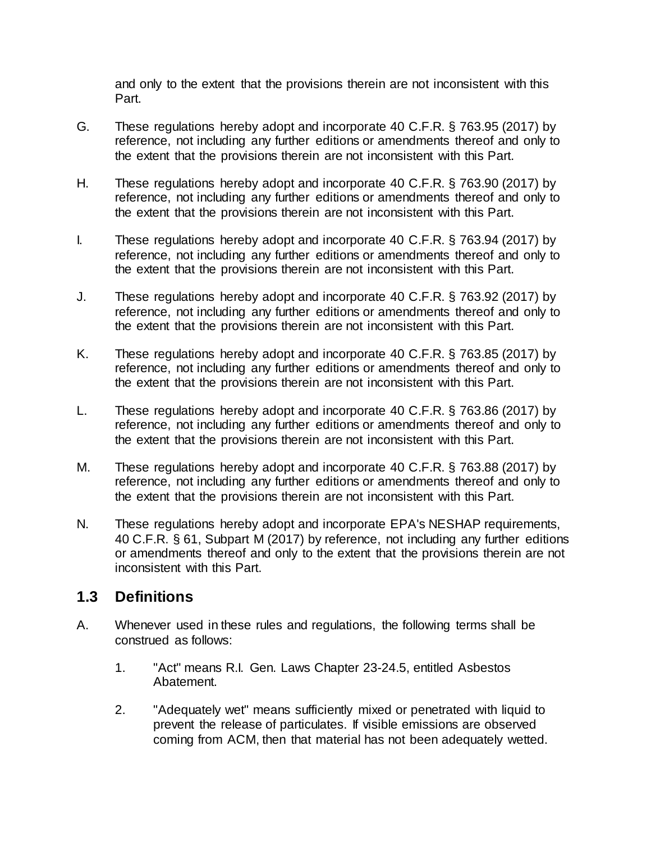and only to the extent that the provisions therein are not inconsistent with this Part.

- G. These regulations hereby adopt and incorporate 40 C.F.R. § 763.95 (2017) by reference, not including any further editions or amendments thereof and only to the extent that the provisions therein are not inconsistent with this Part.
- H. These regulations hereby adopt and incorporate 40 C.F.R. § 763.90 (2017) by reference, not including any further editions or amendments thereof and only to the extent that the provisions therein are not inconsistent with this Part.
- I. These regulations hereby adopt and incorporate 40 C.F.R. § 763.94 (2017) by reference, not including any further editions or amendments thereof and only to the extent that the provisions therein are not inconsistent with this Part.
- J. These regulations hereby adopt and incorporate 40 C.F.R. § 763.92 (2017) by reference, not including any further editions or amendments thereof and only to the extent that the provisions therein are not inconsistent with this Part.
- K. These regulations hereby adopt and incorporate 40 C.F.R. § 763.85 (2017) by reference, not including any further editions or amendments thereof and only to the extent that the provisions therein are not inconsistent with this Part.
- L. These regulations hereby adopt and incorporate 40 C.F.R. § 763.86 (2017) by reference, not including any further editions or amendments thereof and only to the extent that the provisions therein are not inconsistent with this Part.
- M. These regulations hereby adopt and incorporate 40 C.F.R. § 763.88 (2017) by reference, not including any further editions or amendments thereof and only to the extent that the provisions therein are not inconsistent with this Part.
- N. These regulations hereby adopt and incorporate EPA's NESHAP requirements, 40 C.F.R. § 61, Subpart M (2017) by reference, not including any further editions or amendments thereof and only to the extent that the provisions therein are not inconsistent with this Part.

## **1.3 Definitions**

- A. Whenever used in these rules and regulations, the following terms shall be construed as follows:
	- 1. "Act" means R.I. Gen. Laws Chapter 23-24.5, entitled Asbestos Abatement.
	- 2. "Adequately wet" means sufficiently mixed or penetrated with liquid to prevent the release of particulates. If visible emissions are observed coming from ACM, then that material has not been adequately wetted.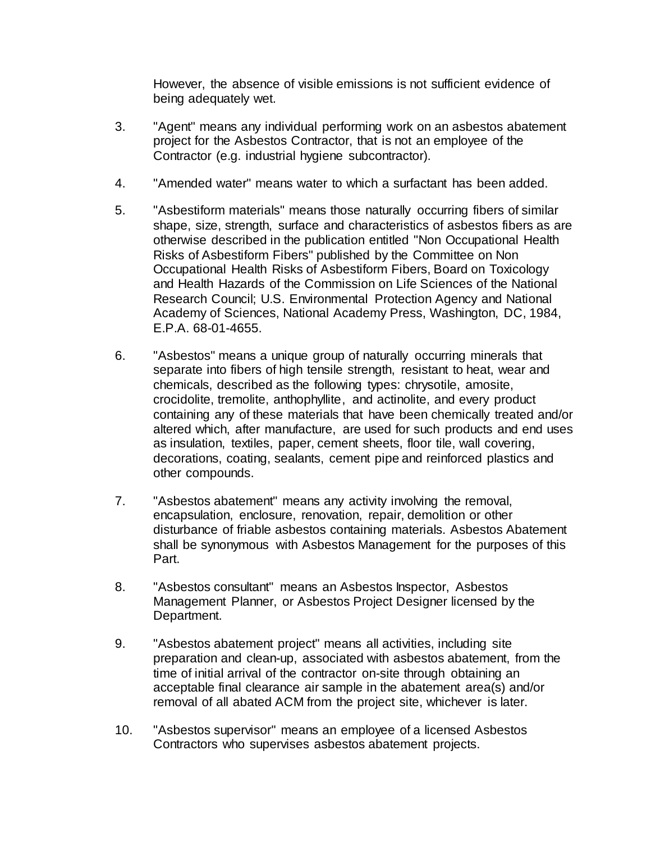However, the absence of visible emissions is not sufficient evidence of being adequately wet.

- 3. "Agent" means any individual performing work on an asbestos abatement project for the Asbestos Contractor, that is not an employee of the Contractor (e.g. industrial hygiene subcontractor).
- 4. "Amended water" means water to which a surfactant has been added.
- 5. "Asbestiform materials" means those naturally occurring fibers of similar shape, size, strength, surface and characteristics of asbestos fibers as are otherwise described in the publication entitled "Non Occupational Health Risks of Asbestiform Fibers" published by the Committee on Non Occupational Health Risks of Asbestiform Fibers, Board on Toxicology and Health Hazards of the Commission on Life Sciences of the National Research Council; U.S. Environmental Protection Agency and National Academy of Sciences, National Academy Press, Washington, DC, 1984, E.P.A. 68-01-4655.
- 6. "Asbestos" means a unique group of naturally occurring minerals that separate into fibers of high tensile strength, resistant to heat, wear and chemicals, described as the following types: chrysotile, amosite, crocidolite, tremolite, anthophyllite, and actinolite, and every product containing any of these materials that have been chemically treated and/or altered which, after manufacture, are used for such products and end uses as insulation, textiles, paper, cement sheets, floor tile, wall covering, decorations, coating, sealants, cement pipe and reinforced plastics and other compounds.
- 7. "Asbestos abatement" means any activity involving the removal, encapsulation, enclosure, renovation, repair, demolition or other disturbance of friable asbestos containing materials. Asbestos Abatement shall be synonymous with Asbestos Management for the purposes of this Part.
- 8. "Asbestos consultant" means an Asbestos Inspector, Asbestos Management Planner, or Asbestos Project Designer licensed by the Department.
- 9. "Asbestos abatement project" means all activities, including site preparation and clean-up, associated with asbestos abatement, from the time of initial arrival of the contractor on-site through obtaining an acceptable final clearance air sample in the abatement area(s) and/or removal of all abated ACM from the project site, whichever is later.
- 10. "Asbestos supervisor" means an employee of a licensed Asbestos Contractors who supervises asbestos abatement projects.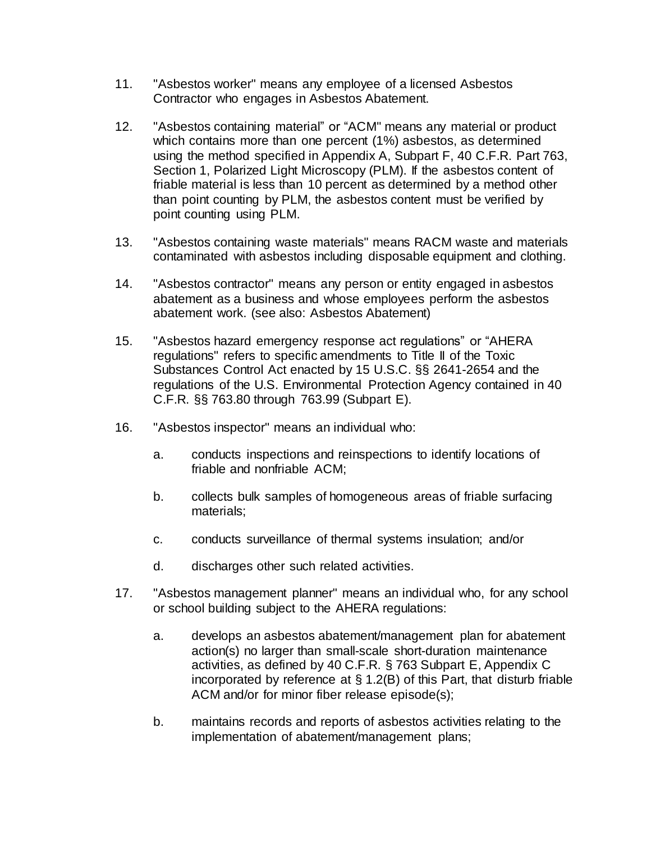- 11. "Asbestos worker" means any employee of a licensed Asbestos Contractor who engages in Asbestos Abatement.
- 12. "Asbestos containing material" or "ACM" means any material or product which contains more than one percent (1%) asbestos, as determined using the method specified in Appendix A, Subpart F, 40 C.F.R. Part 763, Section 1, Polarized Light Microscopy (PLM). If the asbestos content of friable material is less than 10 percent as determined by a method other than point counting by PLM, the asbestos content must be verified by point counting using PLM.
- 13. "Asbestos containing waste materials" means RACM waste and materials contaminated with asbestos including disposable equipment and clothing.
- 14. "Asbestos contractor" means any person or entity engaged in asbestos abatement as a business and whose employees perform the asbestos abatement work. (see also: Asbestos Abatement)
- 15. "Asbestos hazard emergency response act regulations" or "AHERA regulations" refers to specific amendments to Title II of the Toxic Substances Control Act enacted by 15 U.S.C. §§ 2641-2654 and the regulations of the U.S. Environmental Protection Agency contained in 40 C.F.R. §§ 763.80 through 763.99 (Subpart E).
- 16. "Asbestos inspector" means an individual who:
	- a. conducts inspections and reinspections to identify locations of friable and nonfriable ACM;
	- b. collects bulk samples of homogeneous areas of friable surfacing materials;
	- c. conducts surveillance of thermal systems insulation; and/or
	- d. discharges other such related activities.
- 17. "Asbestos management planner" means an individual who, for any school or school building subject to the AHERA regulations:
	- a. develops an asbestos abatement/management plan for abatement action(s) no larger than small-scale short-duration maintenance activities, as defined by 40 C.F.R. § 763 Subpart E, Appendix C incorporated by reference at  $\S 1.2(B)$  of this Part, that disturb friable ACM and/or for minor fiber release episode(s);
	- b. maintains records and reports of asbestos activities relating to the implementation of abatement/management plans;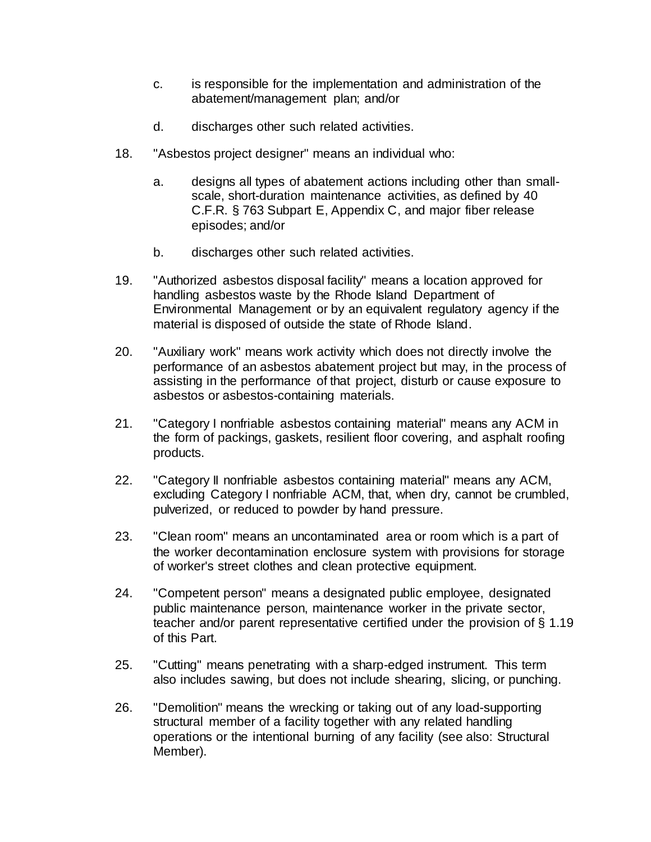- c. is responsible for the implementation and administration of the abatement/management plan; and/or
- d. discharges other such related activities.
- 18. "Asbestos project designer" means an individual who:
	- a. designs all types of abatement actions including other than smallscale, short-duration maintenance activities, as defined by 40 C.F.R. § 763 Subpart E, Appendix C, and major fiber release episodes; and/or
	- b. discharges other such related activities.
- 19. "Authorized asbestos disposal facility" means a location approved for handling asbestos waste by the Rhode Island Department of Environmental Management or by an equivalent regulatory agency if the material is disposed of outside the state of Rhode Island.
- 20. "Auxiliary work" means work activity which does not directly involve the performance of an asbestos abatement project but may, in the process of assisting in the performance of that project, disturb or cause exposure to asbestos or asbestos-containing materials.
- 21. "Category I nonfriable asbestos containing material" means any ACM in the form of packings, gaskets, resilient floor covering, and asphalt roofing products.
- 22. "Category II nonfriable asbestos containing material" means any ACM, excluding Category I nonfriable ACM, that, when dry, cannot be crumbled, pulverized, or reduced to powder by hand pressure.
- 23. "Clean room" means an uncontaminated area or room which is a part of the worker decontamination enclosure system with provisions for storage of worker's street clothes and clean protective equipment.
- 24. "Competent person" means a designated public employee, designated public maintenance person, maintenance worker in the private sector, teacher and/or parent representative certified under the provision of § 1.19 of this Part.
- 25. "Cutting" means penetrating with a sharp-edged instrument. This term also includes sawing, but does not include shearing, slicing, or punching.
- 26. "Demolition" means the wrecking or taking out of any load-supporting structural member of a facility together with any related handling operations or the intentional burning of any facility (see also: Structural Member).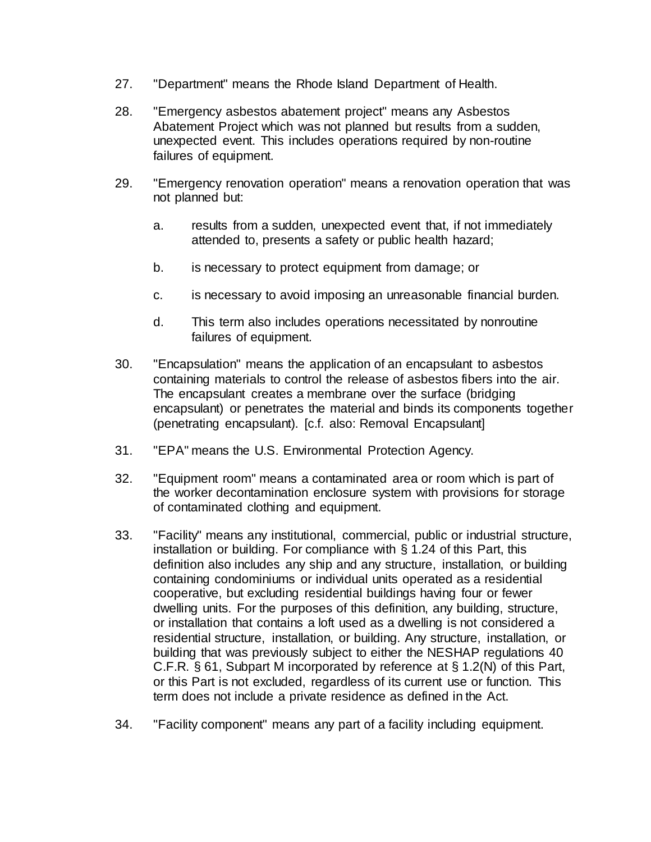- 27. "Department" means the Rhode Island Department of Health.
- 28. "Emergency asbestos abatement project" means any Asbestos Abatement Project which was not planned but results from a sudden, unexpected event. This includes operations required by non-routine failures of equipment.
- 29. "Emergency renovation operation" means a renovation operation that was not planned but:
	- a. results from a sudden, unexpected event that, if not immediately attended to, presents a safety or public health hazard;
	- b. is necessary to protect equipment from damage; or
	- c. is necessary to avoid imposing an unreasonable financial burden.
	- d. This term also includes operations necessitated by nonroutine failures of equipment.
- 30. "Encapsulation" means the application of an encapsulant to asbestos containing materials to control the release of asbestos fibers into the air. The encapsulant creates a membrane over the surface (bridging encapsulant) or penetrates the material and binds its components together (penetrating encapsulant). [c.f. also: Removal Encapsulant]
- 31. "EPA" means the U.S. Environmental Protection Agency.
- 32. "Equipment room" means a contaminated area or room which is part of the worker decontamination enclosure system with provisions for storage of contaminated clothing and equipment.
- 33. "Facility" means any institutional, commercial, public or industrial structure, installation or building. For compliance with § 1.24 of this Part, this definition also includes any ship and any structure, installation, or building containing condominiums or individual units operated as a residential cooperative, but excluding residential buildings having four or fewer dwelling units. For the purposes of this definition, any building, structure, or installation that contains a loft used as a dwelling is not considered a residential structure, installation, or building. Any structure, installation, or building that was previously subject to either the NESHAP regulations 40 C.F.R. § 61, Subpart M incorporated by reference at § 1.2(N) of this Part, or this Part is not excluded, regardless of its current use or function. This term does not include a private residence as defined in the Act.
- 34. "Facility component" means any part of a facility including equipment.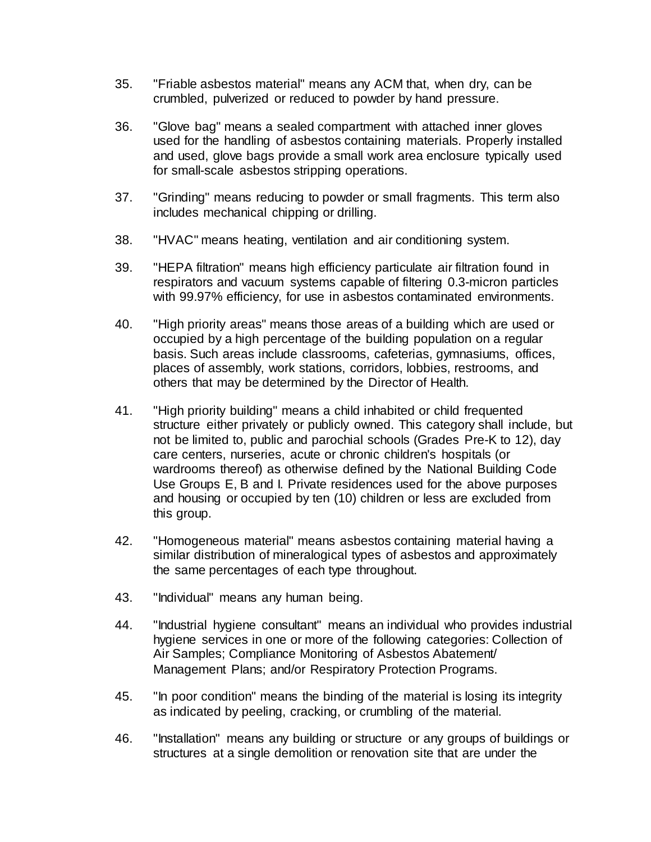- 35. "Friable asbestos material" means any ACM that, when dry, can be crumbled, pulverized or reduced to powder by hand pressure.
- 36. "Glove bag" means a sealed compartment with attached inner gloves used for the handling of asbestos containing materials. Properly installed and used, glove bags provide a small work area enclosure typically used for small-scale asbestos stripping operations.
- 37. "Grinding" means reducing to powder or small fragments. This term also includes mechanical chipping or drilling.
- 38. "HVAC" means heating, ventilation and air conditioning system.
- 39. "HEPA filtration" means high efficiency particulate air filtration found in respirators and vacuum systems capable of filtering 0.3-micron particles with 99.97% efficiency, for use in asbestos contaminated environments.
- 40. "High priority areas" means those areas of a building which are used or occupied by a high percentage of the building population on a regular basis. Such areas include classrooms, cafeterias, gymnasiums, offices, places of assembly, work stations, corridors, lobbies, restrooms, and others that may be determined by the Director of Health.
- 41. "High priority building" means a child inhabited or child frequented structure either privately or publicly owned. This category shall include, but not be limited to, public and parochial schools (Grades Pre-K to 12), day care centers, nurseries, acute or chronic children's hospitals (or wardrooms thereof) as otherwise defined by the National Building Code Use Groups E, B and I. Private residences used for the above purposes and housing or occupied by ten (10) children or less are excluded from this group.
- 42. "Homogeneous material" means asbestos containing material having a similar distribution of mineralogical types of asbestos and approximately the same percentages of each type throughout.
- 43. "Individual" means any human being.
- 44. "Industrial hygiene consultant" means an individual who provides industrial hygiene services in one or more of the following categories: Collection of Air Samples; Compliance Monitoring of Asbestos Abatement/ Management Plans; and/or Respiratory Protection Programs.
- 45. "In poor condition" means the binding of the material is losing its integrity as indicated by peeling, cracking, or crumbling of the material.
- 46. "Installation" means any building or structure or any groups of buildings or structures at a single demolition or renovation site that are under the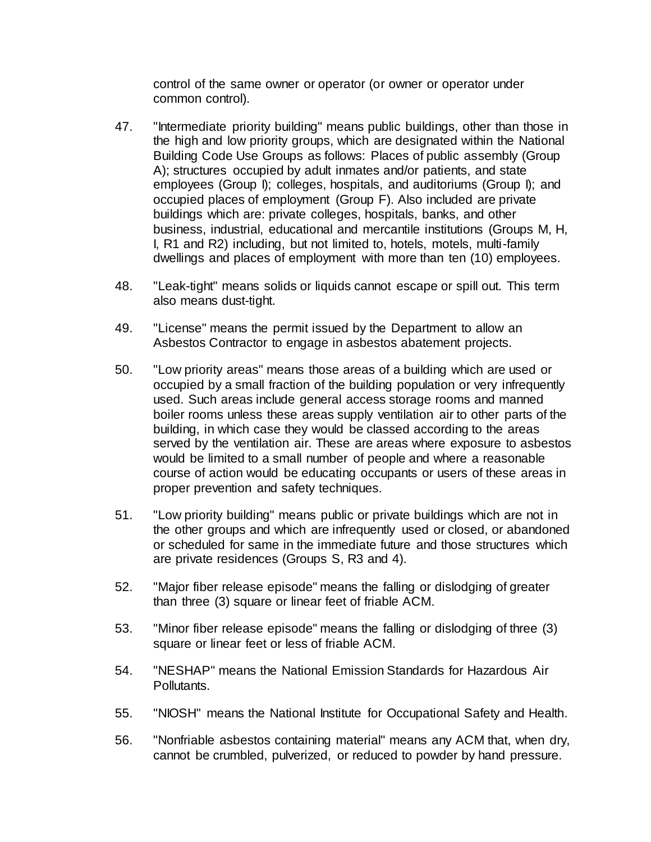control of the same owner or operator (or owner or operator under common control).

- 47. "Intermediate priority building" means public buildings, other than those in the high and low priority groups, which are designated within the National Building Code Use Groups as follows: Places of public assembly (Group A); structures occupied by adult inmates and/or patients, and state employees (Group I); colleges, hospitals, and auditoriums (Group I); and occupied places of employment (Group F). Also included are private buildings which are: private colleges, hospitals, banks, and other business, industrial, educational and mercantile institutions (Groups M, H, I, R1 and R2) including, but not limited to, hotels, motels, multi-family dwellings and places of employment with more than ten (10) employees.
- 48. "Leak-tight" means solids or liquids cannot escape or spill out. This term also means dust-tight.
- 49. "License" means the permit issued by the Department to allow an Asbestos Contractor to engage in asbestos abatement projects.
- 50. "Low priority areas" means those areas of a building which are used or occupied by a small fraction of the building population or very infrequently used. Such areas include general access storage rooms and manned boiler rooms unless these areas supply ventilation air to other parts of the building, in which case they would be classed according to the areas served by the ventilation air. These are areas where exposure to asbestos would be limited to a small number of people and where a reasonable course of action would be educating occupants or users of these areas in proper prevention and safety techniques.
- 51. "Low priority building" means public or private buildings which are not in the other groups and which are infrequently used or closed, or abandoned or scheduled for same in the immediate future and those structures which are private residences (Groups S, R3 and 4).
- 52. "Major fiber release episode" means the falling or dislodging of greater than three (3) square or linear feet of friable ACM.
- 53. "Minor fiber release episode" means the falling or dislodging of three (3) square or linear feet or less of friable ACM.
- 54. "NESHAP" means the National Emission Standards for Hazardous Air Pollutants.
- 55. "NIOSH" means the National Institute for Occupational Safety and Health.
- 56. "Nonfriable asbestos containing material" means any ACM that, when dry, cannot be crumbled, pulverized, or reduced to powder by hand pressure.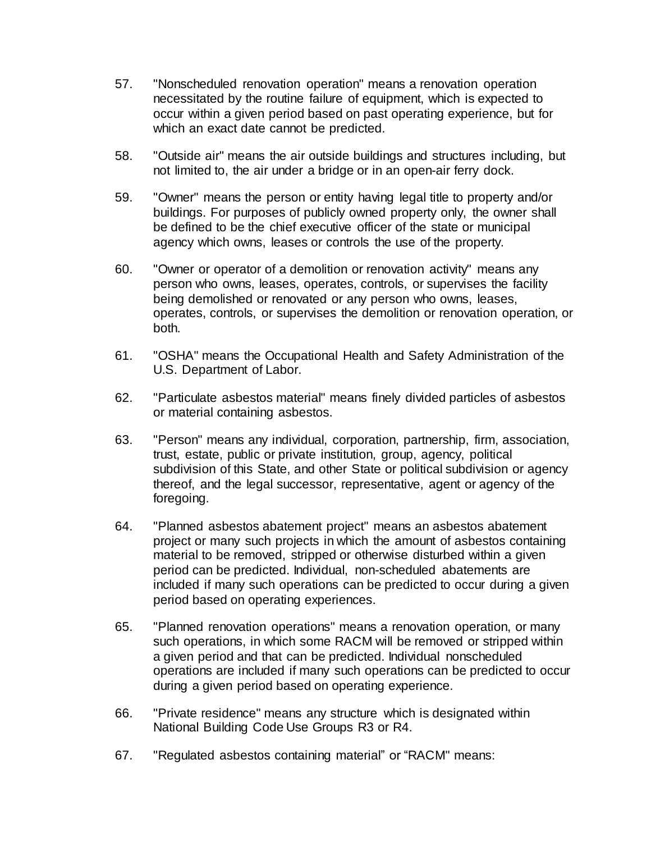- 57. "Nonscheduled renovation operation" means a renovation operation necessitated by the routine failure of equipment, which is expected to occur within a given period based on past operating experience, but for which an exact date cannot be predicted.
- 58. "Outside air" means the air outside buildings and structures including, but not limited to, the air under a bridge or in an open-air ferry dock.
- 59. "Owner" means the person or entity having legal title to property and/or buildings. For purposes of publicly owned property only, the owner shall be defined to be the chief executive officer of the state or municipal agency which owns, leases or controls the use of the property.
- 60. "Owner or operator of a demolition or renovation activity" means any person who owns, leases, operates, controls, or supervises the facility being demolished or renovated or any person who owns, leases, operates, controls, or supervises the demolition or renovation operation, or both.
- 61. "OSHA" means the Occupational Health and Safety Administration of the U.S. Department of Labor.
- 62. "Particulate asbestos material" means finely divided particles of asbestos or material containing asbestos.
- 63. "Person" means any individual, corporation, partnership, firm, association, trust, estate, public or private institution, group, agency, political subdivision of this State, and other State or political subdivision or agency thereof, and the legal successor, representative, agent or agency of the foregoing.
- 64. "Planned asbestos abatement project" means an asbestos abatement project or many such projects in which the amount of asbestos containing material to be removed, stripped or otherwise disturbed within a given period can be predicted. Individual, non-scheduled abatements are included if many such operations can be predicted to occur during a given period based on operating experiences.
- 65. "Planned renovation operations" means a renovation operation, or many such operations, in which some RACM will be removed or stripped within a given period and that can be predicted. Individual nonscheduled operations are included if many such operations can be predicted to occur during a given period based on operating experience.
- 66. "Private residence" means any structure which is designated within National Building Code Use Groups R3 or R4.
- 67. "Regulated asbestos containing material" or "RACM" means: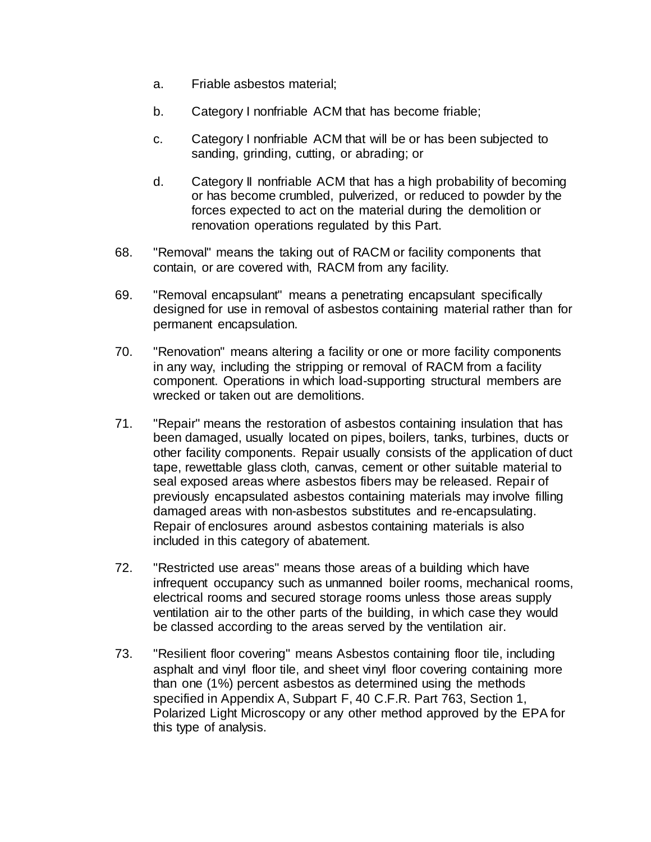- a. Friable asbestos material;
- b. Category I nonfriable ACM that has become friable;
- c. Category I nonfriable ACM that will be or has been subjected to sanding, grinding, cutting, or abrading; or
- d. Category II nonfriable ACM that has a high probability of becoming or has become crumbled, pulverized, or reduced to powder by the forces expected to act on the material during the demolition or renovation operations regulated by this Part.
- 68. "Removal" means the taking out of RACM or facility components that contain, or are covered with, RACM from any facility.
- 69. "Removal encapsulant" means a penetrating encapsulant specifically designed for use in removal of asbestos containing material rather than for permanent encapsulation.
- 70. "Renovation" means altering a facility or one or more facility components in any way, including the stripping or removal of RACM from a facility component. Operations in which load-supporting structural members are wrecked or taken out are demolitions.
- 71. "Repair" means the restoration of asbestos containing insulation that has been damaged, usually located on pipes, boilers, tanks, turbines, ducts or other facility components. Repair usually consists of the application of duct tape, rewettable glass cloth, canvas, cement or other suitable material to seal exposed areas where asbestos fibers may be released. Repair of previously encapsulated asbestos containing materials may involve filling damaged areas with non-asbestos substitutes and re-encapsulating. Repair of enclosures around asbestos containing materials is also included in this category of abatement.
- 72. "Restricted use areas" means those areas of a building which have infrequent occupancy such as unmanned boiler rooms, mechanical rooms, electrical rooms and secured storage rooms unless those areas supply ventilation air to the other parts of the building, in which case they would be classed according to the areas served by the ventilation air.
- 73. "Resilient floor covering" means Asbestos containing floor tile, including asphalt and vinyl floor tile, and sheet vinyl floor covering containing more than one (1%) percent asbestos as determined using the methods specified in Appendix A, Subpart F, 40 C.F.R. Part 763, Section 1, Polarized Light Microscopy or any other method approved by the EPA for this type of analysis.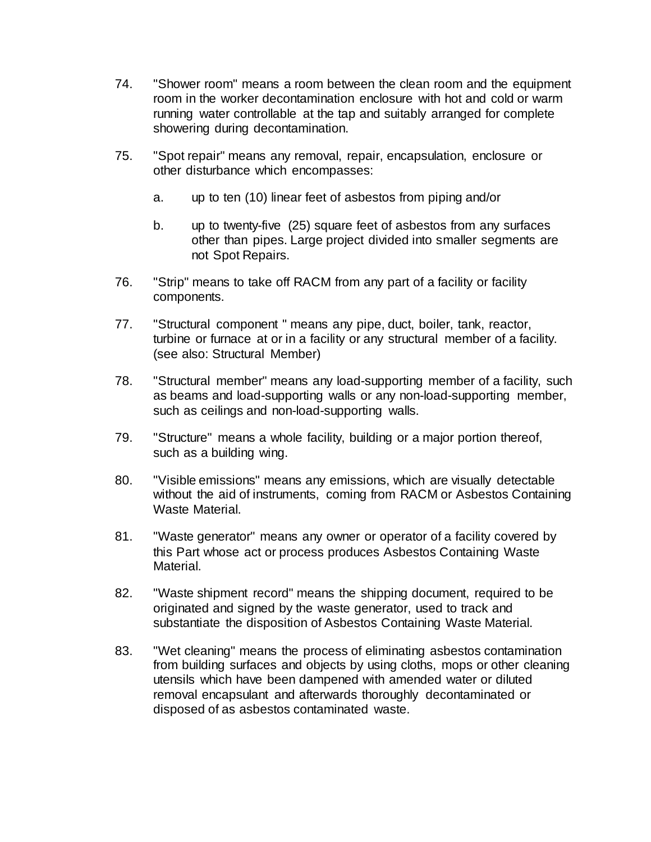- 74. "Shower room" means a room between the clean room and the equipment room in the worker decontamination enclosure with hot and cold or warm running water controllable at the tap and suitably arranged for complete showering during decontamination.
- 75. "Spot repair" means any removal, repair, encapsulation, enclosure or other disturbance which encompasses:
	- a. up to ten (10) linear feet of asbestos from piping and/or
	- b. up to twenty-five (25) square feet of asbestos from any surfaces other than pipes. Large project divided into smaller segments are not Spot Repairs.
- 76. "Strip" means to take off RACM from any part of a facility or facility components.
- 77. "Structural component " means any pipe, duct, boiler, tank, reactor, turbine or furnace at or in a facility or any structural member of a facility. (see also: Structural Member)
- 78. "Structural member" means any load-supporting member of a facility, such as beams and load-supporting walls or any non-load-supporting member, such as ceilings and non-load-supporting walls.
- 79. "Structure" means a whole facility, building or a major portion thereof, such as a building wing.
- 80. "Visible emissions" means any emissions, which are visually detectable without the aid of instruments, coming from RACM or Asbestos Containing Waste Material.
- 81. "Waste generator" means any owner or operator of a facility covered by this Part whose act or process produces Asbestos Containing Waste Material.
- 82. "Waste shipment record" means the shipping document, required to be originated and signed by the waste generator, used to track and substantiate the disposition of Asbestos Containing Waste Material.
- 83. "Wet cleaning" means the process of eliminating asbestos contamination from building surfaces and objects by using cloths, mops or other cleaning utensils which have been dampened with amended water or diluted removal encapsulant and afterwards thoroughly decontaminated or disposed of as asbestos contaminated waste.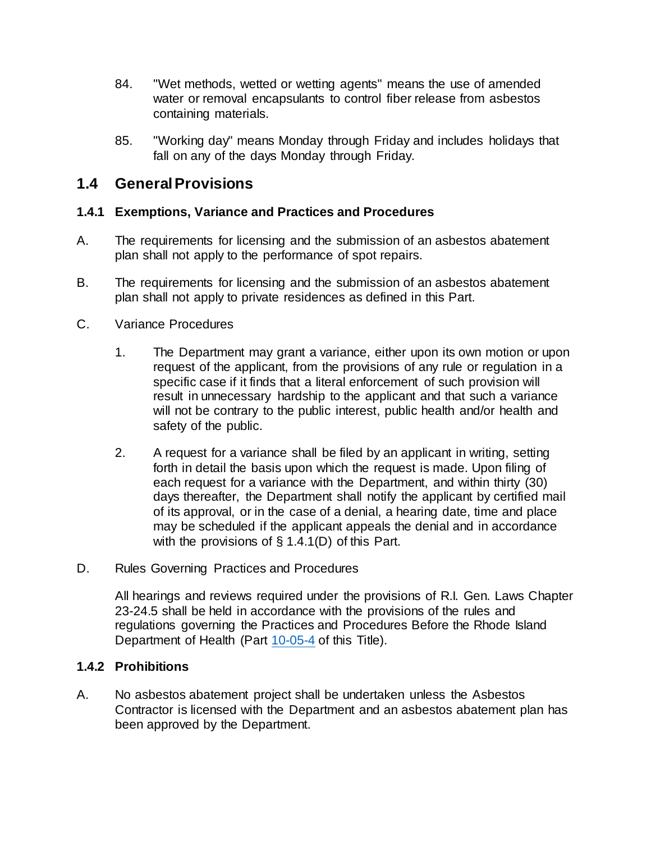- 84. "Wet methods, wetted or wetting agents" means the use of amended water or removal encapsulants to control fiber release from asbestos containing materials.
- 85. "Working day" means Monday through Friday and includes holidays that fall on any of the days Monday through Friday.

## **1.4 General Provisions**

### **1.4.1 Exemptions, Variance and Practices and Procedures**

- A. The requirements for licensing and the submission of an asbestos abatement plan shall not apply to the performance of spot repairs.
- B. The requirements for licensing and the submission of an asbestos abatement plan shall not apply to private residences as defined in this Part.
- C. Variance Procedures
	- 1. The Department may grant a variance, either upon its own motion or upon request of the applicant, from the provisions of any rule or regulation in a specific case if it finds that a literal enforcement of such provision will result in unnecessary hardship to the applicant and that such a variance will not be contrary to the public interest, public health and/or health and safety of the public.
	- 2. A request for a variance shall be filed by an applicant in writing, setting forth in detail the basis upon which the request is made. Upon filing of each request for a variance with the Department, and within thirty (30) days thereafter, the Department shall notify the applicant by certified mail of its approval, or in the case of a denial, a hearing date, time and place may be scheduled if the applicant appeals the denial and in accordance with the provisions of § 1.4.1(D) of this Part.
- D. Rules Governing Practices and Procedures

All hearings and reviews required under the provisions of R.I. Gen. Laws Chapter 23-24.5 shall be held in accordance with the provisions of the rules and regulations governing the Practices and Procedures Before the Rhode Island Department of Health (Part [10-05-4](https://rules.sos.ri.gov/regulations/part/216-10-05-4) of this Title).

### **1.4.2 Prohibitions**

A. No asbestos abatement project shall be undertaken unless the Asbestos Contractor is licensed with the Department and an asbestos abatement plan has been approved by the Department.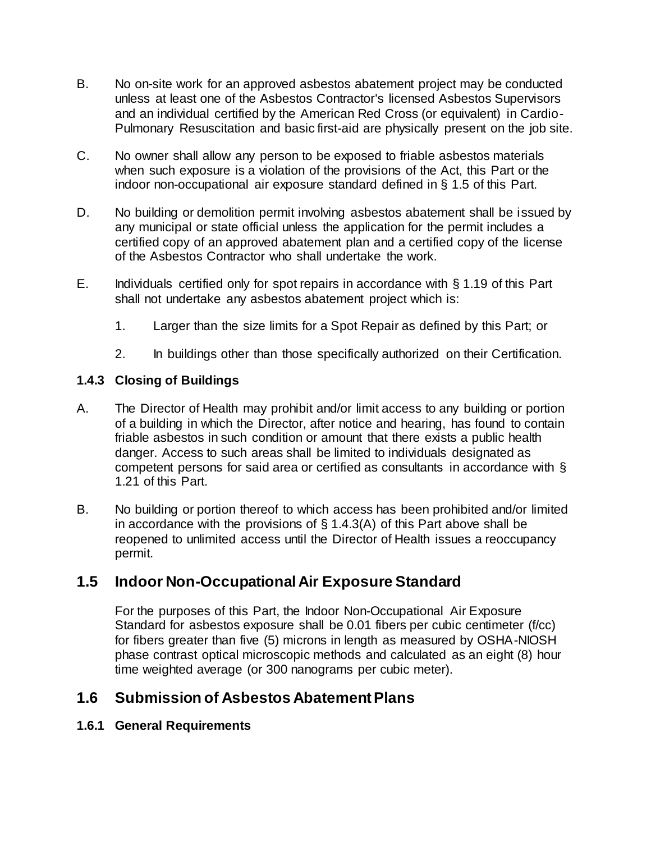- B. No on-site work for an approved asbestos abatement project may be conducted unless at least one of the Asbestos Contractor's licensed Asbestos Supervisors and an individual certified by the American Red Cross (or equivalent) in Cardio-Pulmonary Resuscitation and basic first-aid are physically present on the job site.
- C. No owner shall allow any person to be exposed to friable asbestos materials when such exposure is a violation of the provisions of the Act, this Part or the indoor non-occupational air exposure standard defined in § 1.5 of this Part.
- D. No building or demolition permit involving asbestos abatement shall be issued by any municipal or state official unless the application for the permit includes a certified copy of an approved abatement plan and a certified copy of the license of the Asbestos Contractor who shall undertake the work.
- E. Individuals certified only for spot repairs in accordance with § 1.19 of this Part shall not undertake any asbestos abatement project which is:
	- 1. Larger than the size limits for a Spot Repair as defined by this Part; or
	- 2. In buildings other than those specifically authorized on their Certification.

### **1.4.3 Closing of Buildings**

- A. The Director of Health may prohibit and/or limit access to any building or portion of a building in which the Director, after notice and hearing, has found to contain friable asbestos in such condition or amount that there exists a public health danger. Access to such areas shall be limited to individuals designated as competent persons for said area or certified as consultants in accordance with § 1.21 of this Part.
- B. No building or portion thereof to which access has been prohibited and/or limited in accordance with the provisions of  $\S$  1.4.3(A) of this Part above shall be reopened to unlimited access until the Director of Health issues a reoccupancy permit.

## **1.5 Indoor Non-Occupational Air Exposure Standard**

For the purposes of this Part, the Indoor Non-Occupational Air Exposure Standard for asbestos exposure shall be 0.01 fibers per cubic centimeter (f/cc) for fibers greater than five (5) microns in length as measured by OSHA-NIOSH phase contrast optical microscopic methods and calculated as an eight (8) hour time weighted average (or 300 nanograms per cubic meter).

## **1.6 Submission of Asbestos Abatement Plans**

### **1.6.1 General Requirements**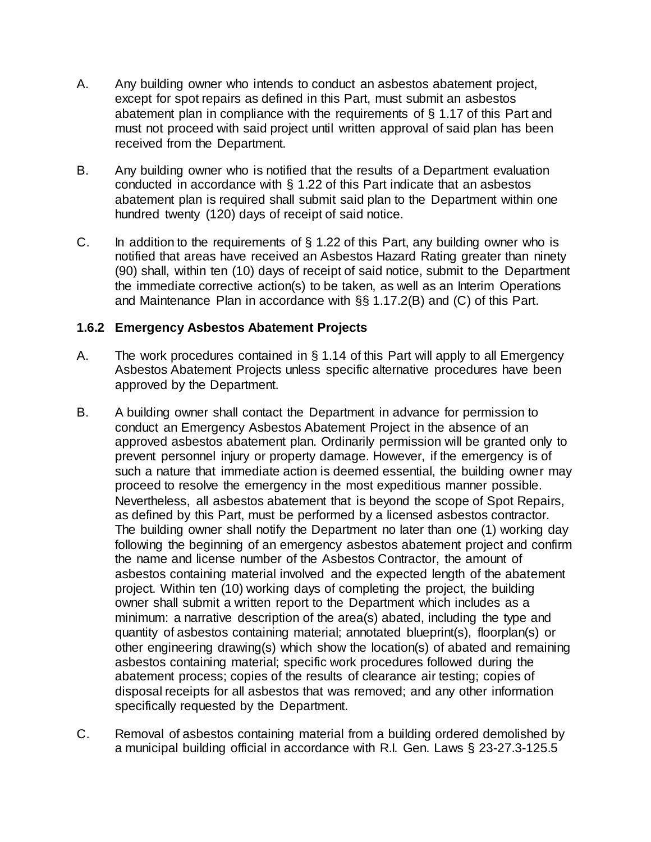- A. Any building owner who intends to conduct an asbestos abatement project, except for spot repairs as defined in this Part, must submit an asbestos abatement plan in compliance with the requirements of § 1.17 of this Part and must not proceed with said project until written approval of said plan has been received from the Department.
- B. Any building owner who is notified that the results of a Department evaluation conducted in accordance with § 1.22 of this Part indicate that an asbestos abatement plan is required shall submit said plan to the Department within one hundred twenty (120) days of receipt of said notice.
- C. In addition to the requirements of  $\S$  1.22 of this Part, any building owner who is notified that areas have received an Asbestos Hazard Rating greater than ninety (90) shall, within ten (10) days of receipt of said notice, submit to the Department the immediate corrective action(s) to be taken, as well as an Interim Operations and Maintenance Plan in accordance with §§ 1.17.2(B) and (C) of this Part.

### **1.6.2 Emergency Asbestos Abatement Projects**

- A. The work procedures contained in § 1.14 of this Part will apply to all Emergency Asbestos Abatement Projects unless specific alternative procedures have been approved by the Department.
- B. A building owner shall contact the Department in advance for permission to conduct an Emergency Asbestos Abatement Project in the absence of an approved asbestos abatement plan. Ordinarily permission will be granted only to prevent personnel injury or property damage. However, if the emergency is of such a nature that immediate action is deemed essential, the building owner may proceed to resolve the emergency in the most expeditious manner possible. Nevertheless, all asbestos abatement that is beyond the scope of Spot Repairs, as defined by this Part, must be performed by a licensed asbestos contractor. The building owner shall notify the Department no later than one (1) working day following the beginning of an emergency asbestos abatement project and confirm the name and license number of the Asbestos Contractor, the amount of asbestos containing material involved and the expected length of the abatement project. Within ten (10) working days of completing the project, the building owner shall submit a written report to the Department which includes as a minimum: a narrative description of the area(s) abated, including the type and quantity of asbestos containing material; annotated blueprint(s), floorplan(s) or other engineering drawing(s) which show the location(s) of abated and remaining asbestos containing material; specific work procedures followed during the abatement process; copies of the results of clearance air testing; copies of disposal receipts for all asbestos that was removed; and any other information specifically requested by the Department.
- C. Removal of asbestos containing material from a building ordered demolished by a municipal building official in accordance with R.I. Gen. Laws § 23-27.3-125.5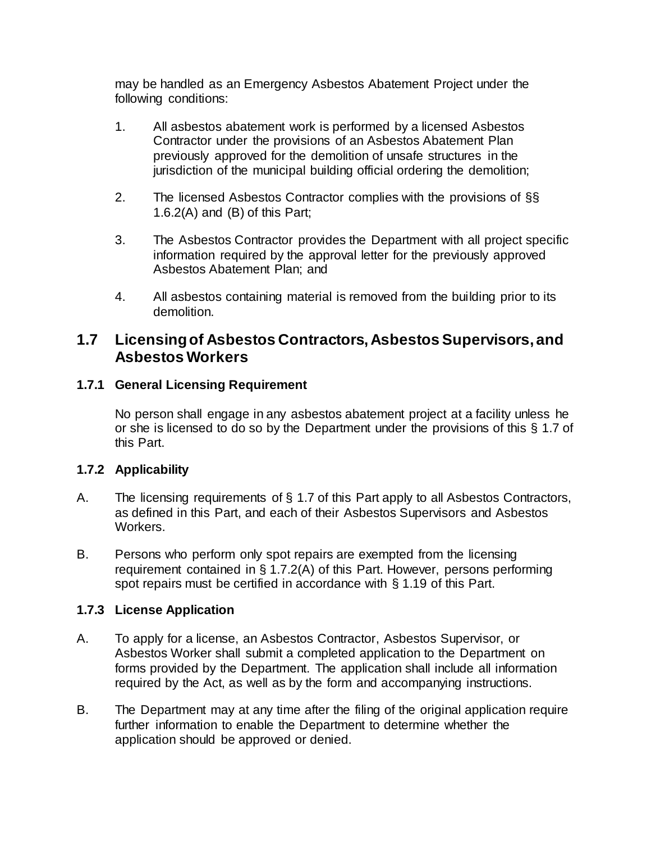may be handled as an Emergency Asbestos Abatement Project under the following conditions:

- 1. All asbestos abatement work is performed by a licensed Asbestos Contractor under the provisions of an Asbestos Abatement Plan previously approved for the demolition of unsafe structures in the jurisdiction of the municipal building official ordering the demolition;
- 2. The licensed Asbestos Contractor complies with the provisions of §§ 1.6.2(A) and (B) of this Part;
- 3. The Asbestos Contractor provides the Department with all project specific information required by the approval letter for the previously approved Asbestos Abatement Plan; and
- 4. All asbestos containing material is removed from the building prior to its demolition.

## **1.7 Licensing of Asbestos Contractors, Asbestos Supervisors, and Asbestos Workers**

### **1.7.1 General Licensing Requirement**

No person shall engage in any asbestos abatement project at a facility unless he or she is licensed to do so by the Department under the provisions of this § 1.7 of this Part.

### **1.7.2 Applicability**

- A. The licensing requirements of § 1.7 of this Part apply to all Asbestos Contractors, as defined in this Part, and each of their Asbestos Supervisors and Asbestos Workers.
- B. Persons who perform only spot repairs are exempted from the licensing requirement contained in § 1.7.2(A) of this Part. However, persons performing spot repairs must be certified in accordance with § 1.19 of this Part.

### **1.7.3 License Application**

- A. To apply for a license, an Asbestos Contractor, Asbestos Supervisor, or Asbestos Worker shall submit a completed application to the Department on forms provided by the Department. The application shall include all information required by the Act, as well as by the form and accompanying instructions.
- B. The Department may at any time after the filing of the original application require further information to enable the Department to determine whether the application should be approved or denied.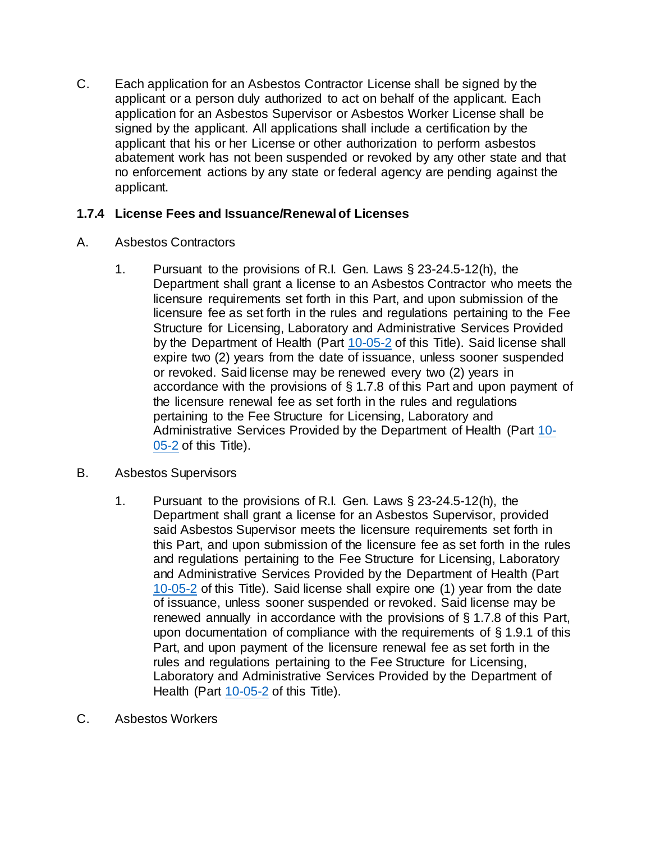C. Each application for an Asbestos Contractor License shall be signed by the applicant or a person duly authorized to act on behalf of the applicant. Each application for an Asbestos Supervisor or Asbestos Worker License shall be signed by the applicant. All applications shall include a certification by the applicant that his or her License or other authorization to perform asbestos abatement work has not been suspended or revoked by any other state and that no enforcement actions by any state or federal agency are pending against the applicant.

### **1.7.4 License Fees and Issuance/Renewal of Licenses**

- A. Asbestos Contractors
	- 1. Pursuant to the provisions of R.I. Gen. Laws § 23-24.5-12(h), the Department shall grant a license to an Asbestos Contractor who meets the licensure requirements set forth in this Part, and upon submission of the licensure fee as set forth in the rules and regulations pertaining to the Fee Structure for Licensing, Laboratory and Administrative Services Provided by the Department of Health (Part [10-05-2](https://rules.sos.ri.gov/regulations/part/216-10-05-2) of this Title). Said license shall expire two (2) years from the date of issuance, unless sooner suspended or revoked. Said license may be renewed every two (2) years in accordance with the provisions of § 1.7.8 of this Part and upon payment of the licensure renewal fee as set forth in the rules and regulations pertaining to the Fee Structure for Licensing, Laboratory and Administrative Services Provided by the Department of Health (Part [10-](https://rules.sos.ri.gov/regulations/part/216-10-05-2) [05-2](https://rules.sos.ri.gov/regulations/part/216-10-05-2) of this Title).
- B. Asbestos Supervisors
	- 1. Pursuant to the provisions of R.I. Gen. Laws § 23-24.5-12(h), the Department shall grant a license for an Asbestos Supervisor, provided said Asbestos Supervisor meets the licensure requirements set forth in this Part, and upon submission of the licensure fee as set forth in the rules and regulations pertaining to the Fee Structure for Licensing, Laboratory and Administrative Services Provided by the Department of Health (Part [10-05-2](https://rules.sos.ri.gov/regulations/part/216-10-05-2) of this Title). Said license shall expire one (1) year from the date of issuance, unless sooner suspended or revoked. Said license may be renewed annually in accordance with the provisions of § 1.7.8 of this Part, upon documentation of compliance with the requirements of § 1.9.1 of this Part, and upon payment of the licensure renewal fee as set forth in the rules and regulations pertaining to the Fee Structure for Licensing, Laboratory and Administrative Services Provided by the Department of Health (Part [10-05-2](https://rules.sos.ri.gov/regulations/part/216-10-05-2) of this Title).
- C. Asbestos Workers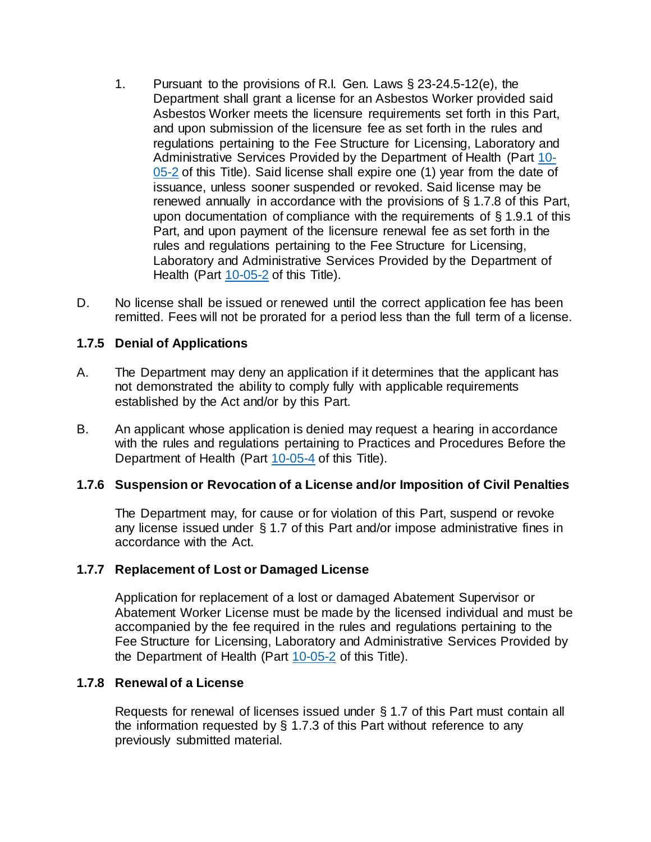- 1. Pursuant to the provisions of R.I. Gen. Laws § 23-24.5-12(e), the Department shall grant a license for an Asbestos Worker provided said Asbestos Worker meets the licensure requirements set forth in this Part, and upon submission of the licensure fee as set forth in the rules and regulations pertaining to the Fee Structure for Licensing, Laboratory and Administrative Services Provided by the Department of Health (Part [10-](https://rules.sos.ri.gov/regulations/part/216-10-05-2) [05-2](https://rules.sos.ri.gov/regulations/part/216-10-05-2) of this Title). Said license shall expire one (1) year from the date of issuance, unless sooner suspended or revoked. Said license may be renewed annually in accordance with the provisions of § 1.7.8 of this Part, upon documentation of compliance with the requirements of § 1.9.1 of this Part, and upon payment of the licensure renewal fee as set forth in the rules and regulations pertaining to the Fee Structure for Licensing, Laboratory and Administrative Services Provided by the Department of Health (Part [10-05-2](https://rules.sos.ri.gov/regulations/part/216-10-05-2) of this Title).
- D. No license shall be issued or renewed until the correct application fee has been remitted. Fees will not be prorated for a period less than the full term of a license.

### **1.7.5 Denial of Applications**

- A. The Department may deny an application if it determines that the applicant has not demonstrated the ability to comply fully with applicable requirements established by the Act and/or by this Part.
- B. An applicant whose application is denied may request a hearing in accordance with the rules and regulations pertaining to Practices and Procedures Before the Department of Health (Part [10-05-4](https://rules.sos.ri.gov/regulations/part/216-10-05-4) of this Title).

### **1.7.6 Suspension or Revocation of a License and/or Imposition of Civil Penalties**

The Department may, for cause or for violation of this Part, suspend or revoke any license issued under § 1.7 of this Part and/or impose administrative fines in accordance with the Act.

### **1.7.7 Replacement of Lost or Damaged License**

Application for replacement of a lost or damaged Abatement Supervisor or Abatement Worker License must be made by the licensed individual and must be accompanied by the fee required in the rules and regulations pertaining to the Fee Structure for Licensing, Laboratory and Administrative Services Provided by the Department of Health (Part [10-05-2](https://rules.sos.ri.gov/regulations/part/216-10-05-2) of this Title).

### **1.7.8 Renewal of a License**

Requests for renewal of licenses issued under § 1.7 of this Part must contain all the information requested by § 1.7.3 of this Part without reference to any previously submitted material.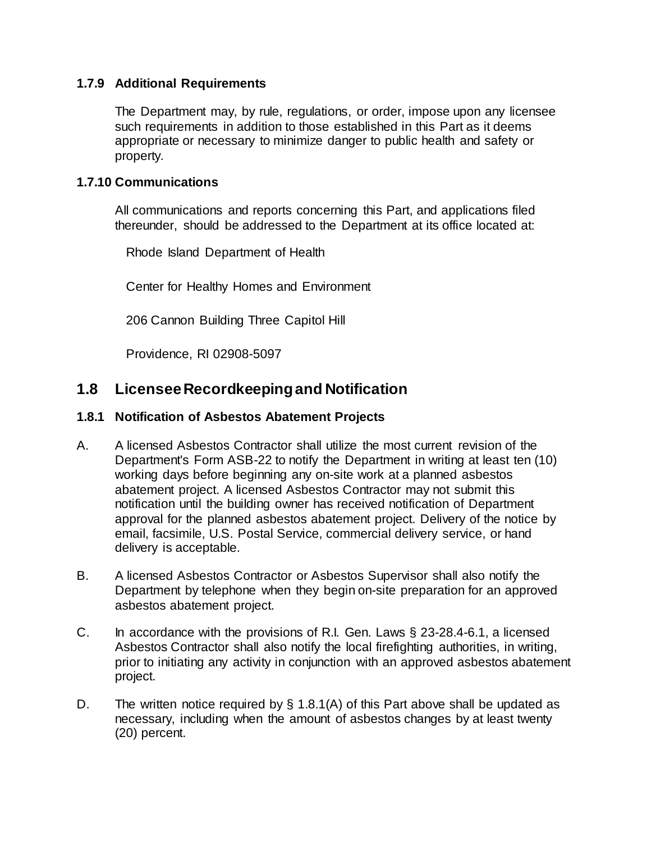### **1.7.9 Additional Requirements**

The Department may, by rule, regulations, or order, impose upon any licensee such requirements in addition to those established in this Part as it deems appropriate or necessary to minimize danger to public health and safety or property.

### **1.7.10 Communications**

All communications and reports concerning this Part, and applications filed thereunder, should be addressed to the Department at its office located at:

Rhode Island Department of Health

Center for Healthy Homes and Environment

206 Cannon Building Three Capitol Hill

Providence, RI 02908-5097

## **1.8 Licensee Recordkeeping and Notification**

### **1.8.1 Notification of Asbestos Abatement Projects**

- A. A licensed Asbestos Contractor shall utilize the most current revision of the Department's Form ASB-22 to notify the Department in writing at least ten (10) working days before beginning any on-site work at a planned asbestos abatement project. A licensed Asbestos Contractor may not submit this notification until the building owner has received notification of Department approval for the planned asbestos abatement project. Delivery of the notice by email, facsimile, U.S. Postal Service, commercial delivery service, or hand delivery is acceptable.
- B. A licensed Asbestos Contractor or Asbestos Supervisor shall also notify the Department by telephone when they begin on-site preparation for an approved asbestos abatement project.
- C. In accordance with the provisions of R.I. Gen. Laws § 23-28.4-6.1, a licensed Asbestos Contractor shall also notify the local firefighting authorities, in writing, prior to initiating any activity in conjunction with an approved asbestos abatement project.
- D. The written notice required by  $\S$  1.8.1(A) of this Part above shall be updated as necessary, including when the amount of asbestos changes by at least twenty (20) percent.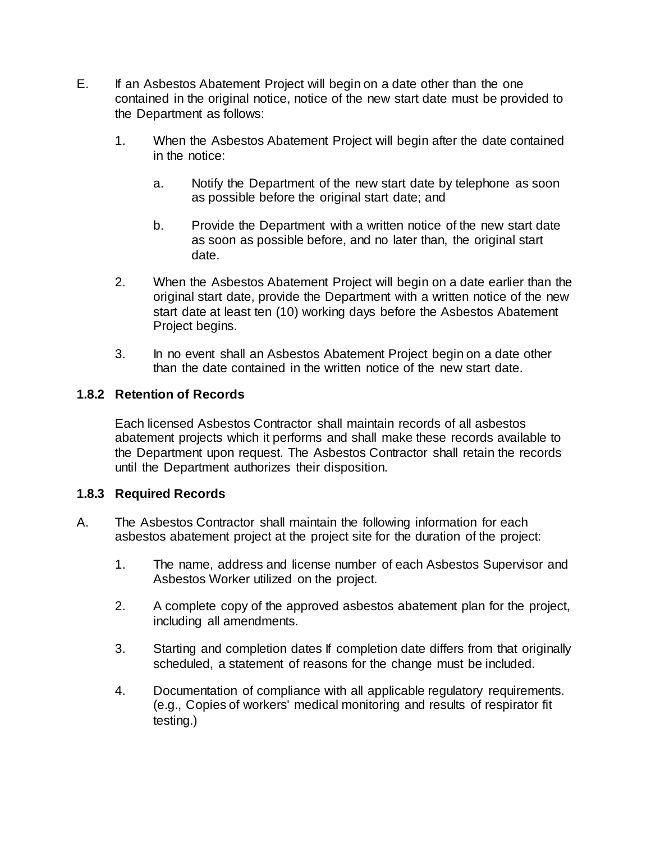- E. If an Asbestos Abatement Project will begin on a date other than the one contained in the original notice, notice of the new start date must be provided to the Department as follows:
	- 1. When the Asbestos Abatement Project will begin after the date contained in the notice:
		- a. Notify the Department of the new start date by telephone as soon as possible before the original start date; and
		- b. Provide the Department with a written notice of the new start date as soon as possible before, and no later than, the original start date.
	- 2. When the Asbestos Abatement Project will begin on a date earlier than the original start date, provide the Department with a written notice of the new start date at least ten (10) working days before the Asbestos Abatement Project begins.
	- 3. In no event shall an Asbestos Abatement Project begin on a date other than the date contained in the written notice of the new start date.

### **1.8.2 Retention of Records**

Each licensed Asbestos Contractor shall maintain records of all asbestos abatement projects which it performs and shall make these records available to the Department upon request. The Asbestos Contractor shall retain the records until the Department authorizes their disposition.

### **1.8.3 Required Records**

- A. The Asbestos Contractor shall maintain the following information for each asbestos abatement project at the project site for the duration of the project:
	- 1. The name, address and license number of each Asbestos Supervisor and Asbestos Worker utilized on the project.
	- 2. A complete copy of the approved asbestos abatement plan for the project, including all amendments.
	- 3. Starting and completion dates If completion date differs from that originally scheduled, a statement of reasons for the change must be included.
	- 4. Documentation of compliance with all applicable regulatory requirements. (e.g., Copies of workers' medical monitoring and results of respirator fit testing.)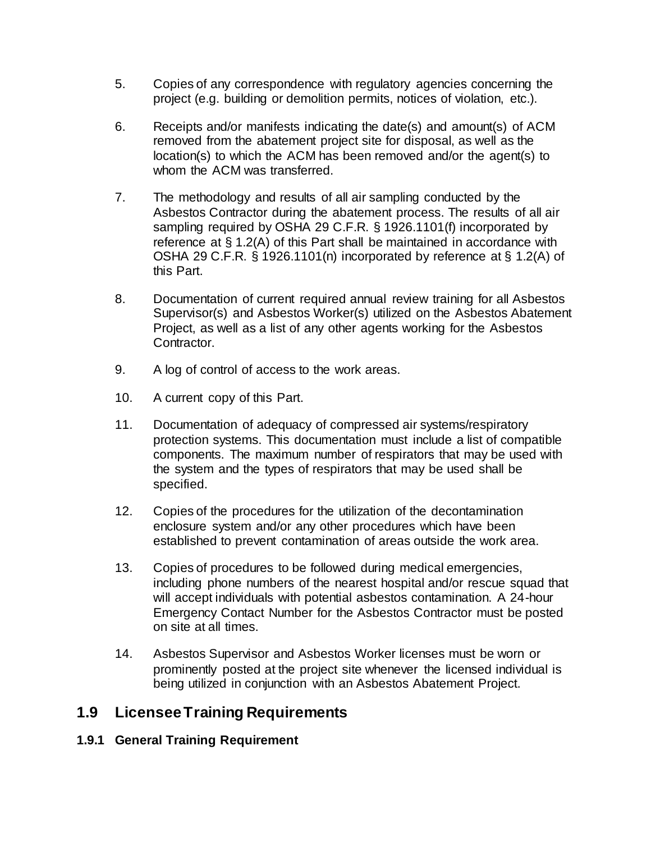- 5. Copies of any correspondence with regulatory agencies concerning the project (e.g. building or demolition permits, notices of violation, etc.).
- 6. Receipts and/or manifests indicating the date(s) and amount(s) of ACM removed from the abatement project site for disposal, as well as the location(s) to which the ACM has been removed and/or the agent(s) to whom the ACM was transferred.
- 7. The methodology and results of all air sampling conducted by the Asbestos Contractor during the abatement process. The results of all air sampling required by OSHA 29 C.F.R. § 1926.1101(f) incorporated by reference at § 1.2(A) of this Part shall be maintained in accordance with OSHA 29 C.F.R. § 1926.1101(n) incorporated by reference at § 1.2(A) of this Part.
- 8. Documentation of current required annual review training for all Asbestos Supervisor(s) and Asbestos Worker(s) utilized on the Asbestos Abatement Project, as well as a list of any other agents working for the Asbestos Contractor.
- 9. A log of control of access to the work areas.
- 10. A current copy of this Part.
- 11. Documentation of adequacy of compressed air systems/respiratory protection systems. This documentation must include a list of compatible components. The maximum number of respirators that may be used with the system and the types of respirators that may be used shall be specified.
- 12. Copies of the procedures for the utilization of the decontamination enclosure system and/or any other procedures which have been established to prevent contamination of areas outside the work area.
- 13. Copies of procedures to be followed during medical emergencies, including phone numbers of the nearest hospital and/or rescue squad that will accept individuals with potential asbestos contamination. A 24-hour Emergency Contact Number for the Asbestos Contractor must be posted on site at all times.
- 14. Asbestos Supervisor and Asbestos Worker licenses must be worn or prominently posted at the project site whenever the licensed individual is being utilized in conjunction with an Asbestos Abatement Project.

## **1.9 Licensee Training Requirements**

### **1.9.1 General Training Requirement**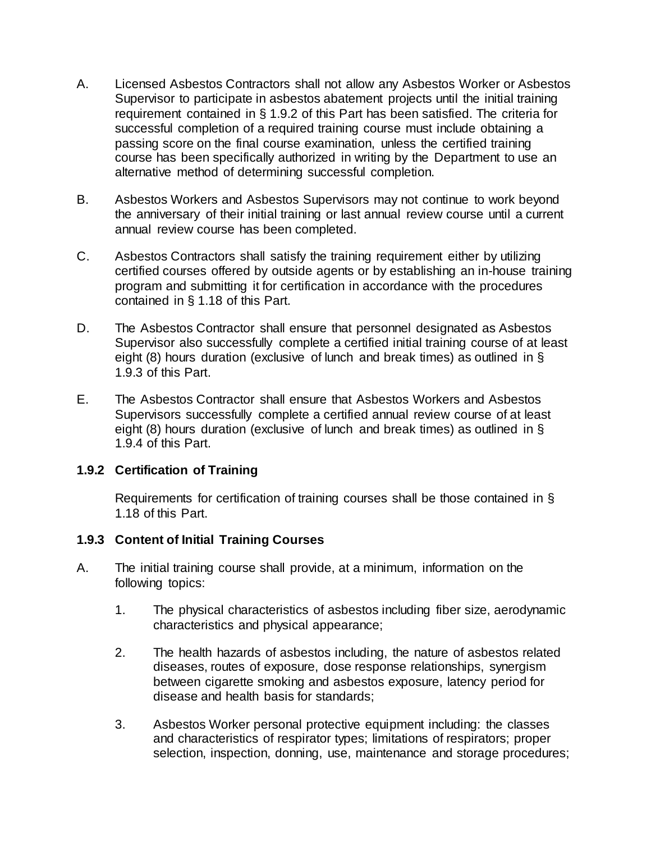- A. Licensed Asbestos Contractors shall not allow any Asbestos Worker or Asbestos Supervisor to participate in asbestos abatement projects until the initial training requirement contained in § 1.9.2 of this Part has been satisfied. The criteria for successful completion of a required training course must include obtaining a passing score on the final course examination, unless the certified training course has been specifically authorized in writing by the Department to use an alternative method of determining successful completion.
- B. Asbestos Workers and Asbestos Supervisors may not continue to work beyond the anniversary of their initial training or last annual review course until a current annual review course has been completed.
- C. Asbestos Contractors shall satisfy the training requirement either by utilizing certified courses offered by outside agents or by establishing an in-house training program and submitting it for certification in accordance with the procedures contained in § 1.18 of this Part.
- D. The Asbestos Contractor shall ensure that personnel designated as Asbestos Supervisor also successfully complete a certified initial training course of at least eight (8) hours duration (exclusive of lunch and break times) as outlined in § 1.9.3 of this Part.
- E. The Asbestos Contractor shall ensure that Asbestos Workers and Asbestos Supervisors successfully complete a certified annual review course of at least eight (8) hours duration (exclusive of lunch and break times) as outlined in § 1.9.4 of this Part.

### **1.9.2 Certification of Training**

Requirements for certification of training courses shall be those contained in § 1.18 of this Part.

### **1.9.3 Content of Initial Training Courses**

- A. The initial training course shall provide, at a minimum, information on the following topics:
	- 1. The physical characteristics of asbestos including fiber size, aerodynamic characteristics and physical appearance;
	- 2. The health hazards of asbestos including, the nature of asbestos related diseases, routes of exposure, dose response relationships, synergism between cigarette smoking and asbestos exposure, latency period for disease and health basis for standards;
	- 3. Asbestos Worker personal protective equipment including: the classes and characteristics of respirator types; limitations of respirators; proper selection, inspection, donning, use, maintenance and storage procedures;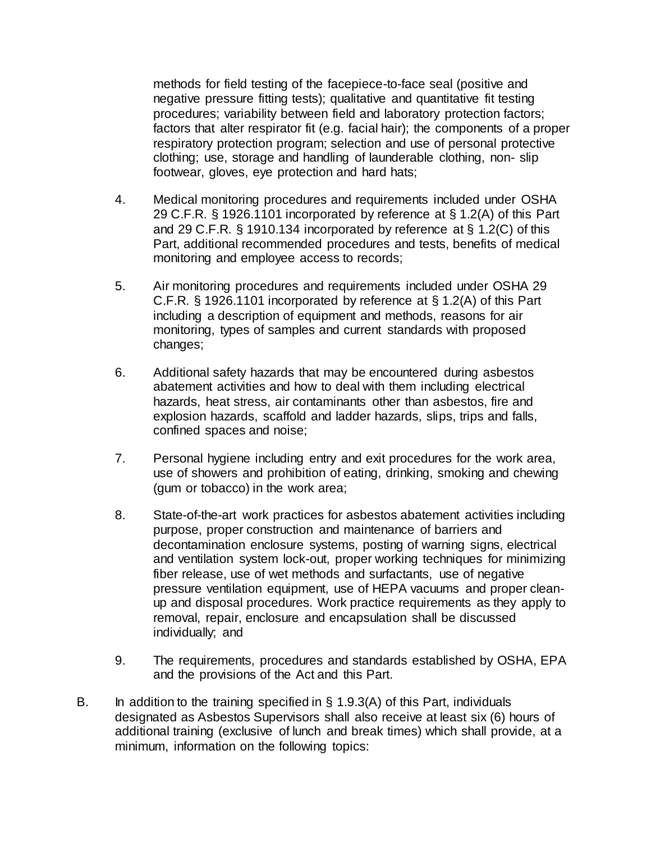methods for field testing of the facepiece-to-face seal (positive and negative pressure fitting tests); qualitative and quantitative fit testing procedures; variability between field and laboratory protection factors; factors that alter respirator fit (e.g. facial hair); the components of a proper respiratory protection program; selection and use of personal protective clothing; use, storage and handling of launderable clothing, non- slip footwear, gloves, eye protection and hard hats;

- 4. Medical monitoring procedures and requirements included under OSHA 29 C.F.R. § 1926.1101 incorporated by reference at § 1.2(A) of this Part and 29 C.F.R. § 1910.134 incorporated by reference at § 1.2(C) of this Part, additional recommended procedures and tests, benefits of medical monitoring and employee access to records;
- 5. Air monitoring procedures and requirements included under OSHA 29 C.F.R. § 1926.1101 incorporated by reference at § 1.2(A) of this Part including a description of equipment and methods, reasons for air monitoring, types of samples and current standards with proposed changes;
- 6. Additional safety hazards that may be encountered during asbestos abatement activities and how to deal with them including electrical hazards, heat stress, air contaminants other than asbestos, fire and explosion hazards, scaffold and ladder hazards, slips, trips and falls, confined spaces and noise;
- 7. Personal hygiene including entry and exit procedures for the work area, use of showers and prohibition of eating, drinking, smoking and chewing (gum or tobacco) in the work area;
- 8. State-of-the-art work practices for asbestos abatement activities including purpose, proper construction and maintenance of barriers and decontamination enclosure systems, posting of warning signs, electrical and ventilation system lock-out, proper working techniques for minimizing fiber release, use of wet methods and surfactants, use of negative pressure ventilation equipment, use of HEPA vacuums and proper cleanup and disposal procedures. Work practice requirements as they apply to removal, repair, enclosure and encapsulation shall be discussed individually; and
- 9. The requirements, procedures and standards established by OSHA, EPA and the provisions of the Act and this Part.
- B. In addition to the training specified in  $\S$  1.9.3(A) of this Part, individuals designated as Asbestos Supervisors shall also receive at least six (6) hours of additional training (exclusive of lunch and break times) which shall provide, at a minimum, information on the following topics: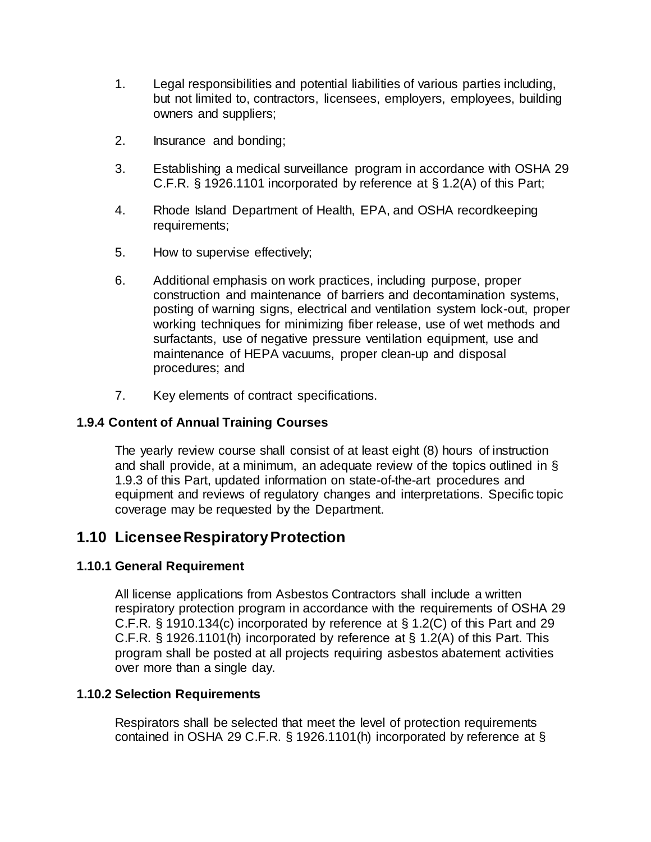- 1. Legal responsibilities and potential liabilities of various parties including, but not limited to, contractors, licensees, employers, employees, building owners and suppliers;
- 2. Insurance and bonding;
- 3. Establishing a medical surveillance program in accordance with OSHA 29 C.F.R. § 1926.1101 incorporated by reference at § 1.2(A) of this Part;
- 4. Rhode Island Department of Health, EPA, and OSHA recordkeeping requirements;
- 5. How to supervise effectively;
- 6. Additional emphasis on work practices, including purpose, proper construction and maintenance of barriers and decontamination systems, posting of warning signs, electrical and ventilation system lock-out, proper working techniques for minimizing fiber release, use of wet methods and surfactants, use of negative pressure ventilation equipment, use and maintenance of HEPA vacuums, proper clean-up and disposal procedures; and
- 7. Key elements of contract specifications.

### **1.9.4 Content of Annual Training Courses**

The yearly review course shall consist of at least eight (8) hours of instruction and shall provide, at a minimum, an adequate review of the topics outlined in § 1.9.3 of this Part, updated information on state-of-the-art procedures and equipment and reviews of regulatory changes and interpretations. Specific topic coverage may be requested by the Department.

## **1.10 Licensee Respiratory Protection**

### **1.10.1 General Requirement**

All license applications from Asbestos Contractors shall include a written respiratory protection program in accordance with the requirements of OSHA 29 C.F.R. § 1910.134(c) incorporated by reference at § 1.2(C) of this Part and 29 C.F.R. § 1926.1101(h) incorporated by reference at § 1.2(A) of this Part. This program shall be posted at all projects requiring asbestos abatement activities over more than a single day.

### **1.10.2 Selection Requirements**

Respirators shall be selected that meet the level of protection requirements contained in OSHA 29 C.F.R. § 1926.1101(h) incorporated by reference at §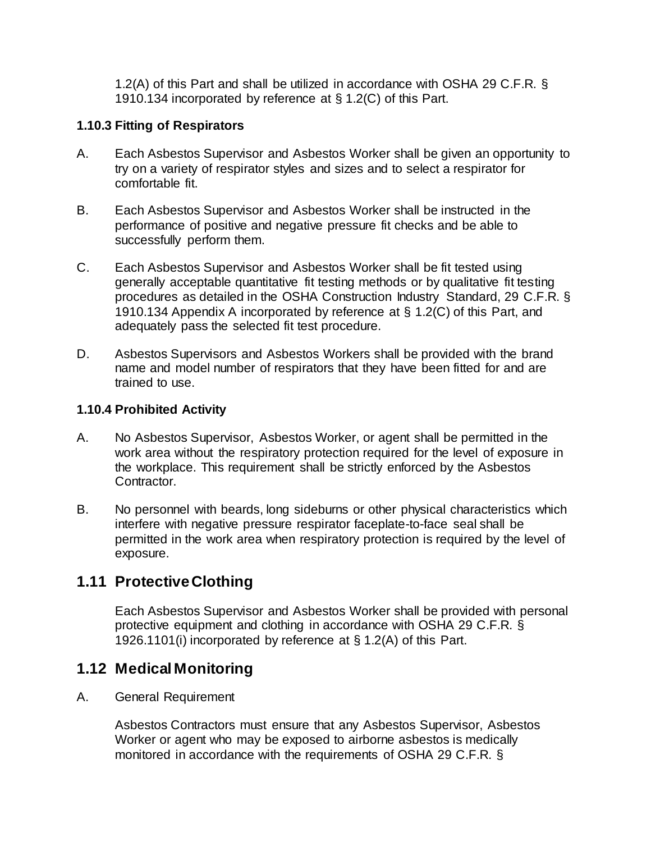1.2(A) of this Part and shall be utilized in accordance with OSHA 29 C.F.R. § 1910.134 incorporated by reference at § 1.2(C) of this Part.

### **1.10.3 Fitting of Respirators**

- A. Each Asbestos Supervisor and Asbestos Worker shall be given an opportunity to try on a variety of respirator styles and sizes and to select a respirator for comfortable fit.
- B. Each Asbestos Supervisor and Asbestos Worker shall be instructed in the performance of positive and negative pressure fit checks and be able to successfully perform them.
- C. Each Asbestos Supervisor and Asbestos Worker shall be fit tested using generally acceptable quantitative fit testing methods or by qualitative fit testing procedures as detailed in the OSHA Construction Industry Standard, 29 C.F.R. § 1910.134 Appendix A incorporated by reference at § 1.2(C) of this Part, and adequately pass the selected fit test procedure.
- D. Asbestos Supervisors and Asbestos Workers shall be provided with the brand name and model number of respirators that they have been fitted for and are trained to use.

### **1.10.4 Prohibited Activity**

- A. No Asbestos Supervisor, Asbestos Worker, or agent shall be permitted in the work area without the respiratory protection required for the level of exposure in the workplace. This requirement shall be strictly enforced by the Asbestos Contractor.
- B. No personnel with beards, long sideburns or other physical characteristics which interfere with negative pressure respirator faceplate-to-face seal shall be permitted in the work area when respiratory protection is required by the level of exposure.

## **1.11 Protective Clothing**

Each Asbestos Supervisor and Asbestos Worker shall be provided with personal protective equipment and clothing in accordance with OSHA 29 C.F.R. § 1926.1101(i) incorporated by reference at § 1.2(A) of this Part.

## **1.12 Medical Monitoring**

A. General Requirement

Asbestos Contractors must ensure that any Asbestos Supervisor, Asbestos Worker or agent who may be exposed to airborne asbestos is medically monitored in accordance with the requirements of OSHA 29 C.F.R. §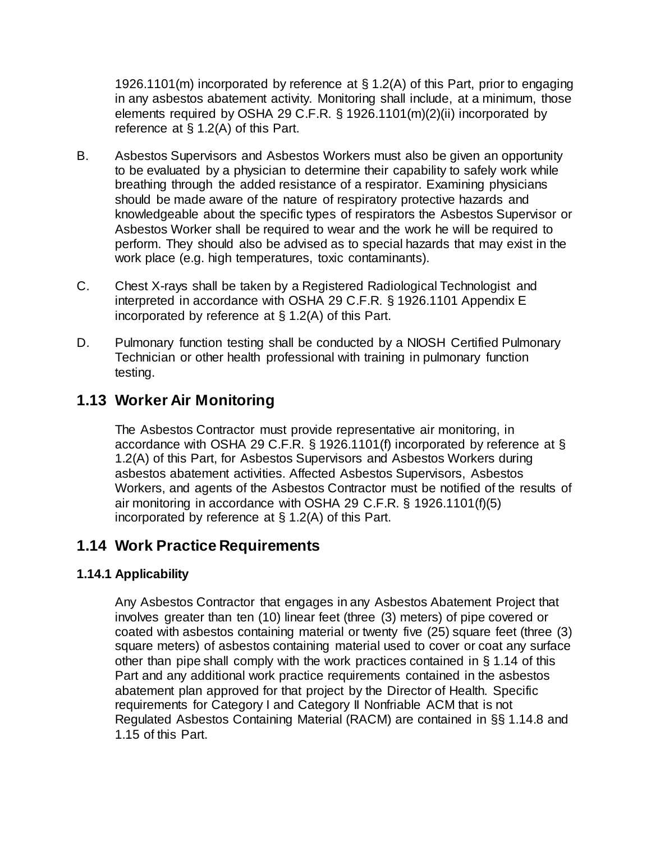1926.1101(m) incorporated by reference at § 1.2(A) of this Part, prior to engaging in any asbestos abatement activity. Monitoring shall include, at a minimum, those elements required by OSHA 29 C.F.R. § 1926.1101(m)(2)(ii) incorporated by reference at § 1.2(A) of this Part.

- B. Asbestos Supervisors and Asbestos Workers must also be given an opportunity to be evaluated by a physician to determine their capability to safely work while breathing through the added resistance of a respirator. Examining physicians should be made aware of the nature of respiratory protective hazards and knowledgeable about the specific types of respirators the Asbestos Supervisor or Asbestos Worker shall be required to wear and the work he will be required to perform. They should also be advised as to special hazards that may exist in the work place (e.g. high temperatures, toxic contaminants).
- C. Chest X-rays shall be taken by a Registered Radiological Technologist and interpreted in accordance with OSHA 29 C.F.R. § 1926.1101 Appendix E incorporated by reference at § 1.2(A) of this Part.
- D. Pulmonary function testing shall be conducted by a NIOSH Certified Pulmonary Technician or other health professional with training in pulmonary function testing.

## **1.13 Worker Air Monitoring**

The Asbestos Contractor must provide representative air monitoring, in accordance with OSHA 29 C.F.R. § 1926.1101(f) incorporated by reference at § 1.2(A) of this Part, for Asbestos Supervisors and Asbestos Workers during asbestos abatement activities. Affected Asbestos Supervisors, Asbestos Workers, and agents of the Asbestos Contractor must be notified of the results of air monitoring in accordance with OSHA 29 C.F.R. § 1926.1101(f)(5) incorporated by reference at § 1.2(A) of this Part.

## **1.14 Work Practice Requirements**

### **1.14.1 Applicability**

Any Asbestos Contractor that engages in any Asbestos Abatement Project that involves greater than ten (10) linear feet (three (3) meters) of pipe covered or coated with asbestos containing material or twenty five (25) square feet (three (3) square meters) of asbestos containing material used to cover or coat any surface other than pipe shall comply with the work practices contained in § 1.14 of this Part and any additional work practice requirements contained in the asbestos abatement plan approved for that project by the Director of Health. Specific requirements for Category I and Category II Nonfriable ACM that is not Regulated Asbestos Containing Material (RACM) are contained in §§ 1.14.8 and 1.15 of this Part.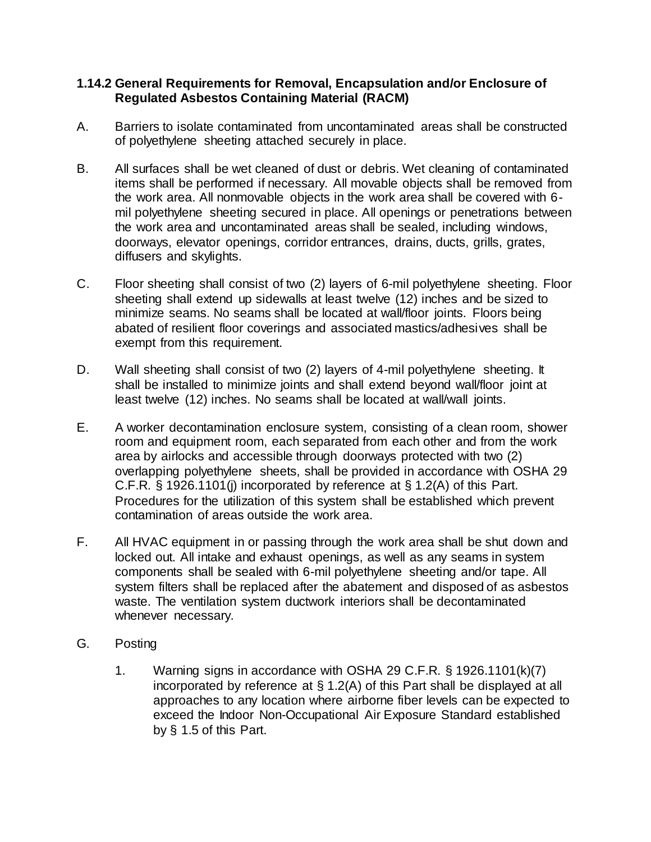### **1.14.2 General Requirements for Removal, Encapsulation and/or Enclosure of Regulated Asbestos Containing Material (RACM)**

- A. Barriers to isolate contaminated from uncontaminated areas shall be constructed of polyethylene sheeting attached securely in place.
- B. All surfaces shall be wet cleaned of dust or debris. Wet cleaning of contaminated items shall be performed if necessary. All movable objects shall be removed from the work area. All nonmovable objects in the work area shall be covered with 6 mil polyethylene sheeting secured in place. All openings or penetrations between the work area and uncontaminated areas shall be sealed, including windows, doorways, elevator openings, corridor entrances, drains, ducts, grills, grates, diffusers and skylights.
- C. Floor sheeting shall consist of two (2) layers of 6-mil polyethylene sheeting. Floor sheeting shall extend up sidewalls at least twelve (12) inches and be sized to minimize seams. No seams shall be located at wall/floor joints. Floors being abated of resilient floor coverings and associated mastics/adhesives shall be exempt from this requirement.
- D. Wall sheeting shall consist of two (2) layers of 4-mil polyethylene sheeting. It shall be installed to minimize joints and shall extend beyond wall/floor joint at least twelve (12) inches. No seams shall be located at wall/wall joints.
- E. A worker decontamination enclosure system, consisting of a clean room, shower room and equipment room, each separated from each other and from the work area by airlocks and accessible through doorways protected with two (2) overlapping polyethylene sheets, shall be provided in accordance with OSHA 29 C.F.R. § 1926.1101(j) incorporated by reference at § 1.2(A) of this Part. Procedures for the utilization of this system shall be established which prevent contamination of areas outside the work area.
- F. All HVAC equipment in or passing through the work area shall be shut down and locked out. All intake and exhaust openings, as well as any seams in system components shall be sealed with 6-mil polyethylene sheeting and/or tape. All system filters shall be replaced after the abatement and disposed of as asbestos waste. The ventilation system ductwork interiors shall be decontaminated whenever necessary.
- G. Posting
	- 1. Warning signs in accordance with OSHA 29 C.F.R. § 1926.1101(k)(7) incorporated by reference at § 1.2(A) of this Part shall be displayed at all approaches to any location where airborne fiber levels can be expected to exceed the Indoor Non-Occupational Air Exposure Standard established by § 1.5 of this Part.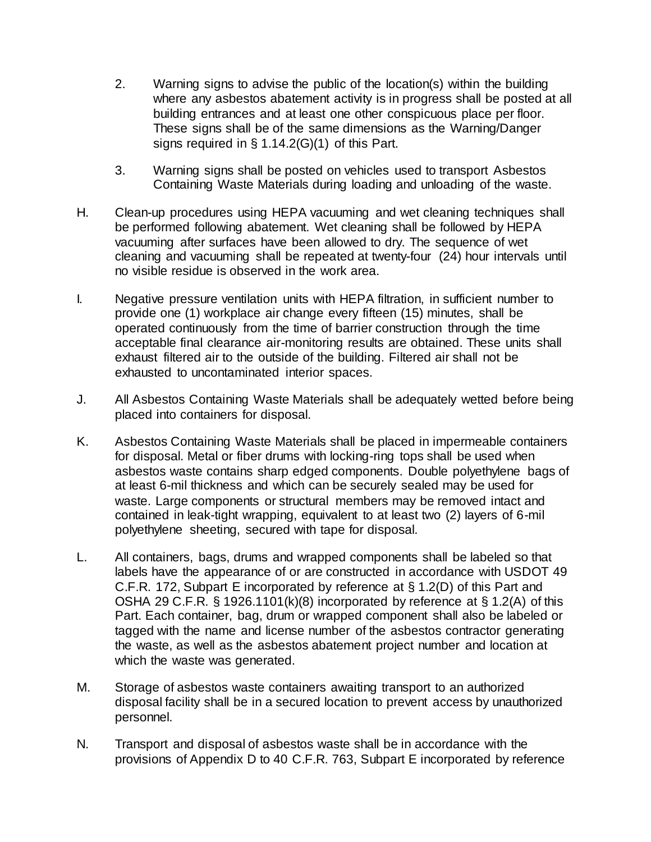- 2. Warning signs to advise the public of the location(s) within the building where any asbestos abatement activity is in progress shall be posted at all building entrances and at least one other conspicuous place per floor. These signs shall be of the same dimensions as the Warning/Danger signs required in § 1.14.2(G)(1) of this Part.
- 3. Warning signs shall be posted on vehicles used to transport Asbestos Containing Waste Materials during loading and unloading of the waste.
- H. Clean-up procedures using HEPA vacuuming and wet cleaning techniques shall be performed following abatement. Wet cleaning shall be followed by HEPA vacuuming after surfaces have been allowed to dry. The sequence of wet cleaning and vacuuming shall be repeated at twenty-four (24) hour intervals until no visible residue is observed in the work area.
- I. Negative pressure ventilation units with HEPA filtration, in sufficient number to provide one (1) workplace air change every fifteen (15) minutes, shall be operated continuously from the time of barrier construction through the time acceptable final clearance air-monitoring results are obtained. These units shall exhaust filtered air to the outside of the building. Filtered air shall not be exhausted to uncontaminated interior spaces.
- J. All Asbestos Containing Waste Materials shall be adequately wetted before being placed into containers for disposal.
- K. Asbestos Containing Waste Materials shall be placed in impermeable containers for disposal. Metal or fiber drums with locking-ring tops shall be used when asbestos waste contains sharp edged components. Double polyethylene bags of at least 6-mil thickness and which can be securely sealed may be used for waste. Large components or structural members may be removed intact and contained in leak-tight wrapping, equivalent to at least two (2) layers of 6-mil polyethylene sheeting, secured with tape for disposal.
- L. All containers, bags, drums and wrapped components shall be labeled so that labels have the appearance of or are constructed in accordance with USDOT 49 C.F.R. 172, Subpart E incorporated by reference at § 1.2(D) of this Part and OSHA 29 C.F.R. § 1926.1101(k)(8) incorporated by reference at § 1.2(A) of this Part. Each container, bag, drum or wrapped component shall also be labeled or tagged with the name and license number of the asbestos contractor generating the waste, as well as the asbestos abatement project number and location at which the waste was generated.
- M. Storage of asbestos waste containers awaiting transport to an authorized disposal facility shall be in a secured location to prevent access by unauthorized personnel.
- N. Transport and disposal of asbestos waste shall be in accordance with the provisions of Appendix D to 40 C.F.R. 763, Subpart E incorporated by reference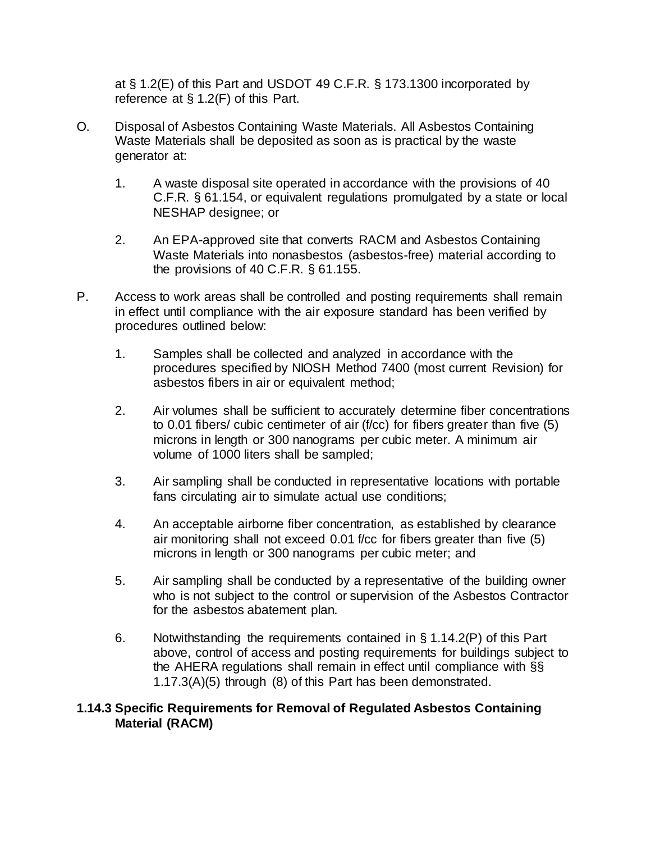at § 1.2(E) of this Part and USDOT 49 C.F.R. § 173.1300 incorporated by reference at § 1.2(F) of this Part.

- O. Disposal of Asbestos Containing Waste Materials. All Asbestos Containing Waste Materials shall be deposited as soon as is practical by the waste generator at:
	- 1. A waste disposal site operated in accordance with the provisions of 40 C.F.R. § 61.154, or equivalent regulations promulgated by a state or local NESHAP designee; or
	- 2. An EPA-approved site that converts RACM and Asbestos Containing Waste Materials into nonasbestos (asbestos-free) material according to the provisions of 40 C.F.R. § 61.155.
- P. Access to work areas shall be controlled and posting requirements shall remain in effect until compliance with the air exposure standard has been verified by procedures outlined below:
	- 1. Samples shall be collected and analyzed in accordance with the procedures specified by NIOSH Method 7400 (most current Revision) for asbestos fibers in air or equivalent method;
	- 2. Air volumes shall be sufficient to accurately determine fiber concentrations to 0.01 fibers/ cubic centimeter of air (f/cc) for fibers greater than five (5) microns in length or 300 nanograms per cubic meter. A minimum air volume of 1000 liters shall be sampled;
	- 3. Air sampling shall be conducted in representative locations with portable fans circulating air to simulate actual use conditions;
	- 4. An acceptable airborne fiber concentration, as established by clearance air monitoring shall not exceed 0.01 f/cc for fibers greater than five (5) microns in length or 300 nanograms per cubic meter; and
	- 5. Air sampling shall be conducted by a representative of the building owner who is not subject to the control or supervision of the Asbestos Contractor for the asbestos abatement plan.
	- 6. Notwithstanding the requirements contained in § 1.14.2(P) of this Part above, control of access and posting requirements for buildings subject to the AHERA regulations shall remain in effect until compliance with §§ 1.17.3(A)(5) through (8) of this Part has been demonstrated.

### **1.14.3 Specific Requirements for Removal of Regulated Asbestos Containing Material (RACM)**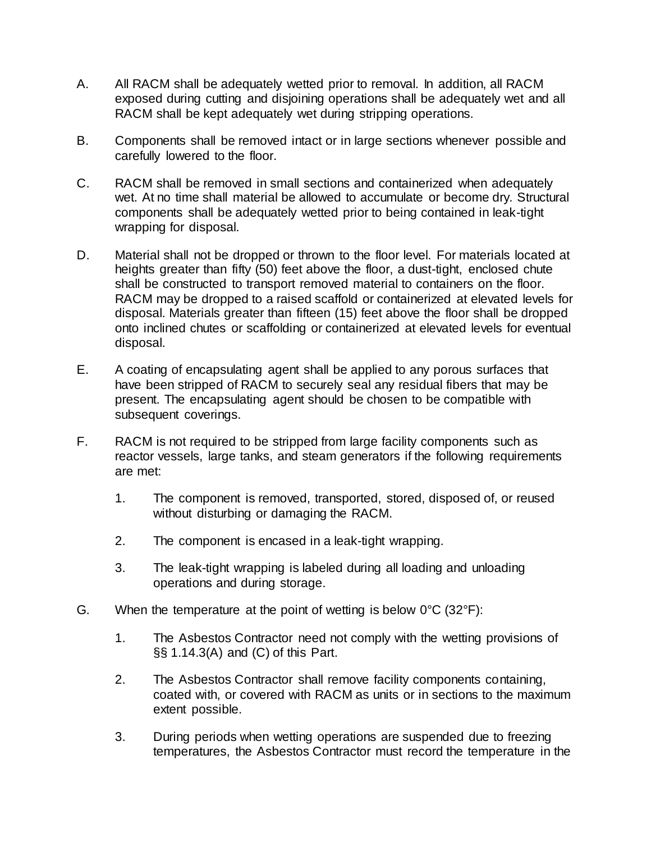- A. All RACM shall be adequately wetted prior to removal. In addition, all RACM exposed during cutting and disjoining operations shall be adequately wet and all RACM shall be kept adequately wet during stripping operations.
- B. Components shall be removed intact or in large sections whenever possible and carefully lowered to the floor.
- C. RACM shall be removed in small sections and containerized when adequately wet. At no time shall material be allowed to accumulate or become dry. Structural components shall be adequately wetted prior to being contained in leak-tight wrapping for disposal.
- D. Material shall not be dropped or thrown to the floor level. For materials located at heights greater than fifty (50) feet above the floor, a dust-tight, enclosed chute shall be constructed to transport removed material to containers on the floor. RACM may be dropped to a raised scaffold or containerized at elevated levels for disposal. Materials greater than fifteen (15) feet above the floor shall be dropped onto inclined chutes or scaffolding or containerized at elevated levels for eventual disposal.
- E. A coating of encapsulating agent shall be applied to any porous surfaces that have been stripped of RACM to securely seal any residual fibers that may be present. The encapsulating agent should be chosen to be compatible with subsequent coverings.
- F. RACM is not required to be stripped from large facility components such as reactor vessels, large tanks, and steam generators if the following requirements are met:
	- 1. The component is removed, transported, stored, disposed of, or reused without disturbing or damaging the RACM.
	- 2. The component is encased in a leak-tight wrapping.
	- 3. The leak-tight wrapping is labeled during all loading and unloading operations and during storage.
- G. When the temperature at the point of wetting is below  $0^{\circ}C$  (32 $^{\circ}F$ ):
	- 1. The Asbestos Contractor need not comply with the wetting provisions of §§ 1.14.3(A) and (C) of this Part.
	- 2. The Asbestos Contractor shall remove facility components containing, coated with, or covered with RACM as units or in sections to the maximum extent possible.
	- 3. During periods when wetting operations are suspended due to freezing temperatures, the Asbestos Contractor must record the temperature in the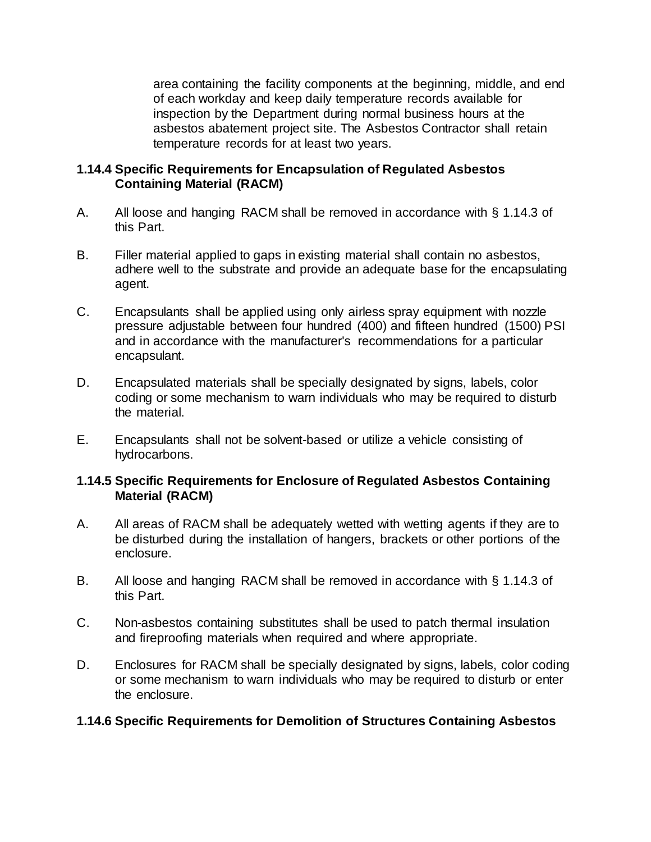area containing the facility components at the beginning, middle, and end of each workday and keep daily temperature records available for inspection by the Department during normal business hours at the asbestos abatement project site. The Asbestos Contractor shall retain temperature records for at least two years.

### **1.14.4 Specific Requirements for Encapsulation of Regulated Asbestos Containing Material (RACM)**

- A. All loose and hanging RACM shall be removed in accordance with § 1.14.3 of this Part.
- B. Filler material applied to gaps in existing material shall contain no asbestos, adhere well to the substrate and provide an adequate base for the encapsulating agent.
- C. Encapsulants shall be applied using only airless spray equipment with nozzle pressure adjustable between four hundred (400) and fifteen hundred (1500) PSI and in accordance with the manufacturer's recommendations for a particular encapsulant.
- D. Encapsulated materials shall be specially designated by signs, labels, color coding or some mechanism to warn individuals who may be required to disturb the material.
- E. Encapsulants shall not be solvent-based or utilize a vehicle consisting of hydrocarbons.

### **1.14.5 Specific Requirements for Enclosure of Regulated Asbestos Containing Material (RACM)**

- A. All areas of RACM shall be adequately wetted with wetting agents if they are to be disturbed during the installation of hangers, brackets or other portions of the enclosure.
- B. All loose and hanging RACM shall be removed in accordance with § 1.14.3 of this Part.
- C. Non-asbestos containing substitutes shall be used to patch thermal insulation and fireproofing materials when required and where appropriate.
- D. Enclosures for RACM shall be specially designated by signs, labels, color coding or some mechanism to warn individuals who may be required to disturb or enter the enclosure.

### **1.14.6 Specific Requirements for Demolition of Structures Containing Asbestos**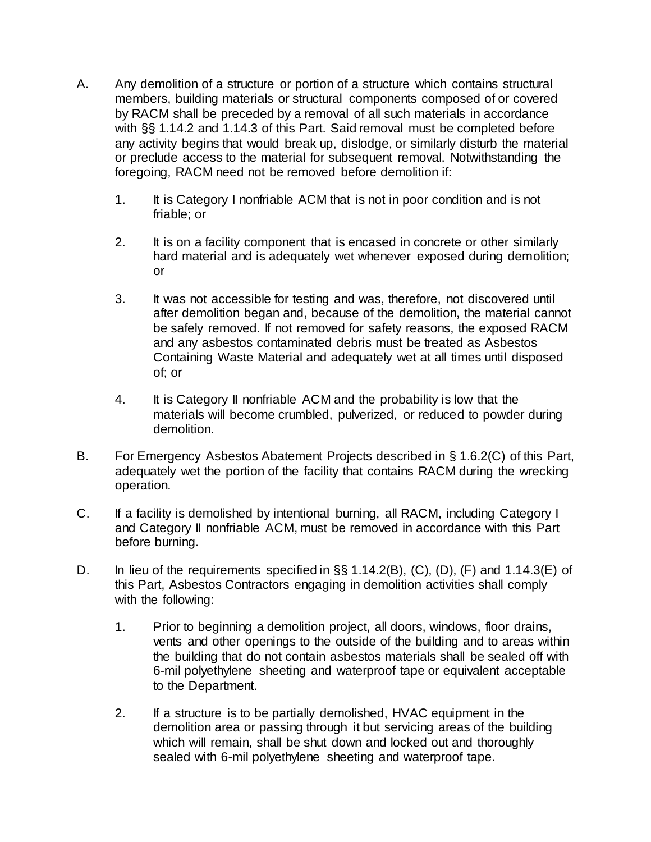- A. Any demolition of a structure or portion of a structure which contains structural members, building materials or structural components composed of or covered by RACM shall be preceded by a removal of all such materials in accordance with §§ 1.14.2 and 1.14.3 of this Part. Said removal must be completed before any activity begins that would break up, dislodge, or similarly disturb the material or preclude access to the material for subsequent removal. Notwithstanding the foregoing, RACM need not be removed before demolition if:
	- 1. It is Category I nonfriable ACM that is not in poor condition and is not friable; or
	- 2. It is on a facility component that is encased in concrete or other similarly hard material and is adequately wet whenever exposed during demolition; or
	- 3. It was not accessible for testing and was, therefore, not discovered until after demolition began and, because of the demolition, the material cannot be safely removed. If not removed for safety reasons, the exposed RACM and any asbestos contaminated debris must be treated as Asbestos Containing Waste Material and adequately wet at all times until disposed of; or
	- 4. It is Category II nonfriable ACM and the probability is low that the materials will become crumbled, pulverized, or reduced to powder during demolition.
- B. For Emergency Asbestos Abatement Projects described in § 1.6.2(C) of this Part, adequately wet the portion of the facility that contains RACM during the wrecking operation.
- C. If a facility is demolished by intentional burning, all RACM, including Category I and Category II nonfriable ACM, must be removed in accordance with this Part before burning.
- D. In lieu of the requirements specified in §§ 1.14.2(B), (C), (D), (F) and 1.14.3(E) of this Part, Asbestos Contractors engaging in demolition activities shall comply with the following:
	- 1. Prior to beginning a demolition project, all doors, windows, floor drains, vents and other openings to the outside of the building and to areas within the building that do not contain asbestos materials shall be sealed off with 6-mil polyethylene sheeting and waterproof tape or equivalent acceptable to the Department.
	- 2. If a structure is to be partially demolished, HVAC equipment in the demolition area or passing through it but servicing areas of the building which will remain, shall be shut down and locked out and thoroughly sealed with 6-mil polyethylene sheeting and waterproof tape.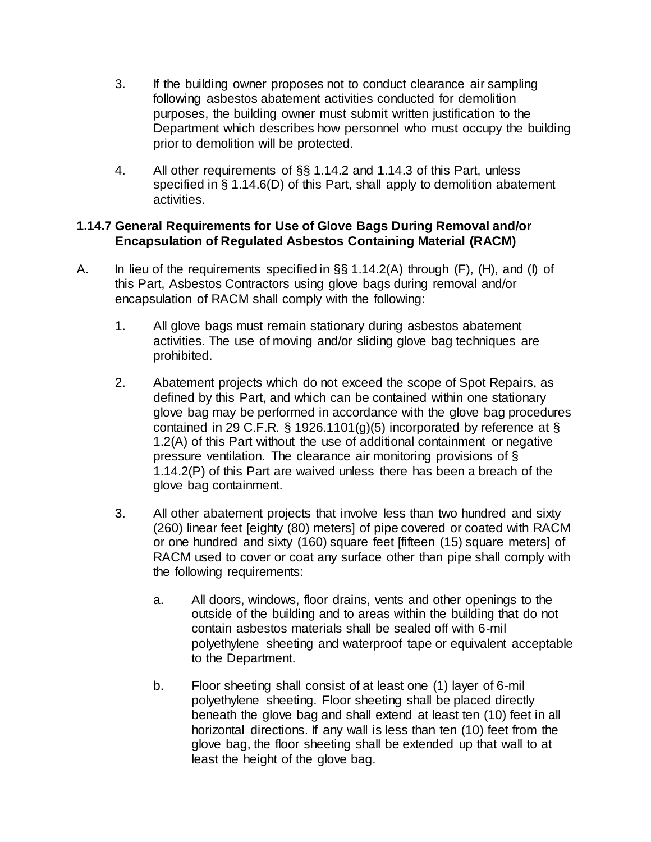- 3. If the building owner proposes not to conduct clearance air sampling following asbestos abatement activities conducted for demolition purposes, the building owner must submit written justification to the Department which describes how personnel who must occupy the building prior to demolition will be protected.
- 4. All other requirements of §§ 1.14.2 and 1.14.3 of this Part, unless specified in § 1.14.6(D) of this Part, shall apply to demolition abatement activities.

### **1.14.7 General Requirements for Use of Glove Bags During Removal and/or Encapsulation of Regulated Asbestos Containing Material (RACM)**

- A. In lieu of the requirements specified in §§ 1.14.2(A) through (F), (H), and (I) of this Part, Asbestos Contractors using glove bags during removal and/or encapsulation of RACM shall comply with the following:
	- 1. All glove bags must remain stationary during asbestos abatement activities. The use of moving and/or sliding glove bag techniques are prohibited.
	- 2. Abatement projects which do not exceed the scope of Spot Repairs, as defined by this Part, and which can be contained within one stationary glove bag may be performed in accordance with the glove bag procedures contained in 29 C.F.R. § 1926.1101(g)(5) incorporated by reference at § 1.2(A) of this Part without the use of additional containment or negative pressure ventilation. The clearance air monitoring provisions of § 1.14.2(P) of this Part are waived unless there has been a breach of the glove bag containment.
	- 3. All other abatement projects that involve less than two hundred and sixty (260) linear feet [eighty (80) meters] of pipe covered or coated with RACM or one hundred and sixty (160) square feet [fifteen (15) square meters] of RACM used to cover or coat any surface other than pipe shall comply with the following requirements:
		- a. All doors, windows, floor drains, vents and other openings to the outside of the building and to areas within the building that do not contain asbestos materials shall be sealed off with 6-mil polyethylene sheeting and waterproof tape or equivalent acceptable to the Department.
		- b. Floor sheeting shall consist of at least one (1) layer of 6-mil polyethylene sheeting. Floor sheeting shall be placed directly beneath the glove bag and shall extend at least ten (10) feet in all horizontal directions. If any wall is less than ten (10) feet from the glove bag, the floor sheeting shall be extended up that wall to at least the height of the glove bag.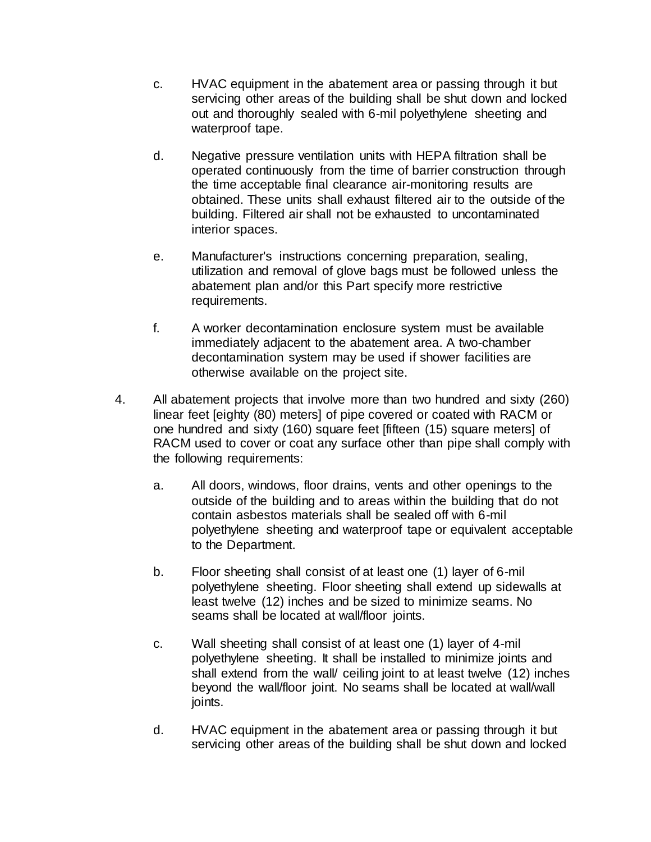- c. HVAC equipment in the abatement area or passing through it but servicing other areas of the building shall be shut down and locked out and thoroughly sealed with 6-mil polyethylene sheeting and waterproof tape.
- d. Negative pressure ventilation units with HEPA filtration shall be operated continuously from the time of barrier construction through the time acceptable final clearance air-monitoring results are obtained. These units shall exhaust filtered air to the outside of the building. Filtered air shall not be exhausted to uncontaminated interior spaces.
- e. Manufacturer's instructions concerning preparation, sealing, utilization and removal of glove bags must be followed unless the abatement plan and/or this Part specify more restrictive requirements.
- f. A worker decontamination enclosure system must be available immediately adjacent to the abatement area. A two-chamber decontamination system may be used if shower facilities are otherwise available on the project site.
- 4. All abatement projects that involve more than two hundred and sixty (260) linear feet [eighty (80) meters] of pipe covered or coated with RACM or one hundred and sixty (160) square feet [fifteen (15) square meters] of RACM used to cover or coat any surface other than pipe shall comply with the following requirements:
	- a. All doors, windows, floor drains, vents and other openings to the outside of the building and to areas within the building that do not contain asbestos materials shall be sealed off with 6-mil polyethylene sheeting and waterproof tape or equivalent acceptable to the Department.
	- b. Floor sheeting shall consist of at least one (1) layer of 6-mil polyethylene sheeting. Floor sheeting shall extend up sidewalls at least twelve (12) inches and be sized to minimize seams. No seams shall be located at wall/floor joints.
	- c. Wall sheeting shall consist of at least one (1) layer of 4-mil polyethylene sheeting. It shall be installed to minimize joints and shall extend from the wall ceiling joint to at least twelve (12) inches beyond the wall/floor joint. No seams shall be located at wall/wall joints.
	- d. HVAC equipment in the abatement area or passing through it but servicing other areas of the building shall be shut down and locked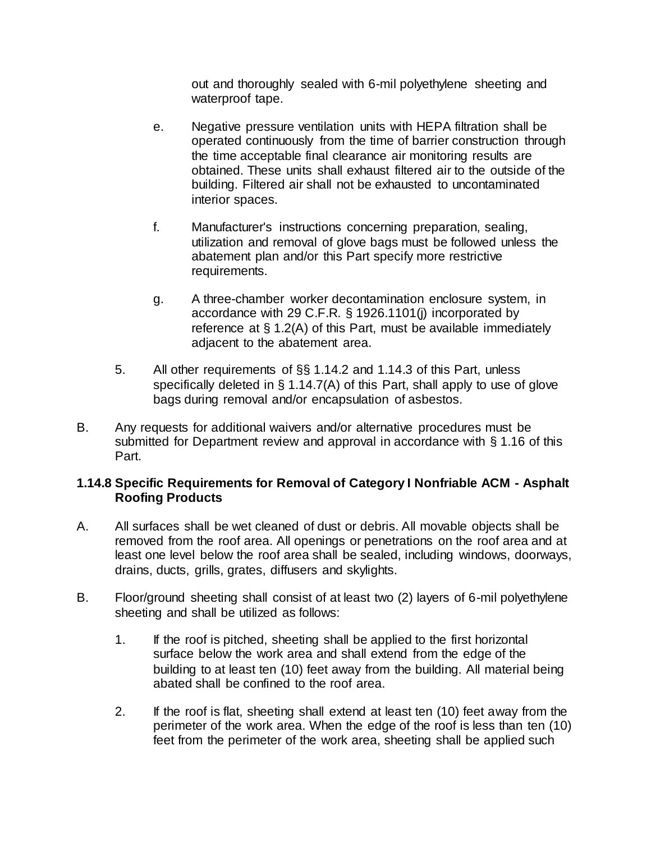out and thoroughly sealed with 6-mil polyethylene sheeting and waterproof tape.

- e. Negative pressure ventilation units with HEPA filtration shall be operated continuously from the time of barrier construction through the time acceptable final clearance air monitoring results are obtained. These units shall exhaust filtered air to the outside of the building. Filtered air shall not be exhausted to uncontaminated interior spaces.
- f. Manufacturer's instructions concerning preparation, sealing, utilization and removal of glove bags must be followed unless the abatement plan and/or this Part specify more restrictive requirements.
- g. A three-chamber worker decontamination enclosure system, in accordance with 29 C.F.R. § 1926.1101(j) incorporated by reference at § 1.2(A) of this Part, must be available immediately adjacent to the abatement area.
- 5. All other requirements of §§ 1.14.2 and 1.14.3 of this Part, unless specifically deleted in § 1.14.7(A) of this Part, shall apply to use of glove bags during removal and/or encapsulation of asbestos.
- B. Any requests for additional waivers and/or alternative procedures must be submitted for Department review and approval in accordance with § 1.16 of this Part.

### **1.14.8 Specific Requirements for Removal of Category I Nonfriable ACM - Asphalt Roofing Products**

- A. All surfaces shall be wet cleaned of dust or debris. All movable objects shall be removed from the roof area. All openings or penetrations on the roof area and at least one level below the roof area shall be sealed, including windows, doorways, drains, ducts, grills, grates, diffusers and skylights.
- B. Floor/ground sheeting shall consist of at least two (2) layers of 6-mil polyethylene sheeting and shall be utilized as follows:
	- 1. If the roof is pitched, sheeting shall be applied to the first horizontal surface below the work area and shall extend from the edge of the building to at least ten (10) feet away from the building. All material being abated shall be confined to the roof area.
	- 2. If the roof is flat, sheeting shall extend at least ten (10) feet away from the perimeter of the work area. When the edge of the roof is less than ten (10) feet from the perimeter of the work area, sheeting shall be applied such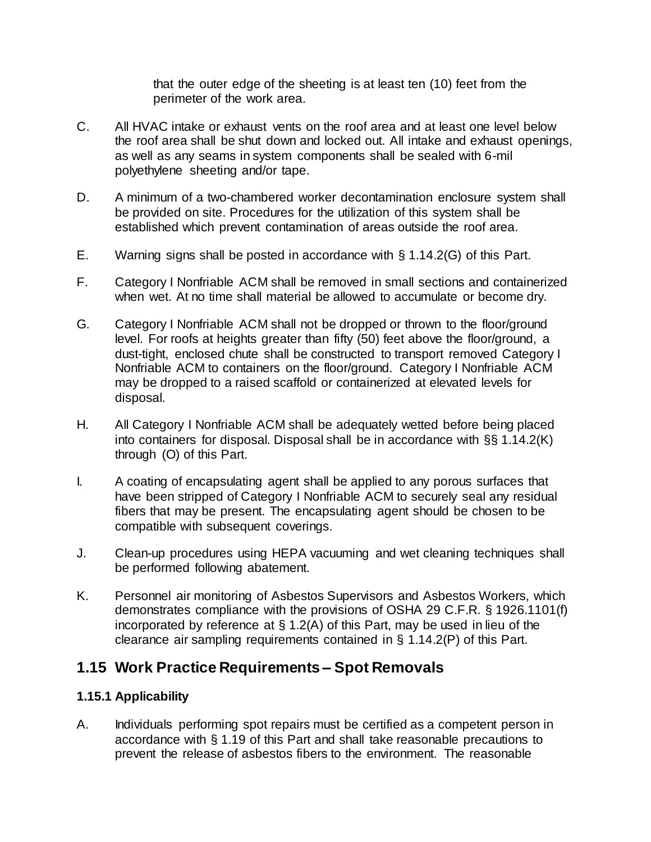that the outer edge of the sheeting is at least ten (10) feet from the perimeter of the work area.

- C. All HVAC intake or exhaust vents on the roof area and at least one level below the roof area shall be shut down and locked out. All intake and exhaust openings, as well as any seams in system components shall be sealed with 6-mil polyethylene sheeting and/or tape.
- D. A minimum of a two-chambered worker decontamination enclosure system shall be provided on site. Procedures for the utilization of this system shall be established which prevent contamination of areas outside the roof area.
- E. Warning signs shall be posted in accordance with § 1.14.2(G) of this Part.
- F. Category I Nonfriable ACM shall be removed in small sections and containerized when wet. At no time shall material be allowed to accumulate or become dry.
- G. Category I Nonfriable ACM shall not be dropped or thrown to the floor/ground level. For roofs at heights greater than fifty (50) feet above the floor/ground, a dust-tight, enclosed chute shall be constructed to transport removed Category I Nonfriable ACM to containers on the floor/ground. Category I Nonfriable ACM may be dropped to a raised scaffold or containerized at elevated levels for disposal.
- H. All Category I Nonfriable ACM shall be adequately wetted before being placed into containers for disposal. Disposal shall be in accordance with §§ 1.14.2(K) through (O) of this Part.
- I. A coating of encapsulating agent shall be applied to any porous surfaces that have been stripped of Category I Nonfriable ACM to securely seal any residual fibers that may be present. The encapsulating agent should be chosen to be compatible with subsequent coverings.
- J. Clean-up procedures using HEPA vacuuming and wet cleaning techniques shall be performed following abatement.
- K. Personnel air monitoring of Asbestos Supervisors and Asbestos Workers, which demonstrates compliance with the provisions of OSHA 29 C.F.R. § 1926.1101(f) incorporated by reference at  $\S$  1.2(A) of this Part, may be used in lieu of the clearance air sampling requirements contained in § 1.14.2(P) of this Part.

## **1.15 Work Practice Requirements – Spot Removals**

### **1.15.1 Applicability**

A. Individuals performing spot repairs must be certified as a competent person in accordance with § 1.19 of this Part and shall take reasonable precautions to prevent the release of asbestos fibers to the environment. The reasonable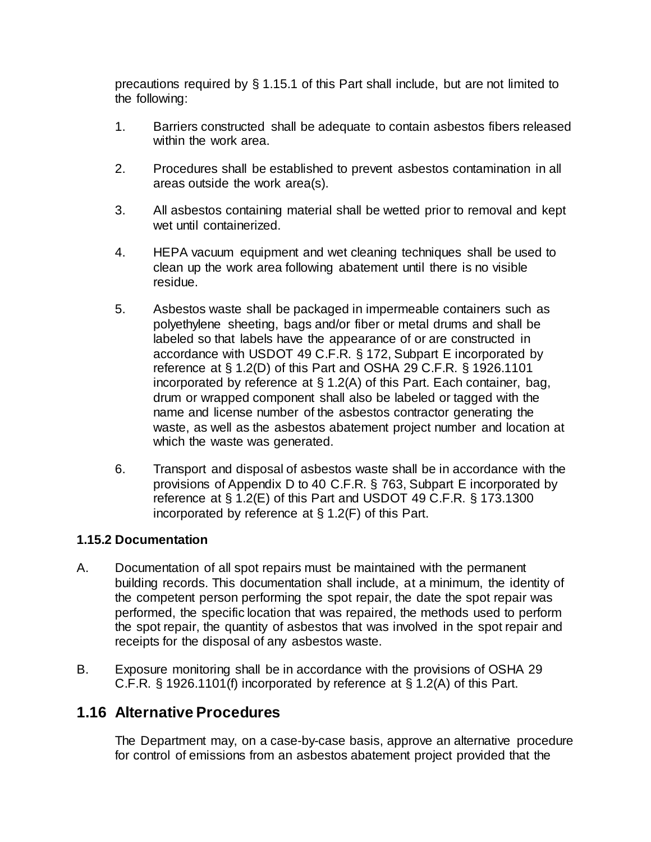precautions required by § 1.15.1 of this Part shall include, but are not limited to the following:

- 1. Barriers constructed shall be adequate to contain asbestos fibers released within the work area.
- 2. Procedures shall be established to prevent asbestos contamination in all areas outside the work area(s).
- 3. All asbestos containing material shall be wetted prior to removal and kept wet until containerized.
- 4. HEPA vacuum equipment and wet cleaning techniques shall be used to clean up the work area following abatement until there is no visible residue.
- 5. Asbestos waste shall be packaged in impermeable containers such as polyethylene sheeting, bags and/or fiber or metal drums and shall be labeled so that labels have the appearance of or are constructed in accordance with USDOT 49 C.F.R. § 172, Subpart E incorporated by reference at § 1.2(D) of this Part and OSHA 29 C.F.R. § 1926.1101 incorporated by reference at § 1.2(A) of this Part. Each container, bag, drum or wrapped component shall also be labeled or tagged with the name and license number of the asbestos contractor generating the waste, as well as the asbestos abatement project number and location at which the waste was generated.
- 6. Transport and disposal of asbestos waste shall be in accordance with the provisions of Appendix D to 40 C.F.R. § 763, Subpart E incorporated by reference at § 1.2(E) of this Part and USDOT 49 C.F.R. § 173.1300 incorporated by reference at § 1.2(F) of this Part.

### **1.15.2 Documentation**

- A. Documentation of all spot repairs must be maintained with the permanent building records. This documentation shall include, at a minimum, the identity of the competent person performing the spot repair, the date the spot repair was performed, the specific location that was repaired, the methods used to perform the spot repair, the quantity of asbestos that was involved in the spot repair and receipts for the disposal of any asbestos waste.
- B. Exposure monitoring shall be in accordance with the provisions of OSHA 29 C.F.R. § 1926.1101(f) incorporated by reference at § 1.2(A) of this Part.

## **1.16 Alternative Procedures**

The Department may, on a case-by-case basis, approve an alternative procedure for control of emissions from an asbestos abatement project provided that the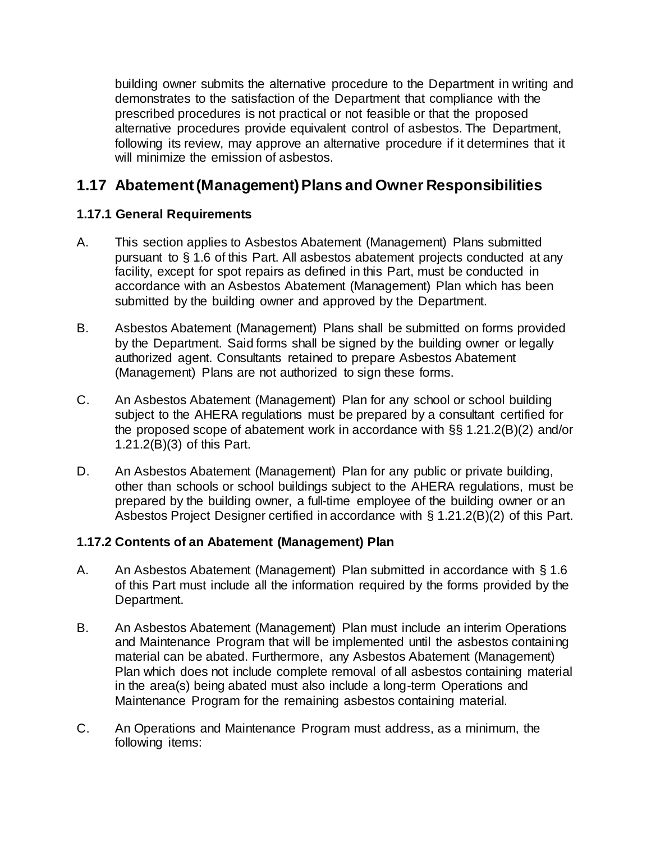building owner submits the alternative procedure to the Department in writing and demonstrates to the satisfaction of the Department that compliance with the prescribed procedures is not practical or not feasible or that the proposed alternative procedures provide equivalent control of asbestos. The Department, following its review, may approve an alternative procedure if it determines that it will minimize the emission of asbestos.

## **1.17 Abatement (Management) Plans and Owner Responsibilities**

### **1.17.1 General Requirements**

- A. This section applies to Asbestos Abatement (Management) Plans submitted pursuant to § 1.6 of this Part. All asbestos abatement projects conducted at any facility, except for spot repairs as defined in this Part, must be conducted in accordance with an Asbestos Abatement (Management) Plan which has been submitted by the building owner and approved by the Department.
- B. Asbestos Abatement (Management) Plans shall be submitted on forms provided by the Department. Said forms shall be signed by the building owner or legally authorized agent. Consultants retained to prepare Asbestos Abatement (Management) Plans are not authorized to sign these forms.
- C. An Asbestos Abatement (Management) Plan for any school or school building subject to the AHERA regulations must be prepared by a consultant certified for the proposed scope of abatement work in accordance with §§ 1.21.2(B)(2) and/or 1.21.2(B)(3) of this Part.
- D. An Asbestos Abatement (Management) Plan for any public or private building, other than schools or school buildings subject to the AHERA regulations, must be prepared by the building owner, a full-time employee of the building owner or an Asbestos Project Designer certified in accordance with § 1.21.2(B)(2) of this Part.

### **1.17.2 Contents of an Abatement (Management) Plan**

- A. An Asbestos Abatement (Management) Plan submitted in accordance with § 1.6 of this Part must include all the information required by the forms provided by the Department.
- B. An Asbestos Abatement (Management) Plan must include an interim Operations and Maintenance Program that will be implemented until the asbestos containing material can be abated. Furthermore, any Asbestos Abatement (Management) Plan which does not include complete removal of all asbestos containing material in the area(s) being abated must also include a long-term Operations and Maintenance Program for the remaining asbestos containing material.
- C. An Operations and Maintenance Program must address, as a minimum, the following items: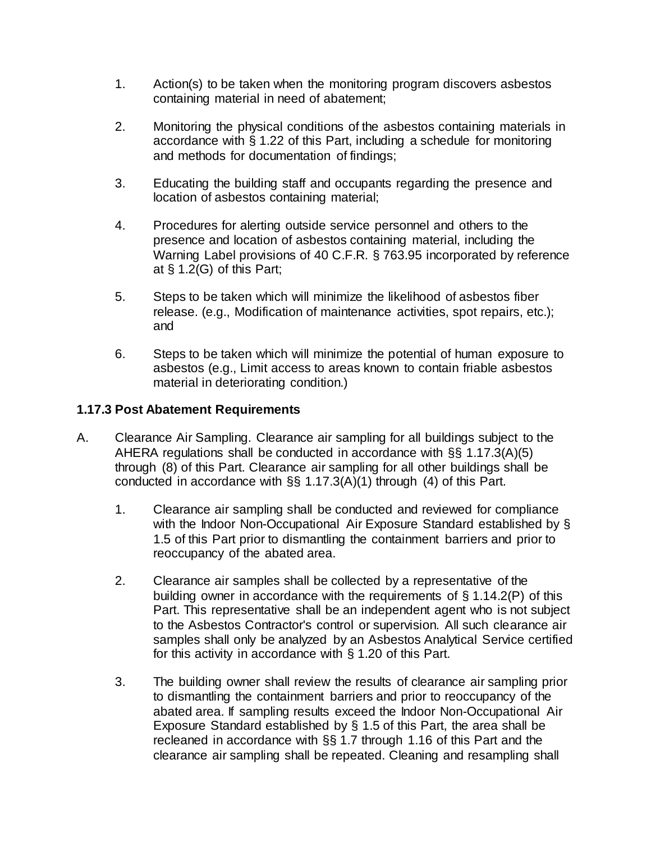- 1. Action(s) to be taken when the monitoring program discovers asbestos containing material in need of abatement;
- 2. Monitoring the physical conditions of the asbestos containing materials in accordance with § 1.22 of this Part, including a schedule for monitoring and methods for documentation of findings;
- 3. Educating the building staff and occupants regarding the presence and location of asbestos containing material;
- 4. Procedures for alerting outside service personnel and others to the presence and location of asbestos containing material, including the Warning Label provisions of 40 C.F.R. § 763.95 incorporated by reference at § 1.2(G) of this Part;
- 5. Steps to be taken which will minimize the likelihood of asbestos fiber release. (e.g., Modification of maintenance activities, spot repairs, etc.); and
- 6. Steps to be taken which will minimize the potential of human exposure to asbestos (e.g., Limit access to areas known to contain friable asbestos material in deteriorating condition.)

### **1.17.3 Post Abatement Requirements**

- A. Clearance Air Sampling. Clearance air sampling for all buildings subject to the AHERA regulations shall be conducted in accordance with §§ 1.17.3(A)(5) through (8) of this Part. Clearance air sampling for all other buildings shall be conducted in accordance with §§ 1.17.3(A)(1) through (4) of this Part.
	- 1. Clearance air sampling shall be conducted and reviewed for compliance with the Indoor Non-Occupational Air Exposure Standard established by § 1.5 of this Part prior to dismantling the containment barriers and prior to reoccupancy of the abated area.
	- 2. Clearance air samples shall be collected by a representative of the building owner in accordance with the requirements of § 1.14.2(P) of this Part. This representative shall be an independent agent who is not subject to the Asbestos Contractor's control or supervision. All such clearance air samples shall only be analyzed by an Asbestos Analytical Service certified for this activity in accordance with § 1.20 of this Part.
	- 3. The building owner shall review the results of clearance air sampling prior to dismantling the containment barriers and prior to reoccupancy of the abated area. If sampling results exceed the Indoor Non-Occupational Air Exposure Standard established by § 1.5 of this Part, the area shall be recleaned in accordance with §§ 1.7 through 1.16 of this Part and the clearance air sampling shall be repeated. Cleaning and resampling shall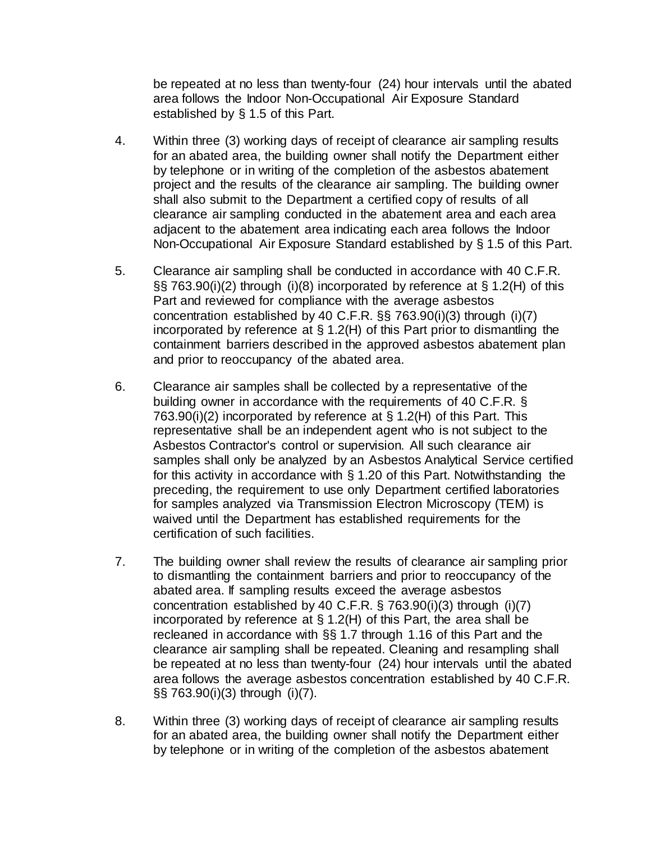be repeated at no less than twenty-four (24) hour intervals until the abated area follows the Indoor Non-Occupational Air Exposure Standard established by § 1.5 of this Part.

- 4. Within three (3) working days of receipt of clearance air sampling results for an abated area, the building owner shall notify the Department either by telephone or in writing of the completion of the asbestos abatement project and the results of the clearance air sampling. The building owner shall also submit to the Department a certified copy of results of all clearance air sampling conducted in the abatement area and each area adjacent to the abatement area indicating each area follows the Indoor Non-Occupational Air Exposure Standard established by § 1.5 of this Part.
- 5. Clearance air sampling shall be conducted in accordance with 40 C.F.R. §§ 763.90(i)(2) through (i)(8) incorporated by reference at § 1.2(H) of this Part and reviewed for compliance with the average asbestos concentration established by 40 C.F.R. §§ 763.90(i)(3) through (i)(7) incorporated by reference at § 1.2(H) of this Part prior to dismantling the containment barriers described in the approved asbestos abatement plan and prior to reoccupancy of the abated area.
- 6. Clearance air samples shall be collected by a representative of the building owner in accordance with the requirements of 40 C.F.R. § 763.90(i)(2) incorporated by reference at § 1.2(H) of this Part. This representative shall be an independent agent who is not subject to the Asbestos Contractor's control or supervision. All such clearance air samples shall only be analyzed by an Asbestos Analytical Service certified for this activity in accordance with § 1.20 of this Part. Notwithstanding the preceding, the requirement to use only Department certified laboratories for samples analyzed via Transmission Electron Microscopy (TEM) is waived until the Department has established requirements for the certification of such facilities.
- 7. The building owner shall review the results of clearance air sampling prior to dismantling the containment barriers and prior to reoccupancy of the abated area. If sampling results exceed the average asbestos concentration established by 40 C.F.R. § 763.90(i)(3) through (i)(7) incorporated by reference at  $\S 1.2(H)$  of this Part, the area shall be recleaned in accordance with §§ 1.7 through 1.16 of this Part and the clearance air sampling shall be repeated. Cleaning and resampling shall be repeated at no less than twenty-four (24) hour intervals until the abated area follows the average asbestos concentration established by 40 C.F.R. §§ 763.90(i)(3) through (i)(7).
- 8. Within three (3) working days of receipt of clearance air sampling results for an abated area, the building owner shall notify the Department either by telephone or in writing of the completion of the asbestos abatement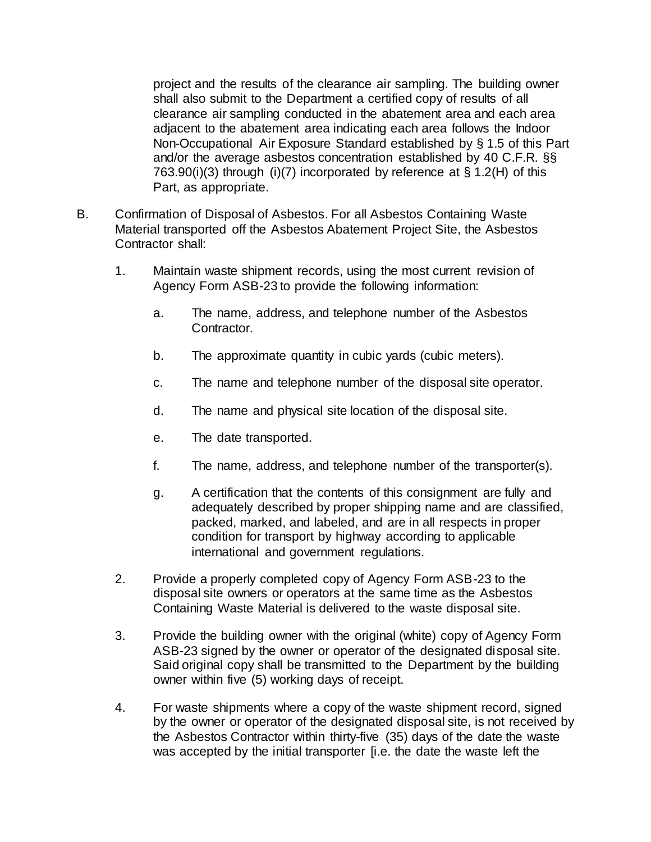project and the results of the clearance air sampling. The building owner shall also submit to the Department a certified copy of results of all clearance air sampling conducted in the abatement area and each area adjacent to the abatement area indicating each area follows the Indoor Non-Occupational Air Exposure Standard established by § 1.5 of this Part and/or the average asbestos concentration established by 40 C.F.R. §§ 763.90(i)(3) through (i)(7) incorporated by reference at  $\S$  1.2(H) of this Part, as appropriate.

- B. Confirmation of Disposal of Asbestos. For all Asbestos Containing Waste Material transported off the Asbestos Abatement Project Site, the Asbestos Contractor shall:
	- 1. Maintain waste shipment records, using the most current revision of Agency Form ASB-23 to provide the following information:
		- a. The name, address, and telephone number of the Asbestos Contractor.
		- b. The approximate quantity in cubic yards (cubic meters).
		- c. The name and telephone number of the disposal site operator.
		- d. The name and physical site location of the disposal site.
		- e. The date transported.
		- f. The name, address, and telephone number of the transporter(s).
		- g. A certification that the contents of this consignment are fully and adequately described by proper shipping name and are classified, packed, marked, and labeled, and are in all respects in proper condition for transport by highway according to applicable international and government regulations.
	- 2. Provide a properly completed copy of Agency Form ASB-23 to the disposal site owners or operators at the same time as the Asbestos Containing Waste Material is delivered to the waste disposal site.
	- 3. Provide the building owner with the original (white) copy of Agency Form ASB-23 signed by the owner or operator of the designated disposal site. Said original copy shall be transmitted to the Department by the building owner within five (5) working days of receipt.
	- 4. For waste shipments where a copy of the waste shipment record, signed by the owner or operator of the designated disposal site, is not received by the Asbestos Contractor within thirty-five (35) days of the date the waste was accepted by the initial transporter [i.e. the date the waste left the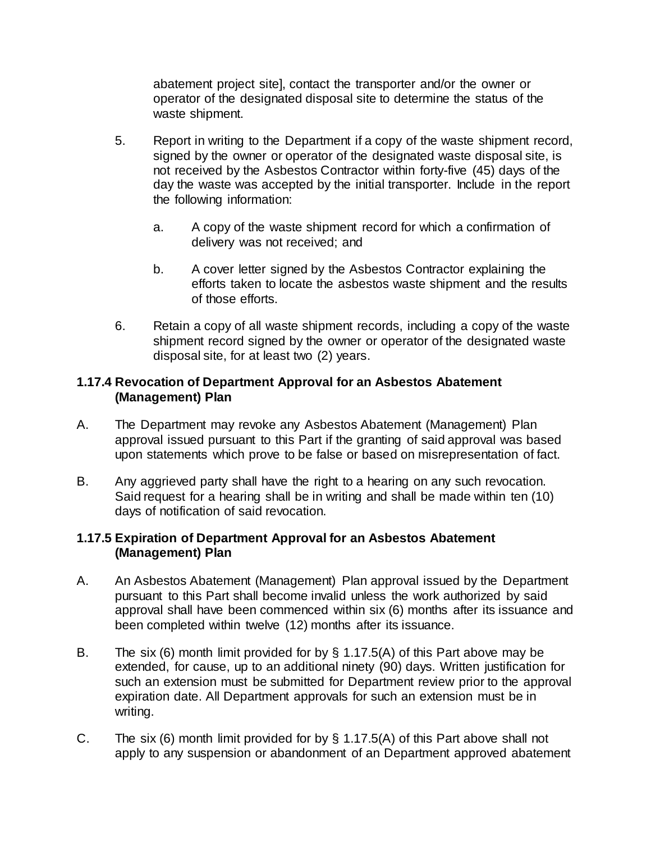abatement project site], contact the transporter and/or the owner or operator of the designated disposal site to determine the status of the waste shipment.

- 5. Report in writing to the Department if a copy of the waste shipment record, signed by the owner or operator of the designated waste disposal site, is not received by the Asbestos Contractor within forty-five (45) days of the day the waste was accepted by the initial transporter. Include in the report the following information:
	- a. A copy of the waste shipment record for which a confirmation of delivery was not received; and
	- b. A cover letter signed by the Asbestos Contractor explaining the efforts taken to locate the asbestos waste shipment and the results of those efforts.
- 6. Retain a copy of all waste shipment records, including a copy of the waste shipment record signed by the owner or operator of the designated waste disposal site, for at least two (2) years.

### **1.17.4 Revocation of Department Approval for an Asbestos Abatement (Management) Plan**

- A. The Department may revoke any Asbestos Abatement (Management) Plan approval issued pursuant to this Part if the granting of said approval was based upon statements which prove to be false or based on misrepresentation of fact.
- B. Any aggrieved party shall have the right to a hearing on any such revocation. Said request for a hearing shall be in writing and shall be made within ten (10) days of notification of said revocation.

### **1.17.5 Expiration of Department Approval for an Asbestos Abatement (Management) Plan**

- A. An Asbestos Abatement (Management) Plan approval issued by the Department pursuant to this Part shall become invalid unless the work authorized by said approval shall have been commenced within six (6) months after its issuance and been completed within twelve (12) months after its issuance.
- B. The six (6) month limit provided for by § 1.17.5(A) of this Part above may be extended, for cause, up to an additional ninety (90) days. Written justification for such an extension must be submitted for Department review prior to the approval expiration date. All Department approvals for such an extension must be in writing.
- C. The six (6) month limit provided for by  $\S$  1.17.5(A) of this Part above shall not apply to any suspension or abandonment of an Department approved abatement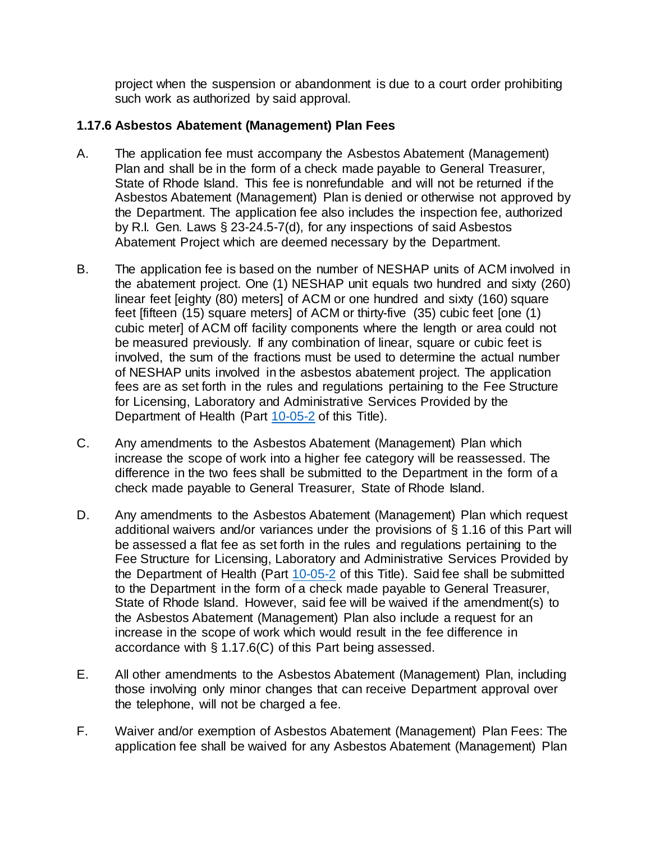project when the suspension or abandonment is due to a court order prohibiting such work as authorized by said approval.

### **1.17.6 Asbestos Abatement (Management) Plan Fees**

- A. The application fee must accompany the Asbestos Abatement (Management) Plan and shall be in the form of a check made payable to General Treasurer, State of Rhode Island. This fee is nonrefundable and will not be returned if the Asbestos Abatement (Management) Plan is denied or otherwise not approved by the Department. The application fee also includes the inspection fee, authorized by R.I. Gen. Laws § 23-24.5-7(d), for any inspections of said Asbestos Abatement Project which are deemed necessary by the Department.
- B. The application fee is based on the number of NESHAP units of ACM involved in the abatement project. One (1) NESHAP unit equals two hundred and sixty (260) linear feet [eighty (80) meters] of ACM or one hundred and sixty (160) square feet [fifteen (15) square meters] of ACM or thirty-five (35) cubic feet [one (1) cubic meter] of ACM off facility components where the length or area could not be measured previously. If any combination of linear, square or cubic feet is involved, the sum of the fractions must be used to determine the actual number of NESHAP units involved in the asbestos abatement project. The application fees are as set forth in the rules and regulations pertaining to the Fee Structure for Licensing, Laboratory and Administrative Services Provided by the Department of Health (Part [10-05-2](https://rules.sos.ri.gov/regulations/part/216-10-05-2) of this Title).
- C. Any amendments to the Asbestos Abatement (Management) Plan which increase the scope of work into a higher fee category will be reassessed. The difference in the two fees shall be submitted to the Department in the form of a check made payable to General Treasurer, State of Rhode Island.
- D. Any amendments to the Asbestos Abatement (Management) Plan which request additional waivers and/or variances under the provisions of § 1.16 of this Part will be assessed a flat fee as set forth in the rules and regulations pertaining to the Fee Structure for Licensing, Laboratory and Administrative Services Provided by the Department of Health (Part [10-05-2](https://rules.sos.ri.gov/regulations/part/216-10-05-2) of this Title). Said fee shall be submitted to the Department in the form of a check made payable to General Treasurer, State of Rhode Island. However, said fee will be waived if the amendment(s) to the Asbestos Abatement (Management) Plan also include a request for an increase in the scope of work which would result in the fee difference in accordance with § 1.17.6(C) of this Part being assessed.
- E. All other amendments to the Asbestos Abatement (Management) Plan, including those involving only minor changes that can receive Department approval over the telephone, will not be charged a fee.
- F. Waiver and/or exemption of Asbestos Abatement (Management) Plan Fees: The application fee shall be waived for any Asbestos Abatement (Management) Plan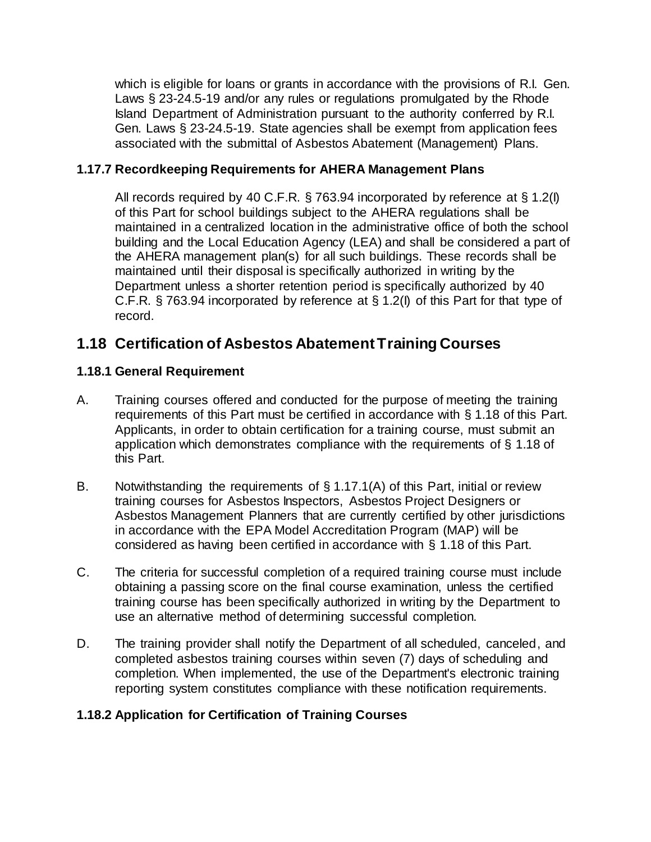which is eligible for loans or grants in accordance with the provisions of R.I. Gen. Laws § 23-24.5-19 and/or any rules or regulations promulgated by the Rhode Island Department of Administration pursuant to the authority conferred by R.I. Gen. Laws § 23-24.5-19. State agencies shall be exempt from application fees associated with the submittal of Asbestos Abatement (Management) Plans.

### **1.17.7 Recordkeeping Requirements for AHERA Management Plans**

All records required by 40 C.F.R. § 763.94 incorporated by reference at § 1.2(I) of this Part for school buildings subject to the AHERA regulations shall be maintained in a centralized location in the administrative office of both the school building and the Local Education Agency (LEA) and shall be considered a part of the AHERA management plan(s) for all such buildings. These records shall be maintained until their disposal is specifically authorized in writing by the Department unless a shorter retention period is specifically authorized by 40 C.F.R. § 763.94 incorporated by reference at § 1.2(I) of this Part for that type of record.

## **1.18 Certification of Asbestos Abatement Training Courses**

### **1.18.1 General Requirement**

- A. Training courses offered and conducted for the purpose of meeting the training requirements of this Part must be certified in accordance with § 1.18 of this Part. Applicants, in order to obtain certification for a training course, must submit an application which demonstrates compliance with the requirements of § 1.18 of this Part.
- B. Notwithstanding the requirements of  $\S$  1.17.1(A) of this Part, initial or review training courses for Asbestos Inspectors, Asbestos Project Designers or Asbestos Management Planners that are currently certified by other jurisdictions in accordance with the EPA Model Accreditation Program (MAP) will be considered as having been certified in accordance with § 1.18 of this Part.
- C. The criteria for successful completion of a required training course must include obtaining a passing score on the final course examination, unless the certified training course has been specifically authorized in writing by the Department to use an alternative method of determining successful completion.
- D. The training provider shall notify the Department of all scheduled, canceled, and completed asbestos training courses within seven (7) days of scheduling and completion. When implemented, the use of the Department's electronic training reporting system constitutes compliance with these notification requirements.

### **1.18.2 Application for Certification of Training Courses**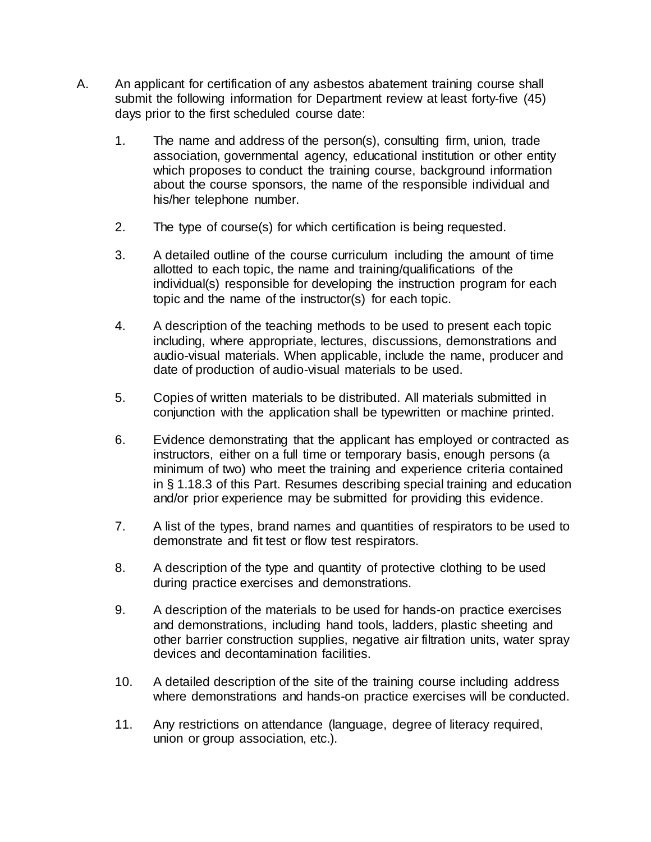- A. An applicant for certification of any asbestos abatement training course shall submit the following information for Department review at least forty-five (45) days prior to the first scheduled course date:
	- 1. The name and address of the person(s), consulting firm, union, trade association, governmental agency, educational institution or other entity which proposes to conduct the training course, background information about the course sponsors, the name of the responsible individual and his/her telephone number.
	- 2. The type of course(s) for which certification is being requested.
	- 3. A detailed outline of the course curriculum including the amount of time allotted to each topic, the name and training/qualifications of the individual(s) responsible for developing the instruction program for each topic and the name of the instructor(s) for each topic.
	- 4. A description of the teaching methods to be used to present each topic including, where appropriate, lectures, discussions, demonstrations and audio-visual materials. When applicable, include the name, producer and date of production of audio-visual materials to be used.
	- 5. Copies of written materials to be distributed. All materials submitted in conjunction with the application shall be typewritten or machine printed.
	- 6. Evidence demonstrating that the applicant has employed or contracted as instructors, either on a full time or temporary basis, enough persons (a minimum of two) who meet the training and experience criteria contained in § 1.18.3 of this Part. Resumes describing special training and education and/or prior experience may be submitted for providing this evidence.
	- 7. A list of the types, brand names and quantities of respirators to be used to demonstrate and fit test or flow test respirators.
	- 8. A description of the type and quantity of protective clothing to be used during practice exercises and demonstrations.
	- 9. A description of the materials to be used for hands-on practice exercises and demonstrations, including hand tools, ladders, plastic sheeting and other barrier construction supplies, negative air filtration units, water spray devices and decontamination facilities.
	- 10. A detailed description of the site of the training course including address where demonstrations and hands-on practice exercises will be conducted.
	- 11. Any restrictions on attendance (language, degree of literacy required, union or group association, etc.).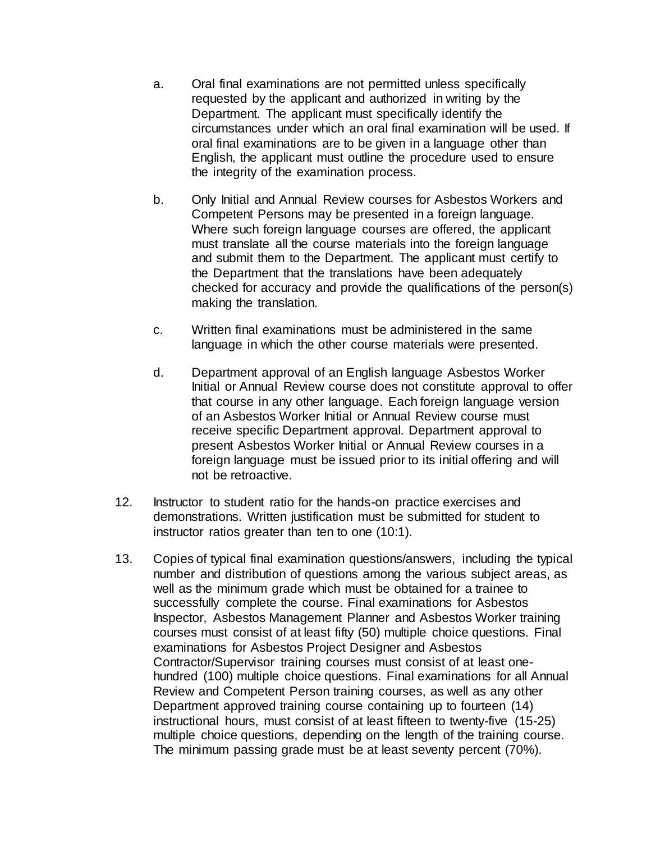- a. Oral final examinations are not permitted unless specifically requested by the applicant and authorized in writing by the Department. The applicant must specifically identify the circumstances under which an oral final examination will be used. If oral final examinations are to be given in a language other than English, the applicant must outline the procedure used to ensure the integrity of the examination process.
- b. Only Initial and Annual Review courses for Asbestos Workers and Competent Persons may be presented in a foreign language. Where such foreign language courses are offered, the applicant must translate all the course materials into the foreign language and submit them to the Department. The applicant must certify to the Department that the translations have been adequately checked for accuracy and provide the qualifications of the person(s) making the translation.
- c. Written final examinations must be administered in the same language in which the other course materials were presented.
- d. Department approval of an English language Asbestos Worker Initial or Annual Review course does not constitute approval to offer that course in any other language. Each foreign language version of an Asbestos Worker Initial or Annual Review course must receive specific Department approval. Department approval to present Asbestos Worker Initial or Annual Review courses in a foreign language must be issued prior to its initial offering and will not be retroactive.
- 12. Instructor to student ratio for the hands-on practice exercises and demonstrations. Written justification must be submitted for student to instructor ratios greater than ten to one (10:1).
- 13. Copies of typical final examination questions/answers, including the typical number and distribution of questions among the various subject areas, as well as the minimum grade which must be obtained for a trainee to successfully complete the course. Final examinations for Asbestos Inspector, Asbestos Management Planner and Asbestos Worker training courses must consist of at least fifty (50) multiple choice questions. Final examinations for Asbestos Project Designer and Asbestos Contractor/Supervisor training courses must consist of at least onehundred (100) multiple choice questions. Final examinations for all Annual Review and Competent Person training courses, as well as any other Department approved training course containing up to fourteen (14) instructional hours, must consist of at least fifteen to twenty-five (15-25) multiple choice questions, depending on the length of the training course. The minimum passing grade must be at least seventy percent (70%).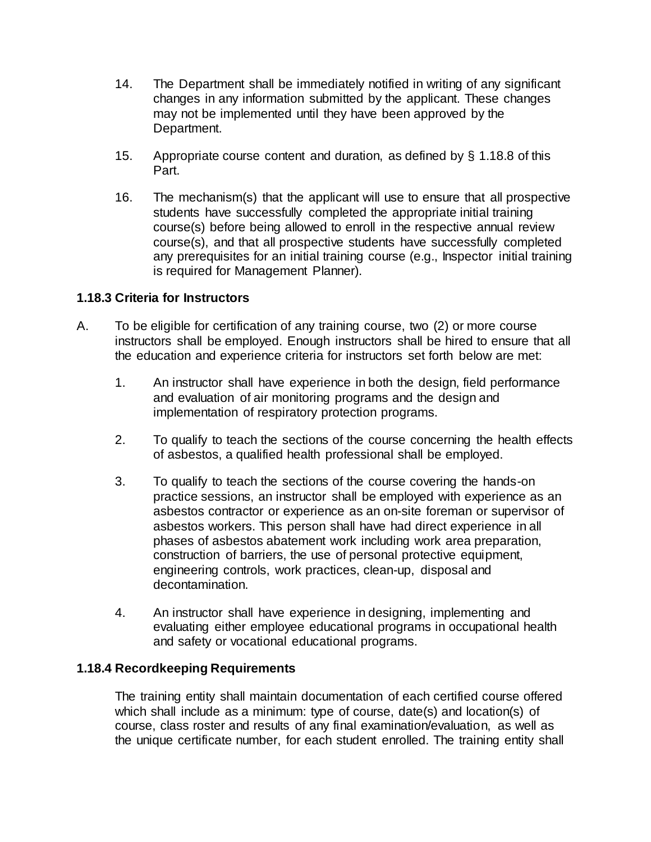- 14. The Department shall be immediately notified in writing of any significant changes in any information submitted by the applicant. These changes may not be implemented until they have been approved by the Department.
- 15. Appropriate course content and duration, as defined by § 1.18.8 of this Part.
- 16. The mechanism(s) that the applicant will use to ensure that all prospective students have successfully completed the appropriate initial training course(s) before being allowed to enroll in the respective annual review course(s), and that all prospective students have successfully completed any prerequisites for an initial training course (e.g., Inspector initial training is required for Management Planner).

### **1.18.3 Criteria for Instructors**

- A. To be eligible for certification of any training course, two (2) or more course instructors shall be employed. Enough instructors shall be hired to ensure that all the education and experience criteria for instructors set forth below are met:
	- 1. An instructor shall have experience in both the design, field performance and evaluation of air monitoring programs and the design and implementation of respiratory protection programs.
	- 2. To qualify to teach the sections of the course concerning the health effects of asbestos, a qualified health professional shall be employed.
	- 3. To qualify to teach the sections of the course covering the hands-on practice sessions, an instructor shall be employed with experience as an asbestos contractor or experience as an on-site foreman or supervisor of asbestos workers. This person shall have had direct experience in all phases of asbestos abatement work including work area preparation, construction of barriers, the use of personal protective equipment, engineering controls, work practices, clean-up, disposal and decontamination.
	- 4. An instructor shall have experience in designing, implementing and evaluating either employee educational programs in occupational health and safety or vocational educational programs.

### **1.18.4 Recordkeeping Requirements**

The training entity shall maintain documentation of each certified course offered which shall include as a minimum: type of course, date(s) and location(s) of course, class roster and results of any final examination/evaluation, as well as the unique certificate number, for each student enrolled. The training entity shall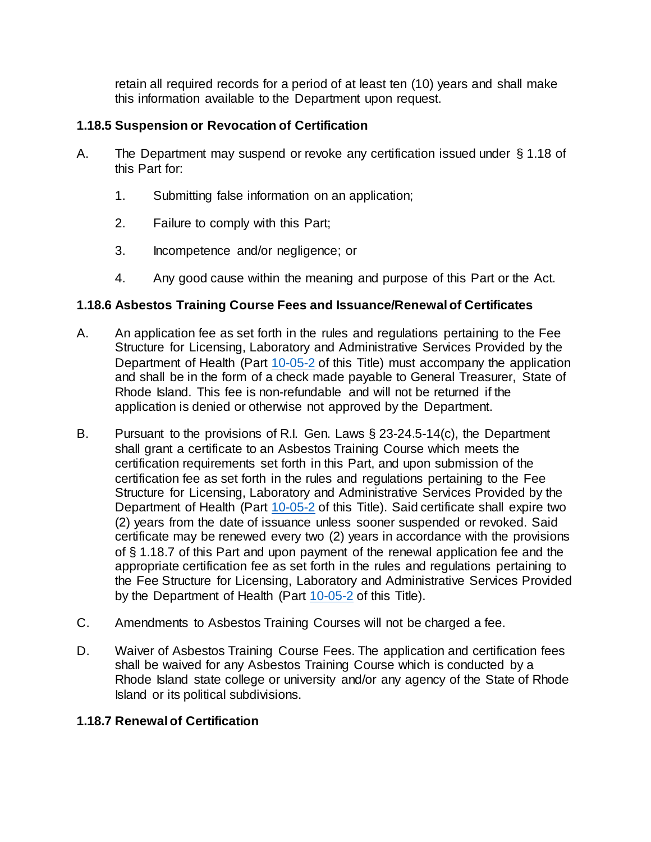retain all required records for a period of at least ten (10) years and shall make this information available to the Department upon request.

### **1.18.5 Suspension or Revocation of Certification**

- A. The Department may suspend or revoke any certification issued under § 1.18 of this Part for:
	- 1. Submitting false information on an application;
	- 2. Failure to comply with this Part;
	- 3. Incompetence and/or negligence; or
	- 4. Any good cause within the meaning and purpose of this Part or the Act.

### **1.18.6 Asbestos Training Course Fees and Issuance/Renewal of Certificates**

- A. An application fee as set forth in the rules and regulations pertaining to the Fee Structure for Licensing, Laboratory and Administrative Services Provided by the Department of Health (Part [10-05-2](https://rules.sos.ri.gov/regulations/part/216-10-05-2) of this Title) must accompany the application and shall be in the form of a check made payable to General Treasurer, State of Rhode Island. This fee is non-refundable and will not be returned if the application is denied or otherwise not approved by the Department.
- B. Pursuant to the provisions of R.I. Gen. Laws § 23-24.5-14(c), the Department shall grant a certificate to an Asbestos Training Course which meets the certification requirements set forth in this Part, and upon submission of the certification fee as set forth in the rules and regulations pertaining to the Fee Structure for Licensing, Laboratory and Administrative Services Provided by the Department of Health (Part [10-05-2](https://rules.sos.ri.gov/regulations/part/216-10-05-2) of this Title). Said certificate shall expire two (2) years from the date of issuance unless sooner suspended or revoked. Said certificate may be renewed every two (2) years in accordance with the provisions of § 1.18.7 of this Part and upon payment of the renewal application fee and the appropriate certification fee as set forth in the rules and regulations pertaining to the Fee Structure for Licensing, Laboratory and Administrative Services Provided by the Department of Health (Part [10-05-2](https://rules.sos.ri.gov/regulations/part/216-10-05-2) of this Title).
- C. Amendments to Asbestos Training Courses will not be charged a fee.
- D. Waiver of Asbestos Training Course Fees. The application and certification fees shall be waived for any Asbestos Training Course which is conducted by a Rhode Island state college or university and/or any agency of the State of Rhode Island or its political subdivisions.

### **1.18.7 Renewal of Certification**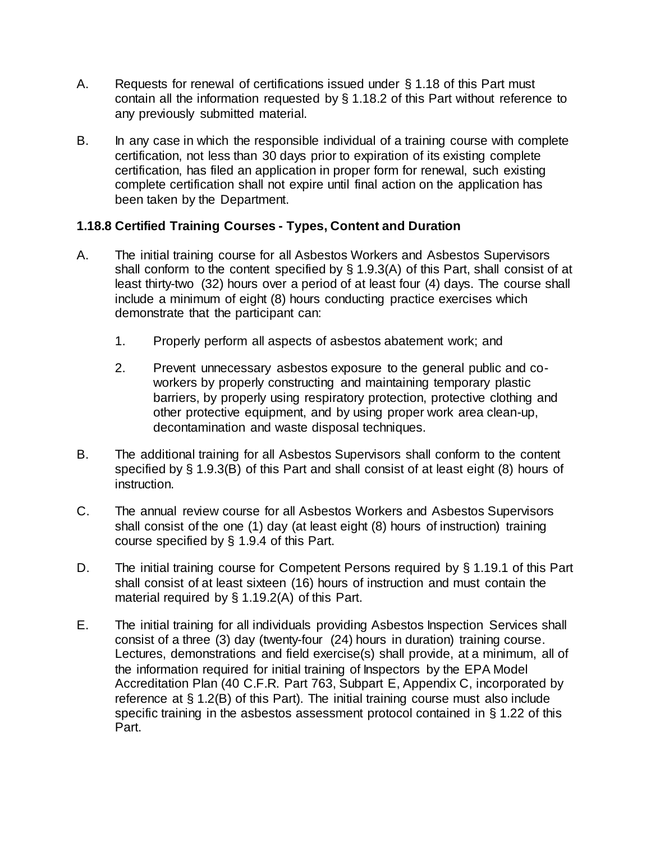- A. Requests for renewal of certifications issued under § 1.18 of this Part must contain all the information requested by § 1.18.2 of this Part without reference to any previously submitted material.
- B. In any case in which the responsible individual of a training course with complete certification, not less than 30 days prior to expiration of its existing complete certification, has filed an application in proper form for renewal, such existing complete certification shall not expire until final action on the application has been taken by the Department.

### **1.18.8 Certified Training Courses - Types, Content and Duration**

- A. The initial training course for all Asbestos Workers and Asbestos Supervisors shall conform to the content specified by § 1.9.3(A) of this Part, shall consist of at least thirty-two (32) hours over a period of at least four (4) days. The course shall include a minimum of eight (8) hours conducting practice exercises which demonstrate that the participant can:
	- 1. Properly perform all aspects of asbestos abatement work; and
	- 2. Prevent unnecessary asbestos exposure to the general public and coworkers by properly constructing and maintaining temporary plastic barriers, by properly using respiratory protection, protective clothing and other protective equipment, and by using proper work area clean-up, decontamination and waste disposal techniques.
- B. The additional training for all Asbestos Supervisors shall conform to the content specified by § 1.9.3(B) of this Part and shall consist of at least eight (8) hours of instruction.
- C. The annual review course for all Asbestos Workers and Asbestos Supervisors shall consist of the one (1) day (at least eight (8) hours of instruction) training course specified by § 1.9.4 of this Part.
- D. The initial training course for Competent Persons required by § 1.19.1 of this Part shall consist of at least sixteen (16) hours of instruction and must contain the material required by § 1.19.2(A) of this Part.
- E. The initial training for all individuals providing Asbestos Inspection Services shall consist of a three (3) day (twenty-four (24) hours in duration) training course. Lectures, demonstrations and field exercise(s) shall provide, at a minimum, all of the information required for initial training of Inspectors by the EPA Model Accreditation Plan (40 C.F.R. Part 763, Subpart E, Appendix C, incorporated by reference at § 1.2(B) of this Part). The initial training course must also include specific training in the asbestos assessment protocol contained in § 1.22 of this Part.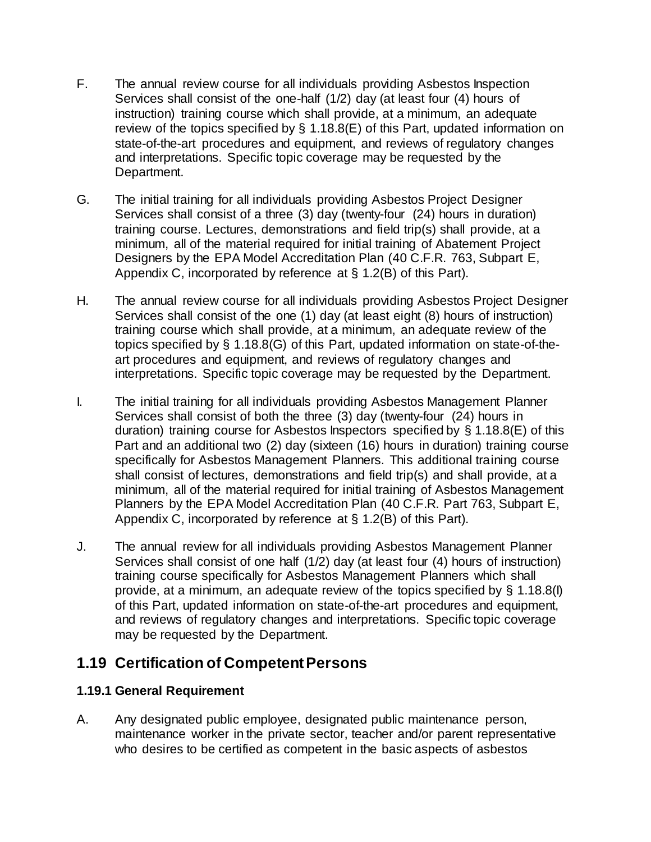- F. The annual review course for all individuals providing Asbestos Inspection Services shall consist of the one-half (1/2) day (at least four (4) hours of instruction) training course which shall provide, at a minimum, an adequate review of the topics specified by § 1.18.8(E) of this Part, updated information on state-of-the-art procedures and equipment, and reviews of regulatory changes and interpretations. Specific topic coverage may be requested by the Department.
- G. The initial training for all individuals providing Asbestos Project Designer Services shall consist of a three (3) day (twenty-four (24) hours in duration) training course. Lectures, demonstrations and field trip(s) shall provide, at a minimum, all of the material required for initial training of Abatement Project Designers by the EPA Model Accreditation Plan (40 C.F.R. 763, Subpart E, Appendix C, incorporated by reference at § 1.2(B) of this Part).
- H. The annual review course for all individuals providing Asbestos Project Designer Services shall consist of the one (1) day (at least eight (8) hours of instruction) training course which shall provide, at a minimum, an adequate review of the topics specified by § 1.18.8(G) of this Part, updated information on state-of-theart procedures and equipment, and reviews of regulatory changes and interpretations. Specific topic coverage may be requested by the Department.
- I. The initial training for all individuals providing Asbestos Management Planner Services shall consist of both the three (3) day (twenty-four (24) hours in duration) training course for Asbestos Inspectors specified by § 1.18.8(E) of this Part and an additional two (2) day (sixteen (16) hours in duration) training course specifically for Asbestos Management Planners. This additional training course shall consist of lectures, demonstrations and field trip(s) and shall provide, at a minimum, all of the material required for initial training of Asbestos Management Planners by the EPA Model Accreditation Plan (40 C.F.R. Part 763, Subpart E, Appendix C, incorporated by reference at § 1.2(B) of this Part).
- J. The annual review for all individuals providing Asbestos Management Planner Services shall consist of one half (1/2) day (at least four (4) hours of instruction) training course specifically for Asbestos Management Planners which shall provide, at a minimum, an adequate review of the topics specified by § 1.18.8(I) of this Part, updated information on state-of-the-art procedures and equipment, and reviews of regulatory changes and interpretations. Specific topic coverage may be requested by the Department.

## **1.19 Certification of Competent Persons**

### **1.19.1 General Requirement**

A. Any designated public employee, designated public maintenance person, maintenance worker in the private sector, teacher and/or parent representative who desires to be certified as competent in the basic aspects of asbestos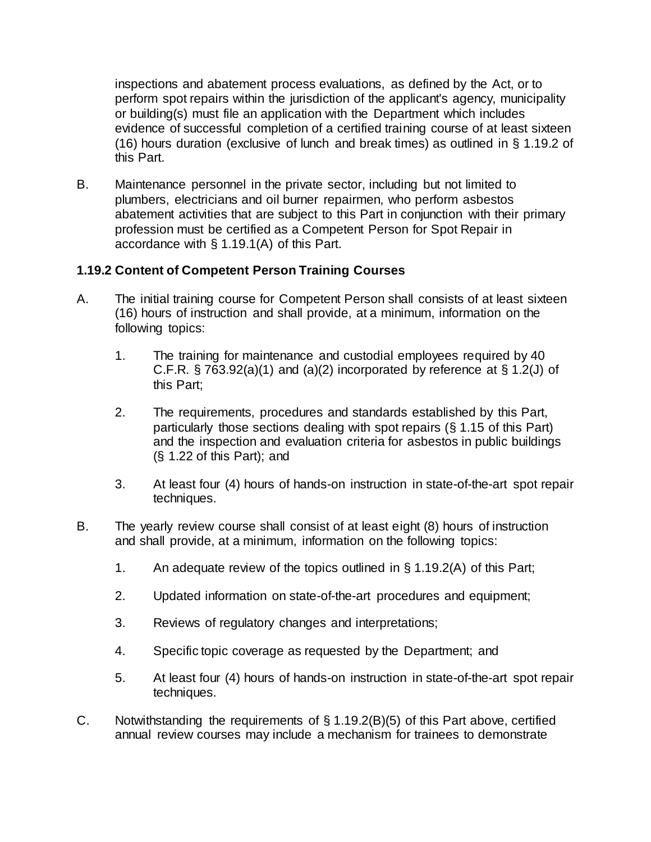inspections and abatement process evaluations, as defined by the Act, or to perform spot repairs within the jurisdiction of the applicant's agency, municipality or building(s) must file an application with the Department which includes evidence of successful completion of a certified training course of at least sixteen (16) hours duration (exclusive of lunch and break times) as outlined in § 1.19.2 of this Part.

B. Maintenance personnel in the private sector, including but not limited to plumbers, electricians and oil burner repairmen, who perform asbestos abatement activities that are subject to this Part in conjunction with their primary profession must be certified as a Competent Person for Spot Repair in accordance with § 1.19.1(A) of this Part.

### **1.19.2 Content of Competent Person Training Courses**

- A. The initial training course for Competent Person shall consists of at least sixteen (16) hours of instruction and shall provide, at a minimum, information on the following topics:
	- 1. The training for maintenance and custodial employees required by 40 C.F.R. § 763.92(a)(1) and (a)(2) incorporated by reference at § 1.2(J) of this Part;
	- 2. The requirements, procedures and standards established by this Part, particularly those sections dealing with spot repairs (§ 1.15 of this Part) and the inspection and evaluation criteria for asbestos in public buildings (§ 1.22 of this Part); and
	- 3. At least four (4) hours of hands-on instruction in state-of-the-art spot repair techniques.
- B. The yearly review course shall consist of at least eight (8) hours of instruction and shall provide, at a minimum, information on the following topics:
	- 1. An adequate review of the topics outlined in § 1.19.2(A) of this Part;
	- 2. Updated information on state-of-the-art procedures and equipment;
	- 3. Reviews of regulatory changes and interpretations;
	- 4. Specific topic coverage as requested by the Department; and
	- 5. At least four (4) hours of hands-on instruction in state-of-the-art spot repair techniques.
- C. Notwithstanding the requirements of  $\S$  1.19.2(B)(5) of this Part above, certified annual review courses may include a mechanism for trainees to demonstrate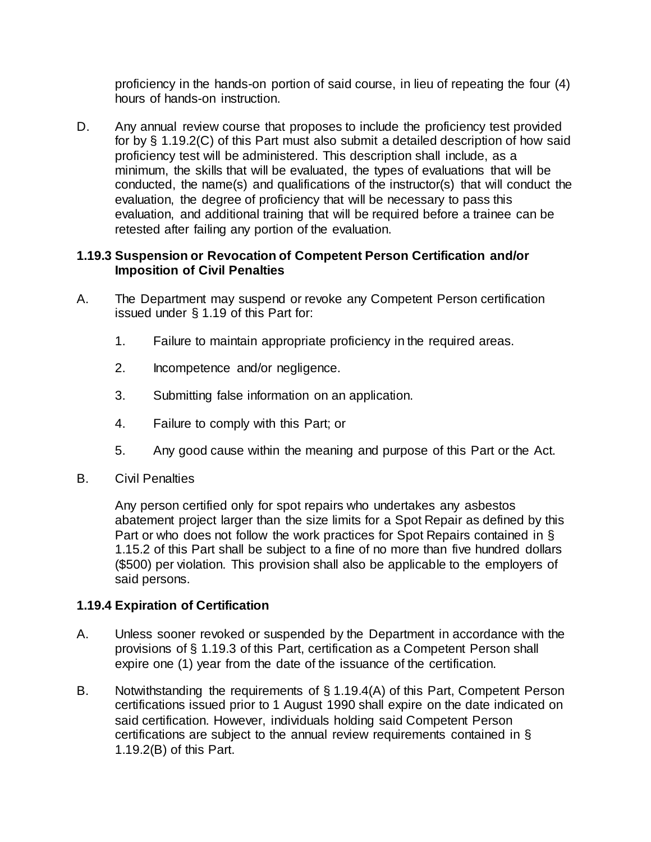proficiency in the hands-on portion of said course, in lieu of repeating the four (4) hours of hands-on instruction.

D. Any annual review course that proposes to include the proficiency test provided for by § 1.19.2(C) of this Part must also submit a detailed description of how said proficiency test will be administered. This description shall include, as a minimum, the skills that will be evaluated, the types of evaluations that will be conducted, the name(s) and qualifications of the instructor(s) that will conduct the evaluation, the degree of proficiency that will be necessary to pass this evaluation, and additional training that will be required before a trainee can be retested after failing any portion of the evaluation.

### **1.19.3 Suspension or Revocation of Competent Person Certification and/or Imposition of Civil Penalties**

- A. The Department may suspend or revoke any Competent Person certification issued under § 1.19 of this Part for:
	- 1. Failure to maintain appropriate proficiency in the required areas.
	- 2. Incompetence and/or negligence.
	- 3. Submitting false information on an application.
	- 4. Failure to comply with this Part; or
	- 5. Any good cause within the meaning and purpose of this Part or the Act.
- B. Civil Penalties

Any person certified only for spot repairs who undertakes any asbestos abatement project larger than the size limits for a Spot Repair as defined by this Part or who does not follow the work practices for Spot Repairs contained in § 1.15.2 of this Part shall be subject to a fine of no more than five hundred dollars (\$500) per violation. This provision shall also be applicable to the employers of said persons.

### **1.19.4 Expiration of Certification**

- A. Unless sooner revoked or suspended by the Department in accordance with the provisions of § 1.19.3 of this Part, certification as a Competent Person shall expire one (1) year from the date of the issuance of the certification.
- B. Notwithstanding the requirements of § 1.19.4(A) of this Part, Competent Person certifications issued prior to 1 August 1990 shall expire on the date indicated on said certification. However, individuals holding said Competent Person certifications are subject to the annual review requirements contained in § 1.19.2(B) of this Part.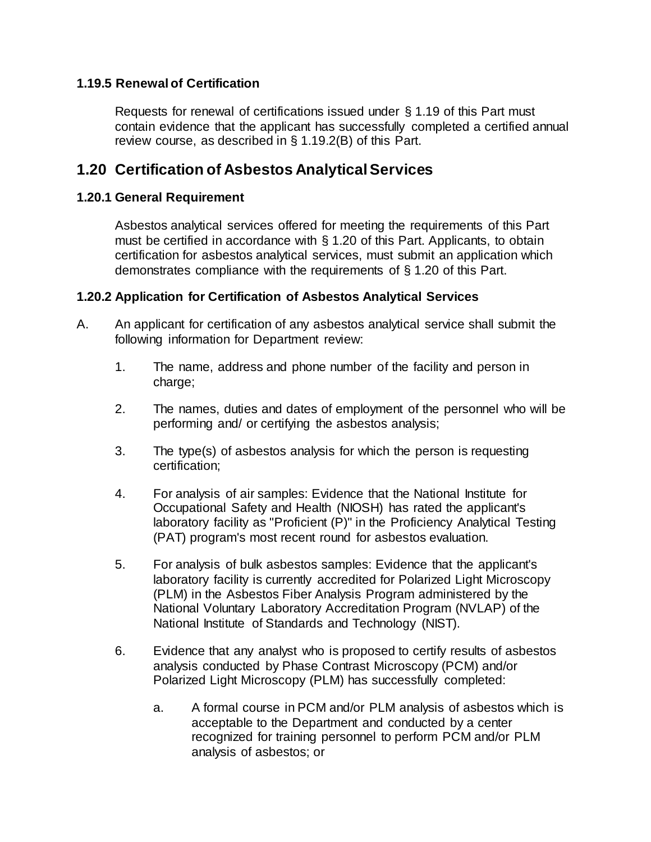### **1.19.5 Renewal of Certification**

Requests for renewal of certifications issued under § 1.19 of this Part must contain evidence that the applicant has successfully completed a certified annual review course, as described in § 1.19.2(B) of this Part.

## **1.20 Certification of Asbestos Analytical Services**

### **1.20.1 General Requirement**

Asbestos analytical services offered for meeting the requirements of this Part must be certified in accordance with § 1.20 of this Part. Applicants, to obtain certification for asbestos analytical services, must submit an application which demonstrates compliance with the requirements of § 1.20 of this Part.

### **1.20.2 Application for Certification of Asbestos Analytical Services**

- A. An applicant for certification of any asbestos analytical service shall submit the following information for Department review:
	- 1. The name, address and phone number of the facility and person in charge;
	- 2. The names, duties and dates of employment of the personnel who will be performing and/ or certifying the asbestos analysis;
	- 3. The type(s) of asbestos analysis for which the person is requesting certification;
	- 4. For analysis of air samples: Evidence that the National Institute for Occupational Safety and Health (NIOSH) has rated the applicant's laboratory facility as "Proficient (P)" in the Proficiency Analytical Testing (PAT) program's most recent round for asbestos evaluation.
	- 5. For analysis of bulk asbestos samples: Evidence that the applicant's laboratory facility is currently accredited for Polarized Light Microscopy (PLM) in the Asbestos Fiber Analysis Program administered by the National Voluntary Laboratory Accreditation Program (NVLAP) of the National Institute of Standards and Technology (NIST).
	- 6. Evidence that any analyst who is proposed to certify results of asbestos analysis conducted by Phase Contrast Microscopy (PCM) and/or Polarized Light Microscopy (PLM) has successfully completed:
		- a. A formal course in PCM and/or PLM analysis of asbestos which is acceptable to the Department and conducted by a center recognized for training personnel to perform PCM and/or PLM analysis of asbestos; or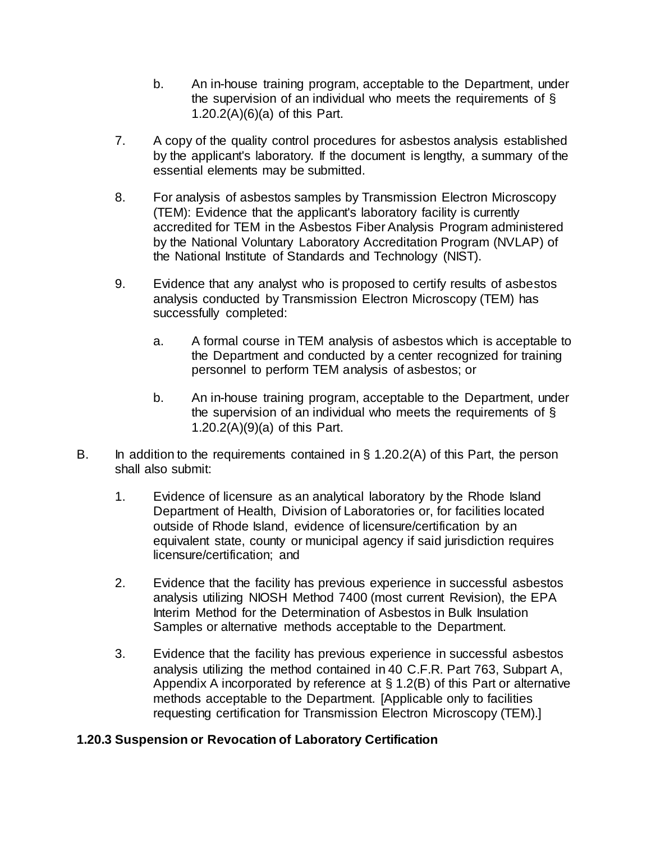- b. An in-house training program, acceptable to the Department, under the supervision of an individual who meets the requirements of § 1.20.2(A)(6)(a) of this Part.
- 7. A copy of the quality control procedures for asbestos analysis established by the applicant's laboratory. If the document is lengthy, a summary of the essential elements may be submitted.
- 8. For analysis of asbestos samples by Transmission Electron Microscopy (TEM): Evidence that the applicant's laboratory facility is currently accredited for TEM in the Asbestos Fiber Analysis Program administered by the National Voluntary Laboratory Accreditation Program (NVLAP) of the National Institute of Standards and Technology (NIST).
- 9. Evidence that any analyst who is proposed to certify results of asbestos analysis conducted by Transmission Electron Microscopy (TEM) has successfully completed:
	- a. A formal course in TEM analysis of asbestos which is acceptable to the Department and conducted by a center recognized for training personnel to perform TEM analysis of asbestos; or
	- b. An in-house training program, acceptable to the Department, under the supervision of an individual who meets the requirements of § 1.20.2(A)(9)(a) of this Part.
- B. In addition to the requirements contained in  $\S$  1.20.2(A) of this Part, the person shall also submit:
	- 1. Evidence of licensure as an analytical laboratory by the Rhode Island Department of Health, Division of Laboratories or, for facilities located outside of Rhode Island, evidence of licensure/certification by an equivalent state, county or municipal agency if said jurisdiction requires licensure/certification; and
	- 2. Evidence that the facility has previous experience in successful asbestos analysis utilizing NIOSH Method 7400 (most current Revision), the EPA Interim Method for the Determination of Asbestos in Bulk Insulation Samples or alternative methods acceptable to the Department.
	- 3. Evidence that the facility has previous experience in successful asbestos analysis utilizing the method contained in 40 C.F.R. Part 763, Subpart A, Appendix A incorporated by reference at § 1.2(B) of this Part or alternative methods acceptable to the Department. [Applicable only to facilities requesting certification for Transmission Electron Microscopy (TEM).]

### **1.20.3 Suspension or Revocation of Laboratory Certification**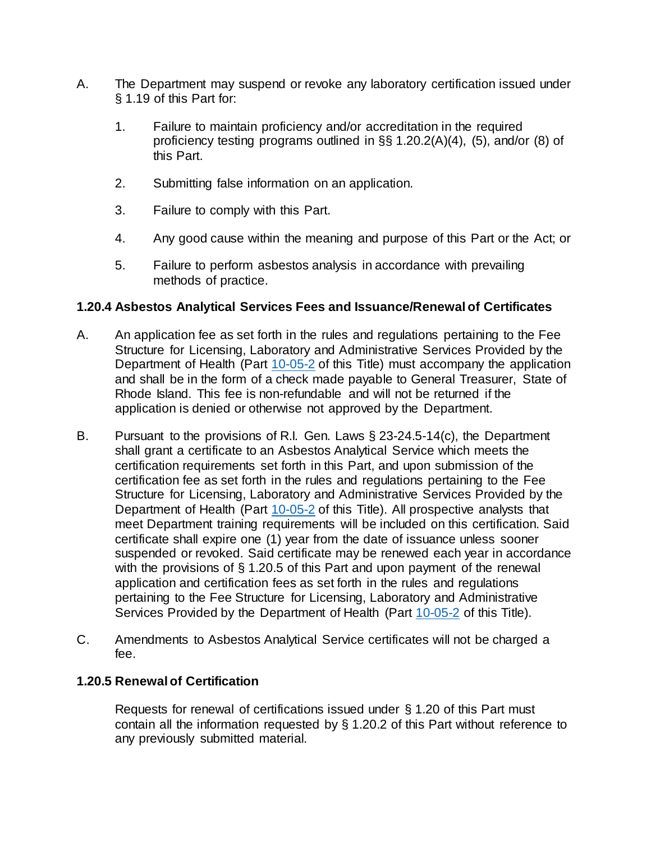- A. The Department may suspend or revoke any laboratory certification issued under § 1.19 of this Part for:
	- 1. Failure to maintain proficiency and/or accreditation in the required proficiency testing programs outlined in §§ 1.20.2(A)(4), (5), and/or (8) of this Part.
	- 2. Submitting false information on an application.
	- 3. Failure to comply with this Part.
	- 4. Any good cause within the meaning and purpose of this Part or the Act; or
	- 5. Failure to perform asbestos analysis in accordance with prevailing methods of practice.

### **1.20.4 Asbestos Analytical Services Fees and Issuance/Renewal of Certificates**

- A. An application fee as set forth in the rules and regulations pertaining to the Fee Structure for Licensing, Laboratory and Administrative Services Provided by the Department of Health (Part [10-05-2](https://rules.sos.ri.gov/regulations/part/216-10-05-2) of this Title) must accompany the application and shall be in the form of a check made payable to General Treasurer, State of Rhode Island. This fee is non-refundable and will not be returned if the application is denied or otherwise not approved by the Department.
- B. Pursuant to the provisions of R.I. Gen. Laws § 23-24.5-14(c), the Department shall grant a certificate to an Asbestos Analytical Service which meets the certification requirements set forth in this Part, and upon submission of the certification fee as set forth in the rules and regulations pertaining to the Fee Structure for Licensing, Laboratory and Administrative Services Provided by the Department of Health (Part [10-05-2](https://rules.sos.ri.gov/regulations/part/216-10-05-2) of this Title). All prospective analysts that meet Department training requirements will be included on this certification. Said certificate shall expire one (1) year from the date of issuance unless sooner suspended or revoked. Said certificate may be renewed each year in accordance with the provisions of § 1.20.5 of this Part and upon payment of the renewal application and certification fees as set forth in the rules and regulations pertaining to the Fee Structure for Licensing, Laboratory and Administrative Services Provided by the Department of Health (Part [10-05-2](https://rules.sos.ri.gov/regulations/part/216-10-05-2) of this Title).
- C. Amendments to Asbestos Analytical Service certificates will not be charged a fee.

### **1.20.5 Renewal of Certification**

Requests for renewal of certifications issued under § 1.20 of this Part must contain all the information requested by § 1.20.2 of this Part without reference to any previously submitted material.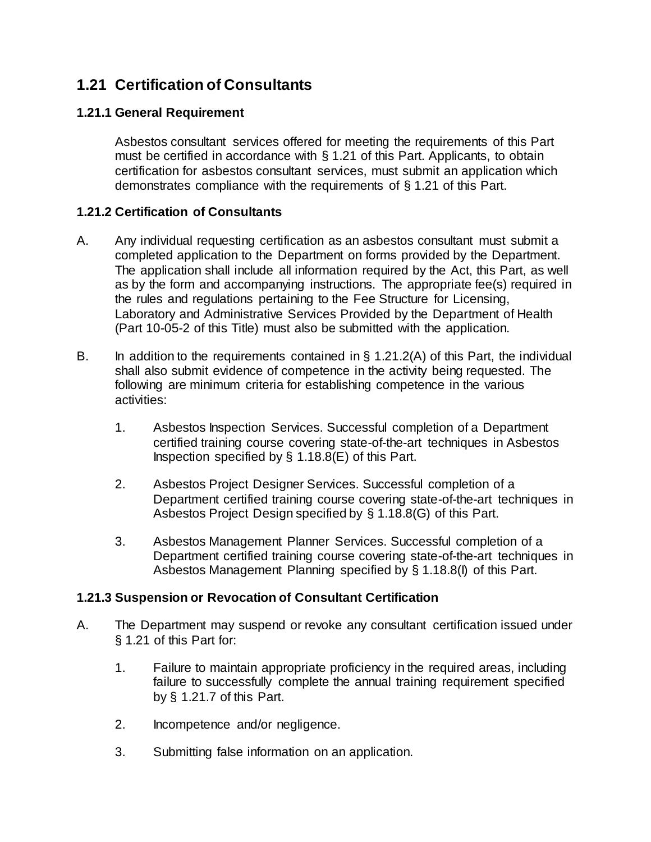## **1.21 Certification of Consultants**

### **1.21.1 General Requirement**

Asbestos consultant services offered for meeting the requirements of this Part must be certified in accordance with § 1.21 of this Part. Applicants, to obtain certification for asbestos consultant services, must submit an application which demonstrates compliance with the requirements of § 1.21 of this Part.

### **1.21.2 Certification of Consultants**

- A. Any individual requesting certification as an asbestos consultant must submit a completed application to the Department on forms provided by the Department. The application shall include all information required by the Act, this Part, as well as by the form and accompanying instructions. The appropriate fee(s) required in the rules and regulations pertaining to the Fee Structure for Licensing, Laboratory and Administrative Services Provided by the Department of Health (Part 10-05-2 of this Title) must also be submitted with the application.
- B. In addition to the requirements contained in § 1.21.2(A) of this Part, the individual shall also submit evidence of competence in the activity being requested. The following are minimum criteria for establishing competence in the various activities:
	- 1. Asbestos Inspection Services. Successful completion of a Department certified training course covering state-of-the-art techniques in Asbestos Inspection specified by  $\S$  1.18.8(E) of this Part.
	- 2. Asbestos Project Designer Services. Successful completion of a Department certified training course covering state-of-the-art techniques in Asbestos Project Design specified by § 1.18.8(G) of this Part.
	- 3. Asbestos Management Planner Services. Successful completion of a Department certified training course covering state-of-the-art techniques in Asbestos Management Planning specified by § 1.18.8(I) of this Part.

### **1.21.3 Suspension or Revocation of Consultant Certification**

- A. The Department may suspend or revoke any consultant certification issued under § 1.21 of this Part for:
	- 1. Failure to maintain appropriate proficiency in the required areas, including failure to successfully complete the annual training requirement specified by § 1.21.7 of this Part.
	- 2. Incompetence and/or negligence.
	- 3. Submitting false information on an application.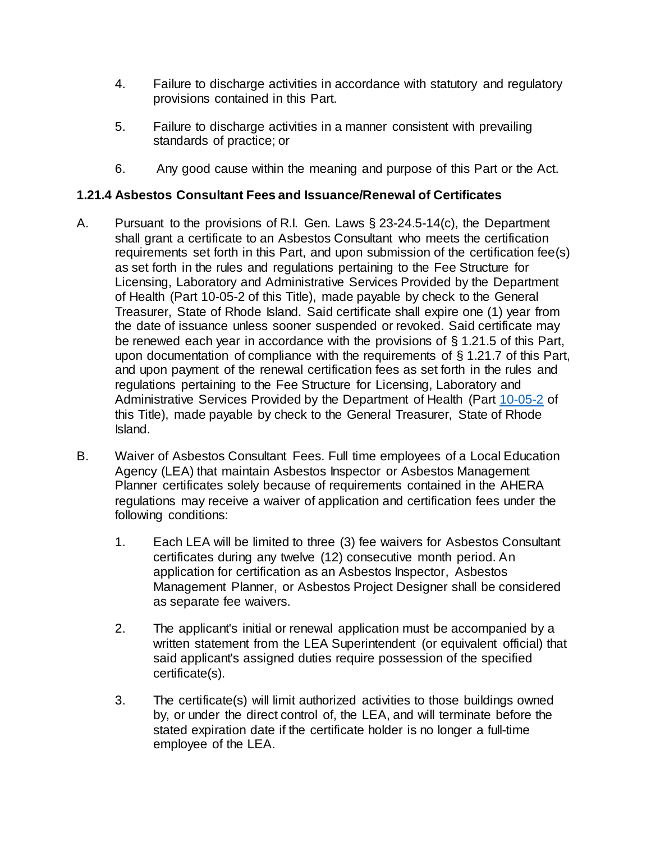- 4. Failure to discharge activities in accordance with statutory and regulatory provisions contained in this Part.
- 5. Failure to discharge activities in a manner consistent with prevailing standards of practice; or
- 6. Any good cause within the meaning and purpose of this Part or the Act.

### **1.21.4 Asbestos Consultant Fees and Issuance/Renewal of Certificates**

- A. Pursuant to the provisions of R.I. Gen. Laws § 23-24.5-14(c), the Department shall grant a certificate to an Asbestos Consultant who meets the certification requirements set forth in this Part, and upon submission of the certification fee(s) as set forth in the rules and regulations pertaining to the Fee Structure for Licensing, Laboratory and Administrative Services Provided by the Department of Health (Part 10-05-2 of this Title), made payable by check to the General Treasurer, State of Rhode Island. Said certificate shall expire one (1) year from the date of issuance unless sooner suspended or revoked. Said certificate may be renewed each year in accordance with the provisions of § 1.21.5 of this Part, upon documentation of compliance with the requirements of § 1.21.7 of this Part, and upon payment of the renewal certification fees as set forth in the rules and regulations pertaining to the Fee Structure for Licensing, Laboratory and Administrative Services Provided by the Department of Health (Part [10-05-2](https://rules.sos.ri.gov/regulations/part/216-10-05-2) of this Title), made payable by check to the General Treasurer, State of Rhode Island.
- B. Waiver of Asbestos Consultant Fees. Full time employees of a Local Education Agency (LEA) that maintain Asbestos Inspector or Asbestos Management Planner certificates solely because of requirements contained in the AHERA regulations may receive a waiver of application and certification fees under the following conditions:
	- 1. Each LEA will be limited to three (3) fee waivers for Asbestos Consultant certificates during any twelve (12) consecutive month period. An application for certification as an Asbestos Inspector, Asbestos Management Planner, or Asbestos Project Designer shall be considered as separate fee waivers.
	- 2. The applicant's initial or renewal application must be accompanied by a written statement from the LEA Superintendent (or equivalent official) that said applicant's assigned duties require possession of the specified certificate(s).
	- 3. The certificate(s) will limit authorized activities to those buildings owned by, or under the direct control of, the LEA, and will terminate before the stated expiration date if the certificate holder is no longer a full-time employee of the LEA.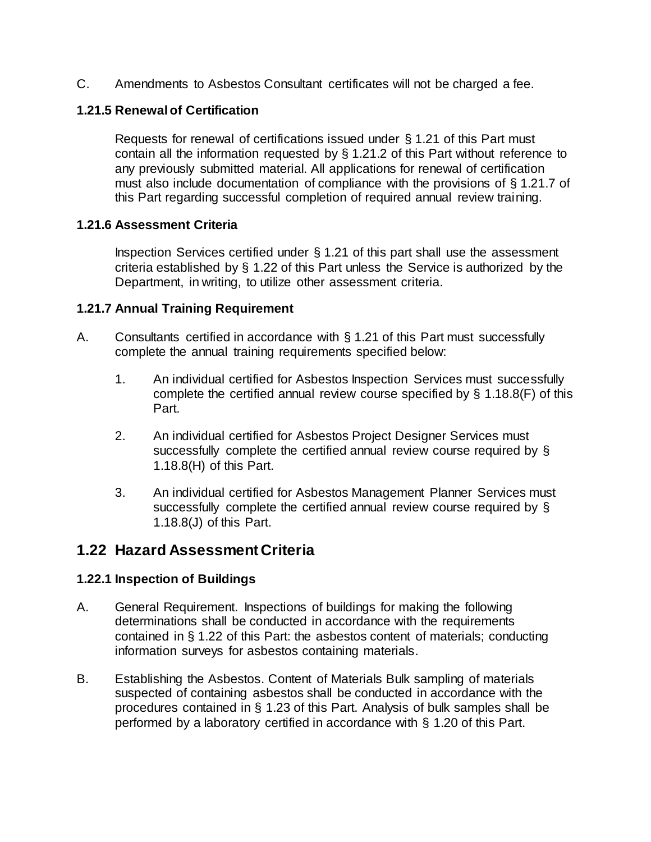C. Amendments to Asbestos Consultant certificates will not be charged a fee.

### **1.21.5 Renewal of Certification**

Requests for renewal of certifications issued under § 1.21 of this Part must contain all the information requested by § 1.21.2 of this Part without reference to any previously submitted material. All applications for renewal of certification must also include documentation of compliance with the provisions of § 1.21.7 of this Part regarding successful completion of required annual review training.

### **1.21.6 Assessment Criteria**

Inspection Services certified under § 1.21 of this part shall use the assessment criteria established by § 1.22 of this Part unless the Service is authorized by the Department, in writing, to utilize other assessment criteria.

### **1.21.7 Annual Training Requirement**

- A. Consultants certified in accordance with § 1.21 of this Part must successfully complete the annual training requirements specified below:
	- 1. An individual certified for Asbestos Inspection Services must successfully complete the certified annual review course specified by § 1.18.8(F) of this Part.
	- 2. An individual certified for Asbestos Project Designer Services must successfully complete the certified annual review course required by § 1.18.8(H) of this Part.
	- 3. An individual certified for Asbestos Management Planner Services must successfully complete the certified annual review course required by § 1.18.8(J) of this Part.

## **1.22 Hazard Assessment Criteria**

### **1.22.1 Inspection of Buildings**

- A. General Requirement. Inspections of buildings for making the following determinations shall be conducted in accordance with the requirements contained in § 1.22 of this Part: the asbestos content of materials; conducting information surveys for asbestos containing materials.
- B. Establishing the Asbestos. Content of Materials Bulk sampling of materials suspected of containing asbestos shall be conducted in accordance with the procedures contained in § 1.23 of this Part. Analysis of bulk samples shall be performed by a laboratory certified in accordance with § 1.20 of this Part.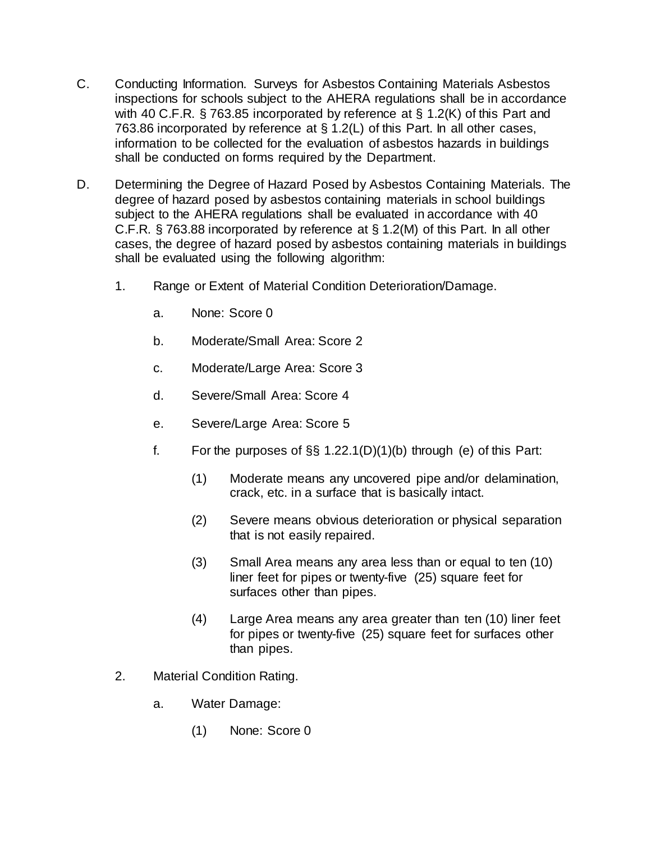- C. Conducting Information. Surveys for Asbestos Containing Materials Asbestos inspections for schools subject to the AHERA regulations shall be in accordance with 40 C.F.R. § 763.85 incorporated by reference at § 1.2(K) of this Part and 763.86 incorporated by reference at § 1.2(L) of this Part. In all other cases, information to be collected for the evaluation of asbestos hazards in buildings shall be conducted on forms required by the Department.
- D. Determining the Degree of Hazard Posed by Asbestos Containing Materials. The degree of hazard posed by asbestos containing materials in school buildings subject to the AHERA regulations shall be evaluated in accordance with 40 C.F.R. § 763.88 incorporated by reference at § 1.2(M) of this Part. In all other cases, the degree of hazard posed by asbestos containing materials in buildings shall be evaluated using the following algorithm:
	- 1. Range or Extent of Material Condition Deterioration/Damage.
		- a. None: Score 0
		- b. Moderate/Small Area: Score 2
		- c. Moderate/Large Area: Score 3
		- d. Severe/Small Area: Score 4
		- e. Severe/Large Area: Score 5
		- f. For the purposes of  $\S$ § 1.22.1(D)(1)(b) through (e) of this Part:
			- (1) Moderate means any uncovered pipe and/or delamination, crack, etc. in a surface that is basically intact.
			- (2) Severe means obvious deterioration or physical separation that is not easily repaired.
			- (3) Small Area means any area less than or equal to ten (10) liner feet for pipes or twenty-five (25) square feet for surfaces other than pipes.
			- (4) Large Area means any area greater than ten (10) liner feet for pipes or twenty-five (25) square feet for surfaces other than pipes.
	- 2. Material Condition Rating.
		- a. Water Damage:
			- (1) None: Score 0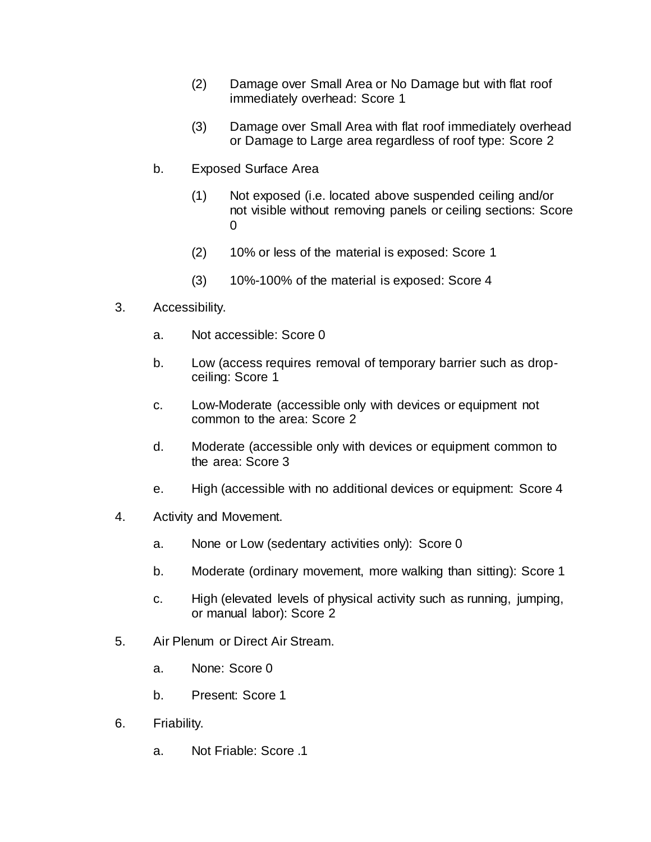- (2) Damage over Small Area or No Damage but with flat roof immediately overhead: Score 1
- (3) Damage over Small Area with flat roof immediately overhead or Damage to Large area regardless of roof type: Score 2
- b. Exposed Surface Area
	- (1) Not exposed (i.e. located above suspended ceiling and/or not visible without removing panels or ceiling sections: Score  $\Omega$
	- (2) 10% or less of the material is exposed: Score 1
	- (3) 10%-100% of the material is exposed: Score 4
- 3. Accessibility.
	- a. Not accessible: Score 0
	- b. Low (access requires removal of temporary barrier such as dropceiling: Score 1
	- c. Low-Moderate (accessible only with devices or equipment not common to the area: Score 2
	- d. Moderate (accessible only with devices or equipment common to the area: Score 3
	- e. High (accessible with no additional devices or equipment: Score 4
- 4. Activity and Movement.
	- a. None or Low (sedentary activities only): Score 0
	- b. Moderate (ordinary movement, more walking than sitting): Score 1
	- c. High (elevated levels of physical activity such as running, jumping, or manual labor): Score 2
- 5. Air Plenum or Direct Air Stream.
	- a. None: Score 0
	- b. Present: Score 1
- 6. Friability.
	- a. Not Friable: Score .1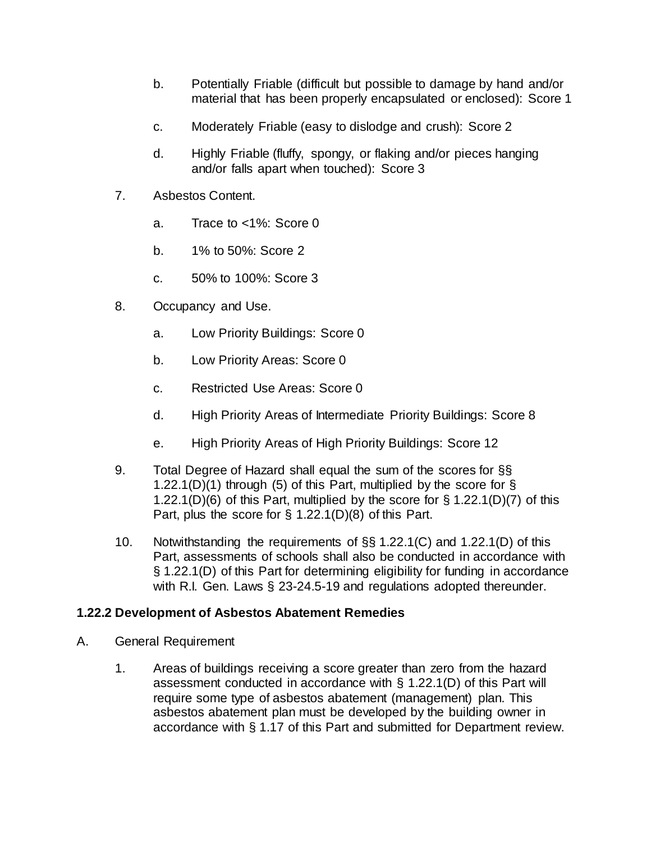- b. Potentially Friable (difficult but possible to damage by hand and/or material that has been properly encapsulated or enclosed): Score 1
- c. Moderately Friable (easy to dislodge and crush): Score 2
- d. Highly Friable (fluffy, spongy, or flaking and/or pieces hanging and/or falls apart when touched): Score 3
- 7. Asbestos Content.
	- a. Trace to <1%: Score 0
	- b. 1% to 50%: Score 2
	- c. 50% to 100%: Score 3
- 8. Occupancy and Use.
	- a. Low Priority Buildings: Score 0
	- b. Low Priority Areas: Score 0
	- c. Restricted Use Areas: Score 0
	- d. High Priority Areas of Intermediate Priority Buildings: Score 8
	- e. High Priority Areas of High Priority Buildings: Score 12
- 9. Total Degree of Hazard shall equal the sum of the scores for §§ 1.22.1(D)(1) through (5) of this Part, multiplied by the score for § 1.22.1(D)(6) of this Part, multiplied by the score for  $\S$  1.22.1(D)(7) of this Part, plus the score for  $\S$  1.22.1(D)(8) of this Part.
- 10. Notwithstanding the requirements of §§ 1.22.1(C) and 1.22.1(D) of this Part, assessments of schools shall also be conducted in accordance with § 1.22.1(D) of this Part for determining eligibility for funding in accordance with R.I. Gen. Laws § 23-24.5-19 and regulations adopted thereunder.

### **1.22.2 Development of Asbestos Abatement Remedies**

- A. General Requirement
	- 1. Areas of buildings receiving a score greater than zero from the hazard assessment conducted in accordance with § 1.22.1(D) of this Part will require some type of asbestos abatement (management) plan. This asbestos abatement plan must be developed by the building owner in accordance with § 1.17 of this Part and submitted for Department review.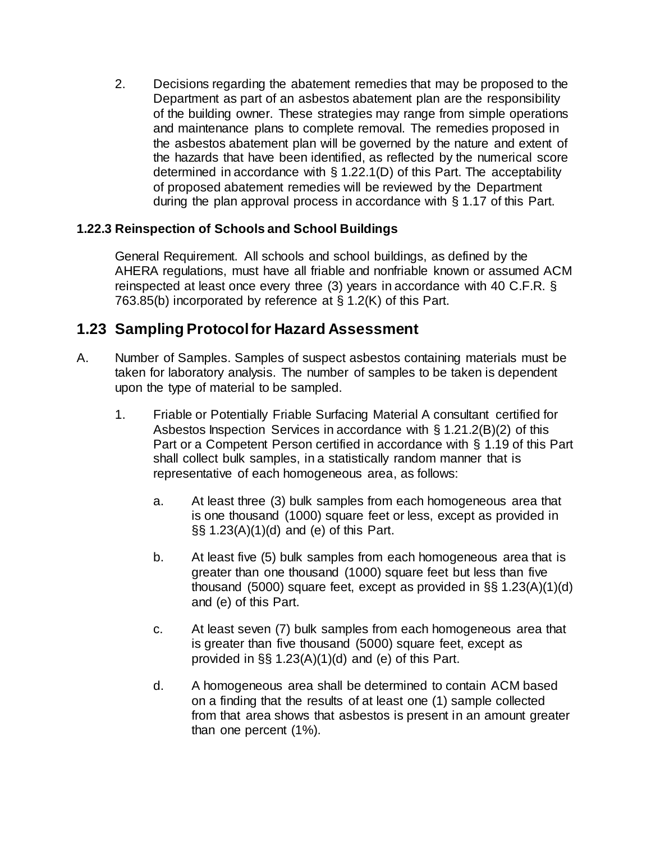2. Decisions regarding the abatement remedies that may be proposed to the Department as part of an asbestos abatement plan are the responsibility of the building owner. These strategies may range from simple operations and maintenance plans to complete removal. The remedies proposed in the asbestos abatement plan will be governed by the nature and extent of the hazards that have been identified, as reflected by the numerical score determined in accordance with § 1.22.1(D) of this Part. The acceptability of proposed abatement remedies will be reviewed by the Department during the plan approval process in accordance with § 1.17 of this Part.

### **1.22.3 Reinspection of Schools and School Buildings**

General Requirement. All schools and school buildings, as defined by the AHERA regulations, must have all friable and nonfriable known or assumed ACM reinspected at least once every three (3) years in accordance with 40 C.F.R. § 763.85(b) incorporated by reference at § 1.2(K) of this Part.

## **1.23 Sampling Protocol for Hazard Assessment**

- A. Number of Samples. Samples of suspect asbestos containing materials must be taken for laboratory analysis. The number of samples to be taken is dependent upon the type of material to be sampled.
	- 1. Friable or Potentially Friable Surfacing Material A consultant certified for Asbestos Inspection Services in accordance with § 1.21.2(B)(2) of this Part or a Competent Person certified in accordance with § 1.19 of this Part shall collect bulk samples, in a statistically random manner that is representative of each homogeneous area, as follows:
		- a. At least three (3) bulk samples from each homogeneous area that is one thousand (1000) square feet or less, except as provided in §§ 1.23(A)(1)(d) and (e) of this Part.
		- b. At least five (5) bulk samples from each homogeneous area that is greater than one thousand (1000) square feet but less than five thousand (5000) square feet, except as provided in §§ 1.23(A)(1)(d) and (e) of this Part.
		- c. At least seven (7) bulk samples from each homogeneous area that is greater than five thousand (5000) square feet, except as provided in §§ 1.23(A)(1)(d) and (e) of this Part.
		- d. A homogeneous area shall be determined to contain ACM based on a finding that the results of at least one (1) sample collected from that area shows that asbestos is present in an amount greater than one percent (1%).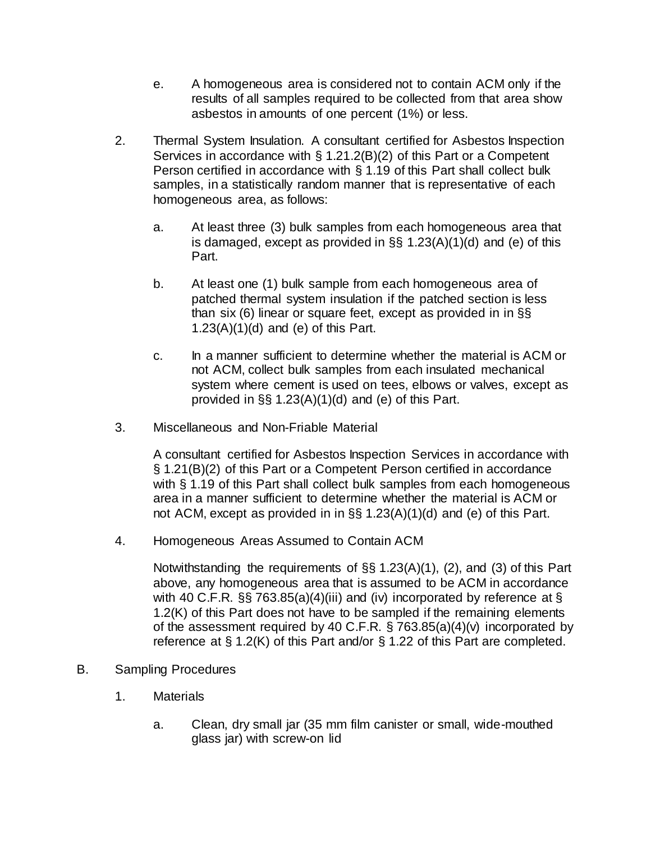- e. A homogeneous area is considered not to contain ACM only if the results of all samples required to be collected from that area show asbestos in amounts of one percent (1%) or less.
- 2. Thermal System Insulation. A consultant certified for Asbestos Inspection Services in accordance with § 1.21.2(B)(2) of this Part or a Competent Person certified in accordance with § 1.19 of this Part shall collect bulk samples, in a statistically random manner that is representative of each homogeneous area, as follows:
	- a. At least three (3) bulk samples from each homogeneous area that is damaged, except as provided in §§ 1.23(A)(1)(d) and (e) of this Part.
	- b. At least one (1) bulk sample from each homogeneous area of patched thermal system insulation if the patched section is less than six (6) linear or square feet, except as provided in in §§  $1.23(A)(1)(d)$  and (e) of this Part.
	- c. In a manner sufficient to determine whether the material is ACM or not ACM, collect bulk samples from each insulated mechanical system where cement is used on tees, elbows or valves, except as provided in §§ 1.23(A)(1)(d) and (e) of this Part.
- 3. Miscellaneous and Non-Friable Material

A consultant certified for Asbestos Inspection Services in accordance with § 1.21(B)(2) of this Part or a Competent Person certified in accordance with § 1.19 of this Part shall collect bulk samples from each homogeneous area in a manner sufficient to determine whether the material is ACM or not ACM, except as provided in in §§ 1.23(A)(1)(d) and (e) of this Part.

4. Homogeneous Areas Assumed to Contain ACM

Notwithstanding the requirements of §§ 1.23(A)(1), (2), and (3) of this Part above, any homogeneous area that is assumed to be ACM in accordance with 40 C.F.R. §§ 763.85(a)(4)(iii) and (iv) incorporated by reference at § 1.2(K) of this Part does not have to be sampled if the remaining elements of the assessment required by 40 C.F.R. § 763.85(a)(4)(v) incorporated by reference at § 1.2(K) of this Part and/or § 1.22 of this Part are completed.

- B. Sampling Procedures
	- 1. Materials
		- a. Clean, dry small jar (35 mm film canister or small, wide-mouthed glass jar) with screw-on lid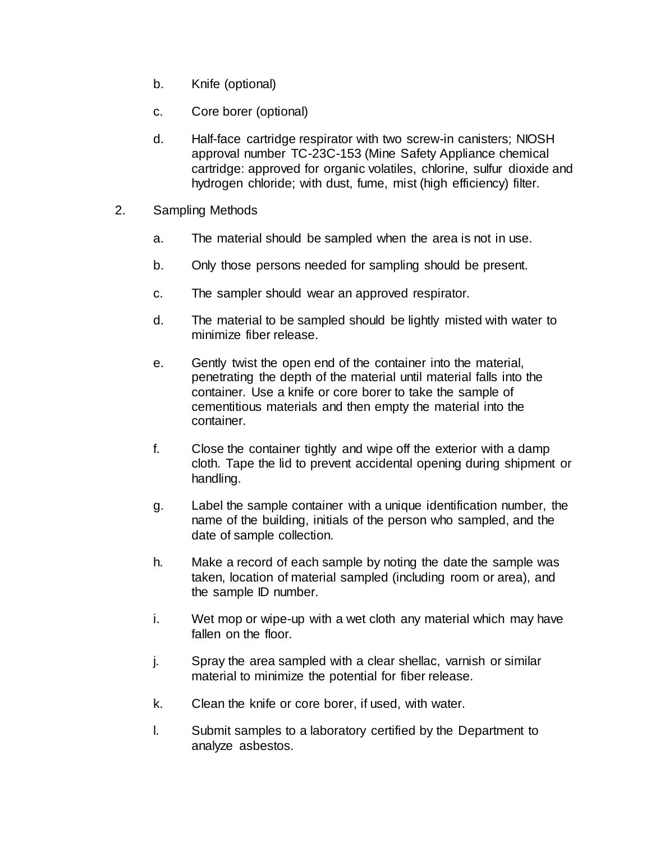- b. Knife (optional)
- c. Core borer (optional)
- d. Half-face cartridge respirator with two screw-in canisters; NIOSH approval number TC-23C-153 (Mine Safety Appliance chemical cartridge: approved for organic volatiles, chlorine, sulfur dioxide and hydrogen chloride; with dust, fume, mist (high efficiency) filter.
- 2. Sampling Methods
	- a. The material should be sampled when the area is not in use.
	- b. Only those persons needed for sampling should be present.
	- c. The sampler should wear an approved respirator.
	- d. The material to be sampled should be lightly misted with water to minimize fiber release.
	- e. Gently twist the open end of the container into the material, penetrating the depth of the material until material falls into the container. Use a knife or core borer to take the sample of cementitious materials and then empty the material into the container.
	- f. Close the container tightly and wipe off the exterior with a damp cloth. Tape the lid to prevent accidental opening during shipment or handling.
	- g. Label the sample container with a unique identification number, the name of the building, initials of the person who sampled, and the date of sample collection.
	- h. Make a record of each sample by noting the date the sample was taken, location of material sampled (including room or area), and the sample ID number.
	- i. Wet mop or wipe-up with a wet cloth any material which may have fallen on the floor.
	- j. Spray the area sampled with a clear shellac, varnish or similar material to minimize the potential for fiber release.
	- k. Clean the knife or core borer, if used, with water.
	- l. Submit samples to a laboratory certified by the Department to analyze asbestos.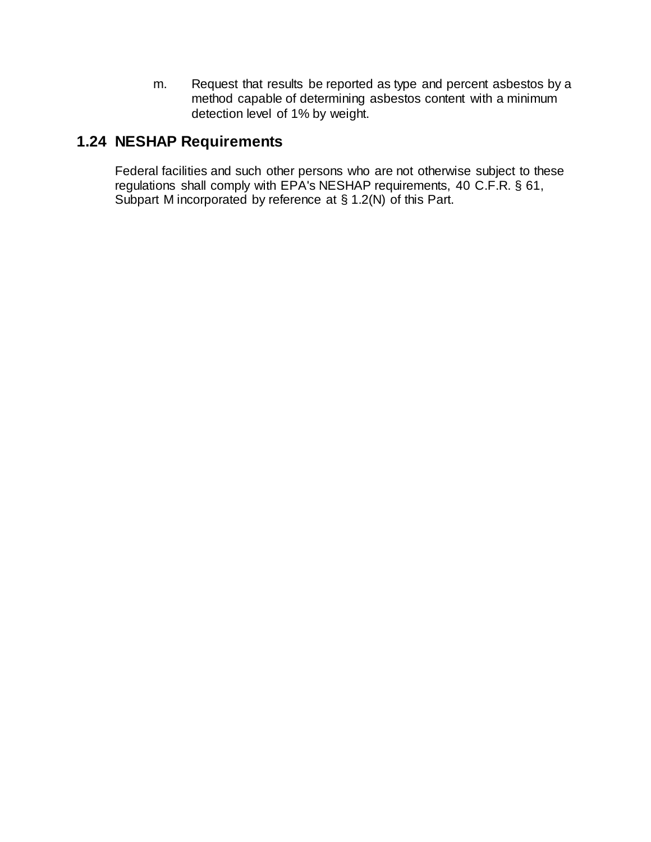m. Request that results be reported as type and percent asbestos by a method capable of determining asbestos content with a minimum detection level of 1% by weight.

# **1.24 NESHAP Requirements**

Federal facilities and such other persons who are not otherwise subject to these regulations shall comply with EPA's NESHAP requirements, 40 C.F.R. § 61, Subpart M incorporated by reference at § 1.2(N) of this Part.